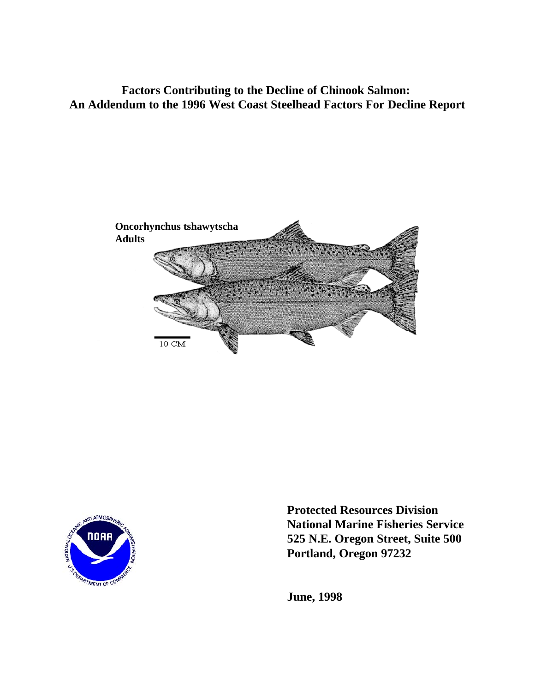**Factors Contributing to the Decline of Chinook Salmon: An Addendum to the 1996 West Coast Steelhead Factors For Decline Report**





**Protected Resources Division National Marine Fisheries Service 525 N.E. Oregon Street, Suite 500 Portland, Oregon 97232**

**June, 1998**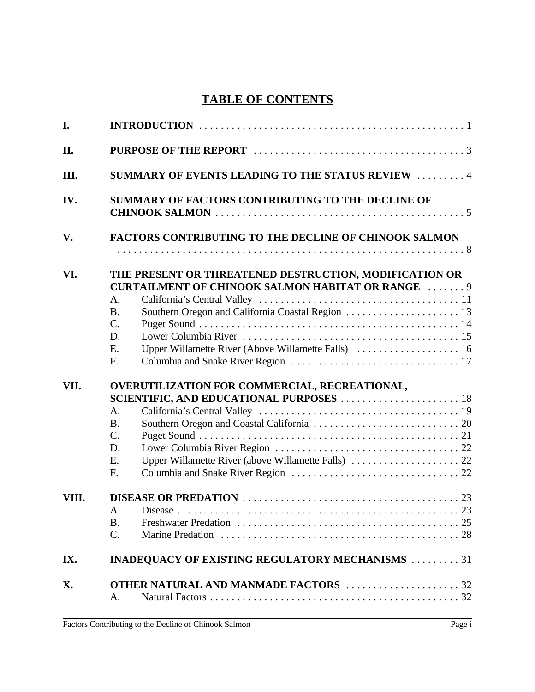# **TABLE OF CONTENTS**

| I.    |                                                                                                                    |                                                          |  |  |  |  |  |
|-------|--------------------------------------------------------------------------------------------------------------------|----------------------------------------------------------|--|--|--|--|--|
| II.   |                                                                                                                    |                                                          |  |  |  |  |  |
| Ш.    |                                                                                                                    | <b>SUMMARY OF EVENTS LEADING TO THE STATUS REVIEW  4</b> |  |  |  |  |  |
| IV.   | SUMMARY OF FACTORS CONTRIBUTING TO THE DECLINE OF                                                                  |                                                          |  |  |  |  |  |
| V.    | <b>FACTORS CONTRIBUTING TO THE DECLINE OF CHINOOK SALMON</b>                                                       |                                                          |  |  |  |  |  |
|       |                                                                                                                    |                                                          |  |  |  |  |  |
| VI.   | THE PRESENT OR THREATENED DESTRUCTION, MODIFICATION OR<br><b>CURTAILMENT OF CHINOOK SALMON HABITAT OR RANGE  9</b> |                                                          |  |  |  |  |  |
|       | A.<br><b>B.</b>                                                                                                    |                                                          |  |  |  |  |  |
|       | $C$ .                                                                                                              |                                                          |  |  |  |  |  |
|       | D.                                                                                                                 |                                                          |  |  |  |  |  |
|       | E.                                                                                                                 |                                                          |  |  |  |  |  |
|       | F.                                                                                                                 |                                                          |  |  |  |  |  |
| VII.  | A.                                                                                                                 | OVERUTILIZATION FOR COMMERCIAL, RECREATIONAL,            |  |  |  |  |  |
|       | <b>B.</b>                                                                                                          |                                                          |  |  |  |  |  |
|       | $\mathcal{C}$ .                                                                                                    |                                                          |  |  |  |  |  |
|       | D.                                                                                                                 |                                                          |  |  |  |  |  |
|       | E.<br>$F_{\cdot}$                                                                                                  |                                                          |  |  |  |  |  |
| VIII. |                                                                                                                    |                                                          |  |  |  |  |  |
|       | A.                                                                                                                 |                                                          |  |  |  |  |  |
|       | <b>B.</b>                                                                                                          |                                                          |  |  |  |  |  |
|       | $\mathbf{C}$ .                                                                                                     |                                                          |  |  |  |  |  |
|       |                                                                                                                    |                                                          |  |  |  |  |  |
| IX.   |                                                                                                                    | <b>INADEQUACY OF EXISTING REGULATORY MECHANISMS</b> 31   |  |  |  |  |  |
| X.    |                                                                                                                    |                                                          |  |  |  |  |  |
|       | A.                                                                                                                 |                                                          |  |  |  |  |  |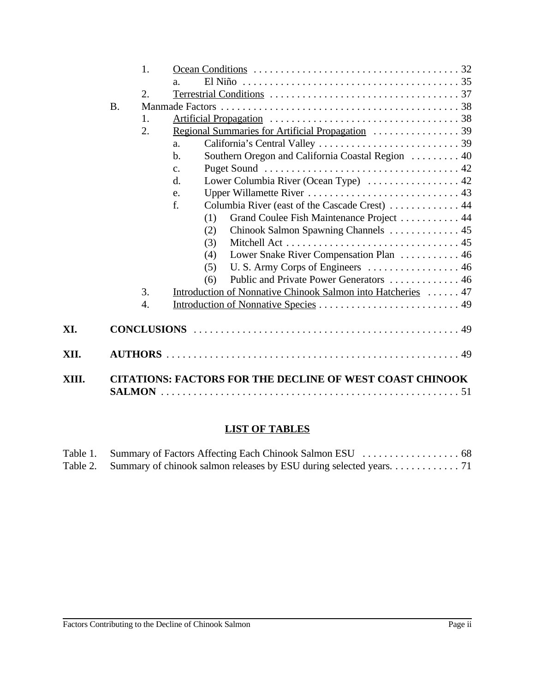|       |           | 1. |                                                                    |
|-------|-----------|----|--------------------------------------------------------------------|
|       |           |    | $\mathbf{a}$ .                                                     |
|       |           | 2. |                                                                    |
|       | <b>B.</b> |    |                                                                    |
|       |           | 1. |                                                                    |
|       |           | 2. |                                                                    |
|       |           |    | a.                                                                 |
|       |           |    | Southern Oregon and California Coastal Region  40<br>$\mathbf b$ . |
|       |           |    | c.                                                                 |
|       |           |    | Lower Columbia River (Ocean Type)  42<br>$\mathbf{d}$ .            |
|       |           |    | e.                                                                 |
|       |           |    | Columbia River (east of the Cascade Crest)  44<br>f.               |
|       |           |    | Grand Coulee Fish Maintenance Project 44<br>(1)                    |
|       |           |    | Chinook Salmon Spawning Channels 45<br>(2)                         |
|       |           |    | (3)                                                                |
|       |           |    | Lower Snake River Compensation Plan 46<br>(4)                      |
|       |           |    | (5)                                                                |
|       |           |    | Public and Private Power Generators  46<br>(6)                     |
|       |           | 3. | Introduction of Nonnative Chinook Salmon into Hatcheries  47       |
|       |           | 4. |                                                                    |
| XI.   |           |    |                                                                    |
| XII.  |           |    |                                                                    |
| XIII. |           |    | <b>CITATIONS: FACTORS FOR THE DECLINE OF WEST COAST CHINOOK</b>    |

# **LIST OF TABLES**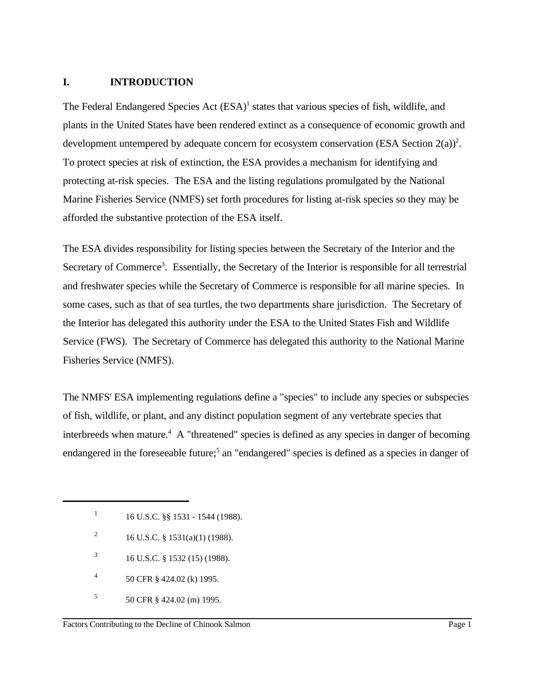#### **I. INTRODUCTION**

The Federal Endangered Species Act  $(ESA)^1$  states that various species of fish, wildlife, and plants in the United States have been rendered extinct as a consequence of economic growth and development untempered by adequate concern for ecosystem conservation (ESA Section  $2(a)$ )<sup>2</sup>. To protect species at risk of extinction, the ESA provides a mechanism for identifying and protecting at-risk species. The ESA and the listing regulations promulgated by the National Marine Fisheries Service (NMFS) set forth procedures for listing at-risk species so they may be afforded the substantive protection of the ESA itself.

The ESA divides responsibility for listing species between the Secretary of the Interior and the Secretary of Commerce<sup>3</sup>. Essentially, the Secretary of the Interior is responsible for all terrestrial and freshwater species while the Secretary of Commerce is responsible for all marine species. In some cases, such as that of sea turtles, the two departments share jurisdiction. The Secretary of the Interior has delegated this authority under the ESA to the United States Fish and Wildlife Service (FWS). The Secretary of Commerce has delegated this authority to the National Marine Fisheries Service (NMFS).

The NMFS' ESA implementing regulations define a "species" to include any species or subspecies of fish, wildlife, or plant, and any distinct population segment of any vertebrate species that interbreeds when mature.<sup>4</sup> A "threatened" species is defined as any species in danger of becoming endangered in the foreseeable future;<sup>5</sup> an "endangered" species is defined as a species in danger of

- <sup>2</sup> 16 U.S.C. § 1531(a)(1) (1988).
- $16$  U.S.C. § 1532 (15) (1988).
- 50 CFR § 424.02 (k) 1995. <sup>4</sup>
- 50 CFR § 424.02 (m) 1995. <sup>5</sup>

<sup>&</sup>lt;sup>1</sup> 16 U.S.C. §§ 1531 - 1544 (1988).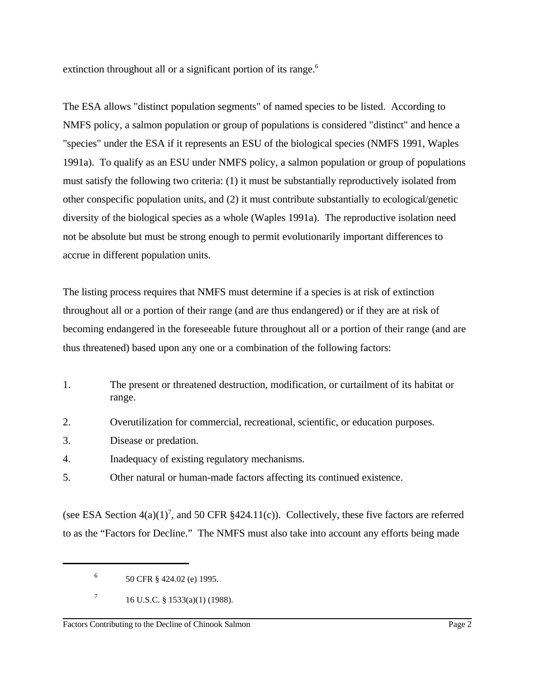extinction throughout all or a significant portion of its range.<sup>6</sup>

The ESA allows "distinct population segments" of named species to be listed. According to NMFS policy, a salmon population or group of populations is considered "distinct" and hence a "species" under the ESA if it represents an ESU of the biological species (NMFS 1991, Waples 1991a). To qualify as an ESU under NMFS policy, a salmon population or group of populations must satisfy the following two criteria: (1) it must be substantially reproductively isolated from other conspecific population units, and (2) it must contribute substantially to ecological/genetic diversity of the biological species as a whole (Waples 1991a). The reproductive isolation need not be absolute but must be strong enough to permit evolutionarily important differences to accrue in different population units.

The listing process requires that NMFS must determine if a species is at risk of extinction throughout all or a portion of their range (and are thus endangered) or if they are at risk of becoming endangered in the foreseeable future throughout all or a portion of their range (and are thus threatened) based upon any one or a combination of the following factors:

- 1. The present or threatened destruction, modification, or curtailment of its habitat or range.
- 2. Overutilization for commercial, recreational, scientific, or education purposes.
- 3. Disease or predation.
- 4. Inadequacy of existing regulatory mechanisms.
- 5. Other natural or human-made factors affecting its continued existence.

(see ESA Section  $4(a)(1)^7$ , and 50 CFR §424.11(c)). Collectively, these five factors are referred to as the "Factors for Decline." The NMFS must also take into account any efforts being made

 $^{6}$  50 CFR  $\frac{8424.02}{e}$  (e) 1995.

 $16$  U.S.C. § 1533(a)(1) (1988).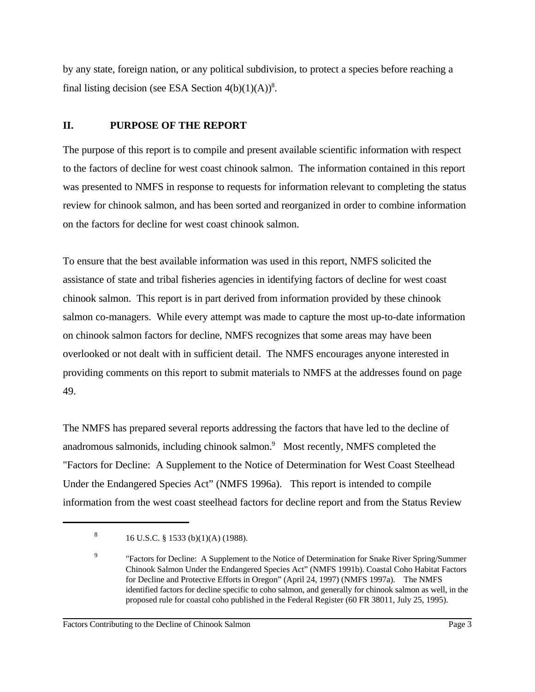by any state, foreign nation, or any political subdivision, to protect a species before reaching a final listing decision (see ESA Section  $4(b)(1)(A))^8$ .

## **II. PURPOSE OF THE REPORT**

The purpose of this report is to compile and present available scientific information with respect to the factors of decline for west coast chinook salmon. The information contained in this report was presented to NMFS in response to requests for information relevant to completing the status review for chinook salmon, and has been sorted and reorganized in order to combine information on the factors for decline for west coast chinook salmon.

To ensure that the best available information was used in this report, NMFS solicited the assistance of state and tribal fisheries agencies in identifying factors of decline for west coast chinook salmon. This report is in part derived from information provided by these chinook salmon co-managers. While every attempt was made to capture the most up-to-date information on chinook salmon factors for decline, NMFS recognizes that some areas may have been overlooked or not dealt with in sufficient detail. The NMFS encourages anyone interested in providing comments on this report to submit materials to NMFS at the addresses found on page 49.

The NMFS has prepared several reports addressing the factors that have led to the decline of anadromous salmonids, including chinook salmon. $9$  Most recently, NMFS completed the "Factors for Decline: A Supplement to the Notice of Determination for West Coast Steelhead Under the Endangered Species Act" (NMFS 1996a). This report is intended to compile information from the west coast steelhead factors for decline report and from the Status Review

<sup>&</sup>lt;sup>8</sup> 16 U.S.C. § 1533 (b)(1)(A) (1988).

<sup>&</sup>lt;sup>9</sup> Tactors for Decline: A Supplement to the Notice of Determination for Snake River Spring/Summer Chinook Salmon Under the Endangered Species Act" (NMFS 1991b). Coastal Coho Habitat Factors for Decline and Protective Efforts in Oregon" (April 24, 1997) (NMFS 1997a). The NMFS identified factors for decline specific to coho salmon, and generally for chinook salmon as well, in the proposed rule for coastal coho published in the Federal Register (60 FR 38011, July 25, 1995).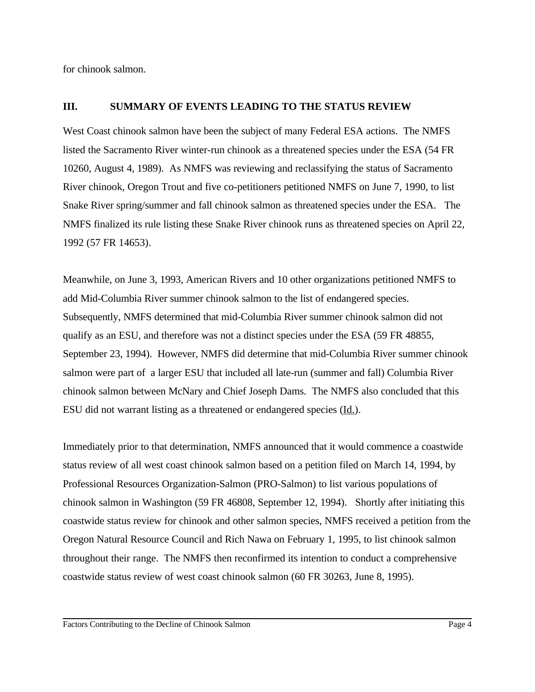for chinook salmon.

#### **III. SUMMARY OF EVENTS LEADING TO THE STATUS REVIEW**

West Coast chinook salmon have been the subject of many Federal ESA actions. The NMFS listed the Sacramento River winter-run chinook as a threatened species under the ESA (54 FR 10260, August 4, 1989). As NMFS was reviewing and reclassifying the status of Sacramento River chinook, Oregon Trout and five co-petitioners petitioned NMFS on June 7, 1990, to list Snake River spring/summer and fall chinook salmon as threatened species under the ESA. The NMFS finalized its rule listing these Snake River chinook runs as threatened species on April 22, 1992 (57 FR 14653).

Meanwhile, on June 3, 1993, American Rivers and 10 other organizations petitioned NMFS to add Mid-Columbia River summer chinook salmon to the list of endangered species. Subsequently, NMFS determined that mid-Columbia River summer chinook salmon did not qualify as an ESU, and therefore was not a distinct species under the ESA (59 FR 48855, September 23, 1994). However, NMFS did determine that mid-Columbia River summer chinook salmon were part of a larger ESU that included all late-run (summer and fall) Columbia River chinook salmon between McNary and Chief Joseph Dams. The NMFS also concluded that this ESU did not warrant listing as a threatened or endangered species (Id.).

Immediately prior to that determination, NMFS announced that it would commence a coastwide status review of all west coast chinook salmon based on a petition filed on March 14, 1994, by Professional Resources Organization-Salmon (PRO-Salmon) to list various populations of chinook salmon in Washington (59 FR 46808, September 12, 1994). Shortly after initiating this coastwide status review for chinook and other salmon species, NMFS received a petition from the Oregon Natural Resource Council and Rich Nawa on February 1, 1995, to list chinook salmon throughout their range. The NMFS then reconfirmed its intention to conduct a comprehensive coastwide status review of west coast chinook salmon (60 FR 30263, June 8, 1995).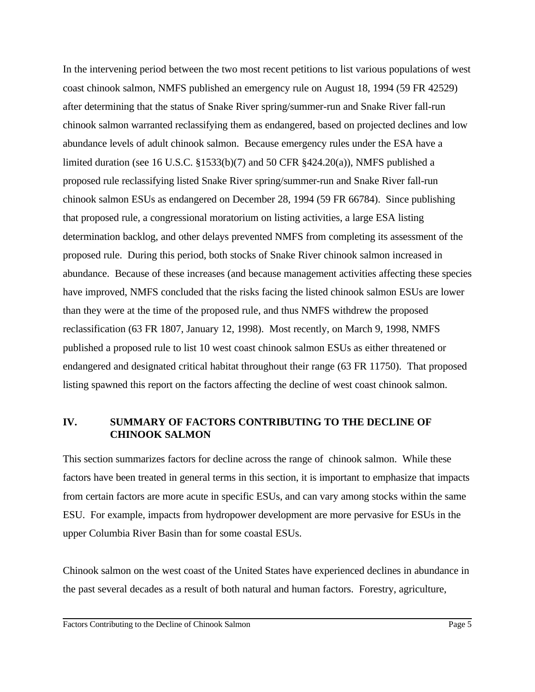In the intervening period between the two most recent petitions to list various populations of west coast chinook salmon, NMFS published an emergency rule on August 18, 1994 (59 FR 42529) after determining that the status of Snake River spring/summer-run and Snake River fall-run chinook salmon warranted reclassifying them as endangered, based on projected declines and low abundance levels of adult chinook salmon. Because emergency rules under the ESA have a limited duration (see 16 U.S.C. §1533(b)(7) and 50 CFR §424.20(a)), NMFS published a proposed rule reclassifying listed Snake River spring/summer-run and Snake River fall-run chinook salmon ESUs as endangered on December 28, 1994 (59 FR 66784). Since publishing that proposed rule, a congressional moratorium on listing activities, a large ESA listing determination backlog, and other delays prevented NMFS from completing its assessment of the proposed rule. During this period, both stocks of Snake River chinook salmon increased in abundance. Because of these increases (and because management activities affecting these species have improved, NMFS concluded that the risks facing the listed chinook salmon ESUs are lower than they were at the time of the proposed rule, and thus NMFS withdrew the proposed reclassification (63 FR 1807, January 12, 1998). Most recently, on March 9, 1998, NMFS published a proposed rule to list 10 west coast chinook salmon ESUs as either threatened or endangered and designated critical habitat throughout their range (63 FR 11750). That proposed listing spawned this report on the factors affecting the decline of west coast chinook salmon.

## **IV. SUMMARY OF FACTORS CONTRIBUTING TO THE DECLINE OF CHINOOK SALMON**

This section summarizes factors for decline across the range of chinook salmon. While these factors have been treated in general terms in this section, it is important to emphasize that impacts from certain factors are more acute in specific ESUs, and can vary among stocks within the same ESU. For example, impacts from hydropower development are more pervasive for ESUs in the upper Columbia River Basin than for some coastal ESUs.

Chinook salmon on the west coast of the United States have experienced declines in abundance in the past several decades as a result of both natural and human factors. Forestry, agriculture,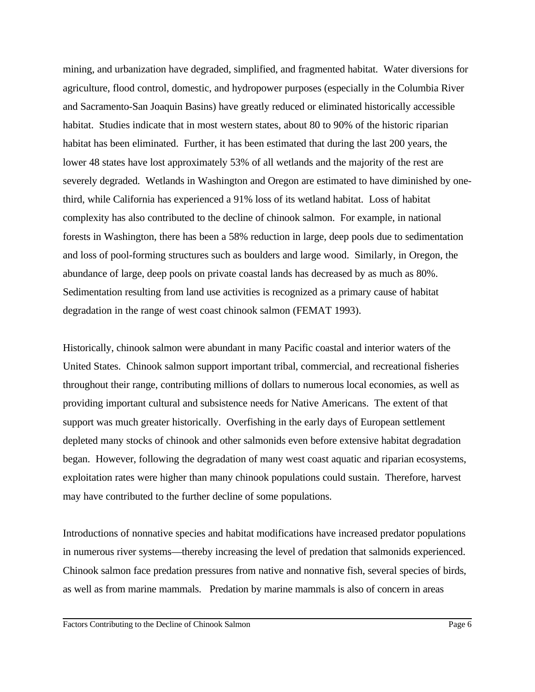mining, and urbanization have degraded, simplified, and fragmented habitat. Water diversions for agriculture, flood control, domestic, and hydropower purposes (especially in the Columbia River and Sacramento-San Joaquin Basins) have greatly reduced or eliminated historically accessible habitat. Studies indicate that in most western states, about 80 to 90% of the historic riparian habitat has been eliminated. Further, it has been estimated that during the last 200 years, the lower 48 states have lost approximately 53% of all wetlands and the majority of the rest are severely degraded. Wetlands in Washington and Oregon are estimated to have diminished by onethird, while California has experienced a 91% loss of its wetland habitat. Loss of habitat complexity has also contributed to the decline of chinook salmon. For example, in national forests in Washington, there has been a 58% reduction in large, deep pools due to sedimentation and loss of pool-forming structures such as boulders and large wood. Similarly, in Oregon, the abundance of large, deep pools on private coastal lands has decreased by as much as 80%. Sedimentation resulting from land use activities is recognized as a primary cause of habitat degradation in the range of west coast chinook salmon (FEMAT 1993).

Historically, chinook salmon were abundant in many Pacific coastal and interior waters of the United States. Chinook salmon support important tribal, commercial, and recreational fisheries throughout their range, contributing millions of dollars to numerous local economies, as well as providing important cultural and subsistence needs for Native Americans. The extent of that support was much greater historically. Overfishing in the early days of European settlement depleted many stocks of chinook and other salmonids even before extensive habitat degradation began. However, following the degradation of many west coast aquatic and riparian ecosystems, exploitation rates were higher than many chinook populations could sustain. Therefore, harvest may have contributed to the further decline of some populations.

Introductions of nonnative species and habitat modifications have increased predator populations in numerous river systems—thereby increasing the level of predation that salmonids experienced. Chinook salmon face predation pressures from native and nonnative fish, several species of birds, as well as from marine mammals. Predation by marine mammals is also of concern in areas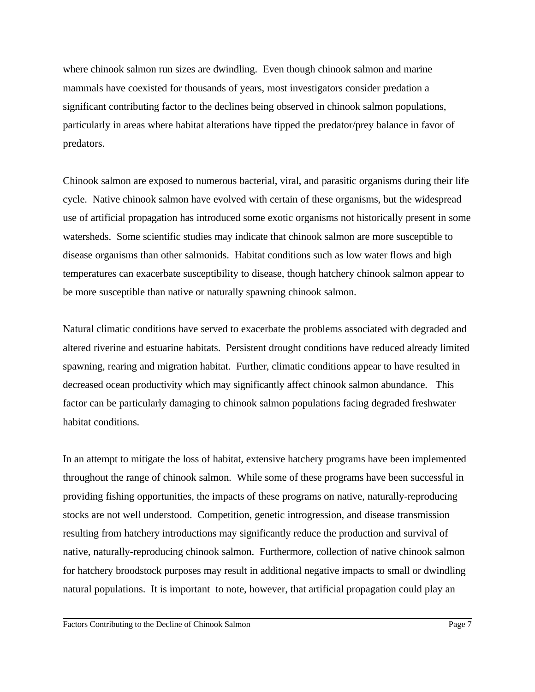where chinook salmon run sizes are dwindling. Even though chinook salmon and marine mammals have coexisted for thousands of years, most investigators consider predation a significant contributing factor to the declines being observed in chinook salmon populations, particularly in areas where habitat alterations have tipped the predator/prey balance in favor of predators.

Chinook salmon are exposed to numerous bacterial, viral, and parasitic organisms during their life cycle. Native chinook salmon have evolved with certain of these organisms, but the widespread use of artificial propagation has introduced some exotic organisms not historically present in some watersheds. Some scientific studies may indicate that chinook salmon are more susceptible to disease organisms than other salmonids. Habitat conditions such as low water flows and high temperatures can exacerbate susceptibility to disease, though hatchery chinook salmon appear to be more susceptible than native or naturally spawning chinook salmon.

Natural climatic conditions have served to exacerbate the problems associated with degraded and altered riverine and estuarine habitats. Persistent drought conditions have reduced already limited spawning, rearing and migration habitat. Further, climatic conditions appear to have resulted in decreased ocean productivity which may significantly affect chinook salmon abundance. This factor can be particularly damaging to chinook salmon populations facing degraded freshwater habitat conditions.

In an attempt to mitigate the loss of habitat, extensive hatchery programs have been implemented throughout the range of chinook salmon. While some of these programs have been successful in providing fishing opportunities, the impacts of these programs on native, naturally-reproducing stocks are not well understood. Competition, genetic introgression, and disease transmission resulting from hatchery introductions may significantly reduce the production and survival of native, naturally-reproducing chinook salmon. Furthermore, collection of native chinook salmon for hatchery broodstock purposes may result in additional negative impacts to small or dwindling natural populations. It is important to note, however, that artificial propagation could play an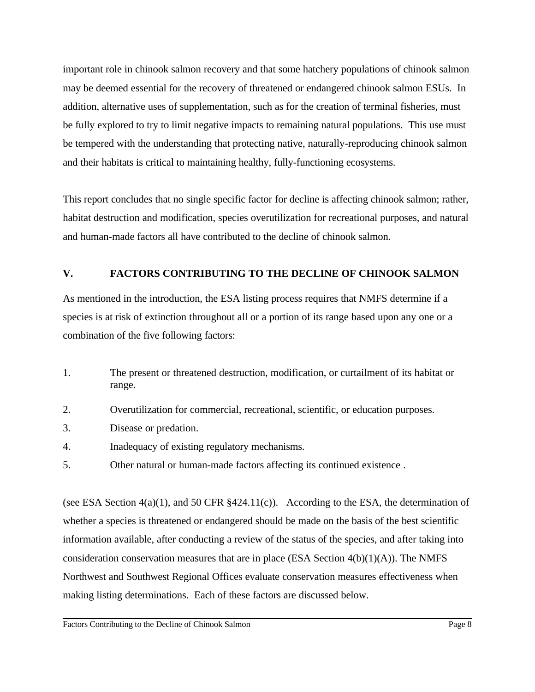important role in chinook salmon recovery and that some hatchery populations of chinook salmon may be deemed essential for the recovery of threatened or endangered chinook salmon ESUs. In addition, alternative uses of supplementation, such as for the creation of terminal fisheries, must be fully explored to try to limit negative impacts to remaining natural populations. This use must be tempered with the understanding that protecting native, naturally-reproducing chinook salmon and their habitats is critical to maintaining healthy, fully-functioning ecosystems.

This report concludes that no single specific factor for decline is affecting chinook salmon; rather, habitat destruction and modification, species overutilization for recreational purposes, and natural and human-made factors all have contributed to the decline of chinook salmon.

## **V. FACTORS CONTRIBUTING TO THE DECLINE OF CHINOOK SALMON**

As mentioned in the introduction, the ESA listing process requires that NMFS determine if a species is at risk of extinction throughout all or a portion of its range based upon any one or a combination of the five following factors:

- 1. The present or threatened destruction, modification, or curtailment of its habitat or range.
- 2. Overutilization for commercial, recreational, scientific, or education purposes.
- 3. Disease or predation.
- 4. Inadequacy of existing regulatory mechanisms.
- 5. Other natural or human-made factors affecting its continued existence .

(see ESA Section 4(a)(1), and 50 CFR §424.11(c)). According to the ESA, the determination of whether a species is threatened or endangered should be made on the basis of the best scientific information available, after conducting a review of the status of the species, and after taking into consideration conservation measures that are in place (ESA Section  $4(b)(1)(A)$ ). The NMFS Northwest and Southwest Regional Offices evaluate conservation measures effectiveness when making listing determinations. Each of these factors are discussed below.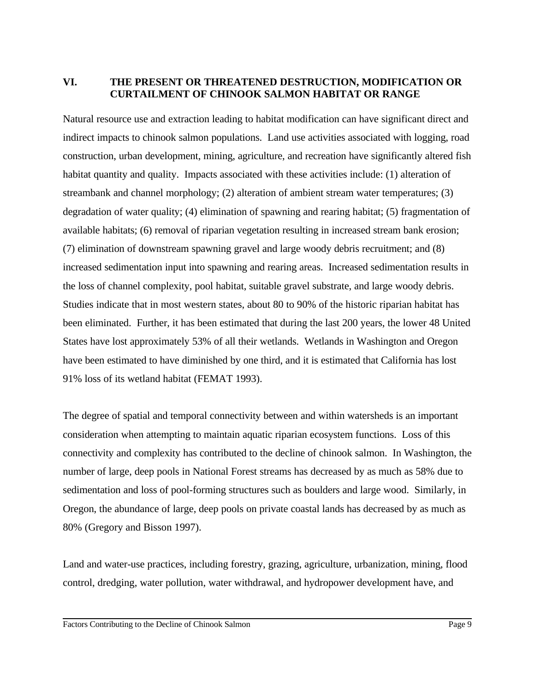## **VI. THE PRESENT OR THREATENED DESTRUCTION, MODIFICATION OR CURTAILMENT OF CHINOOK SALMON HABITAT OR RANGE**

Natural resource use and extraction leading to habitat modification can have significant direct and indirect impacts to chinook salmon populations. Land use activities associated with logging, road construction, urban development, mining, agriculture, and recreation have significantly altered fish habitat quantity and quality. Impacts associated with these activities include: (1) alteration of streambank and channel morphology; (2) alteration of ambient stream water temperatures; (3) degradation of water quality; (4) elimination of spawning and rearing habitat; (5) fragmentation of available habitats; (6) removal of riparian vegetation resulting in increased stream bank erosion; (7) elimination of downstream spawning gravel and large woody debris recruitment; and (8) increased sedimentation input into spawning and rearing areas. Increased sedimentation results in the loss of channel complexity, pool habitat, suitable gravel substrate, and large woody debris. Studies indicate that in most western states, about 80 to 90% of the historic riparian habitat has been eliminated. Further, it has been estimated that during the last 200 years, the lower 48 United States have lost approximately 53% of all their wetlands. Wetlands in Washington and Oregon have been estimated to have diminished by one third, and it is estimated that California has lost 91% loss of its wetland habitat (FEMAT 1993).

The degree of spatial and temporal connectivity between and within watersheds is an important consideration when attempting to maintain aquatic riparian ecosystem functions. Loss of this connectivity and complexity has contributed to the decline of chinook salmon. In Washington, the number of large, deep pools in National Forest streams has decreased by as much as 58% due to sedimentation and loss of pool-forming structures such as boulders and large wood. Similarly, in Oregon, the abundance of large, deep pools on private coastal lands has decreased by as much as 80% (Gregory and Bisson 1997).

Land and water-use practices, including forestry, grazing, agriculture, urbanization, mining, flood control, dredging, water pollution, water withdrawal, and hydropower development have, and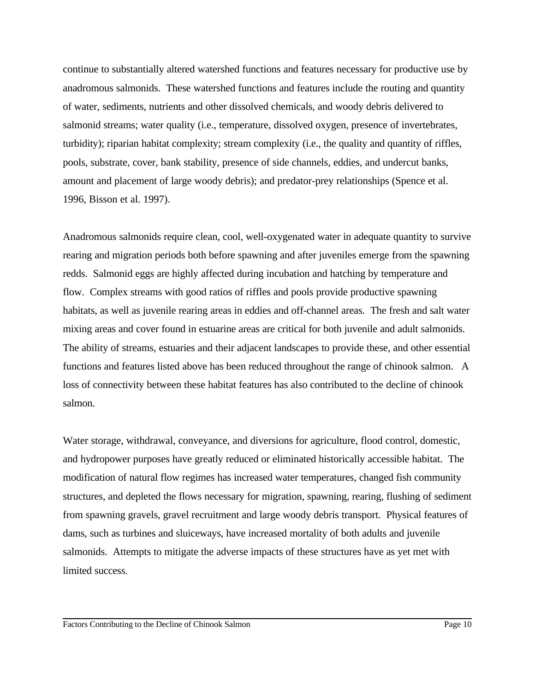continue to substantially altered watershed functions and features necessary for productive use by anadromous salmonids. These watershed functions and features include the routing and quantity of water, sediments, nutrients and other dissolved chemicals, and woody debris delivered to salmonid streams; water quality (i.e., temperature, dissolved oxygen, presence of invertebrates, turbidity); riparian habitat complexity; stream complexity (i.e., the quality and quantity of riffles, pools, substrate, cover, bank stability, presence of side channels, eddies, and undercut banks, amount and placement of large woody debris); and predator-prey relationships (Spence et al. 1996, Bisson et al. 1997).

Anadromous salmonids require clean, cool, well-oxygenated water in adequate quantity to survive rearing and migration periods both before spawning and after juveniles emerge from the spawning redds. Salmonid eggs are highly affected during incubation and hatching by temperature and flow. Complex streams with good ratios of riffles and pools provide productive spawning habitats, as well as juvenile rearing areas in eddies and off-channel areas. The fresh and salt water mixing areas and cover found in estuarine areas are critical for both juvenile and adult salmonids. The ability of streams, estuaries and their adjacent landscapes to provide these, and other essential functions and features listed above has been reduced throughout the range of chinook salmon. A loss of connectivity between these habitat features has also contributed to the decline of chinook salmon.

Water storage, withdrawal, conveyance, and diversions for agriculture, flood control, domestic, and hydropower purposes have greatly reduced or eliminated historically accessible habitat. The modification of natural flow regimes has increased water temperatures, changed fish community structures, and depleted the flows necessary for migration, spawning, rearing, flushing of sediment from spawning gravels, gravel recruitment and large woody debris transport. Physical features of dams, such as turbines and sluiceways, have increased mortality of both adults and juvenile salmonids. Attempts to mitigate the adverse impacts of these structures have as yet met with limited success.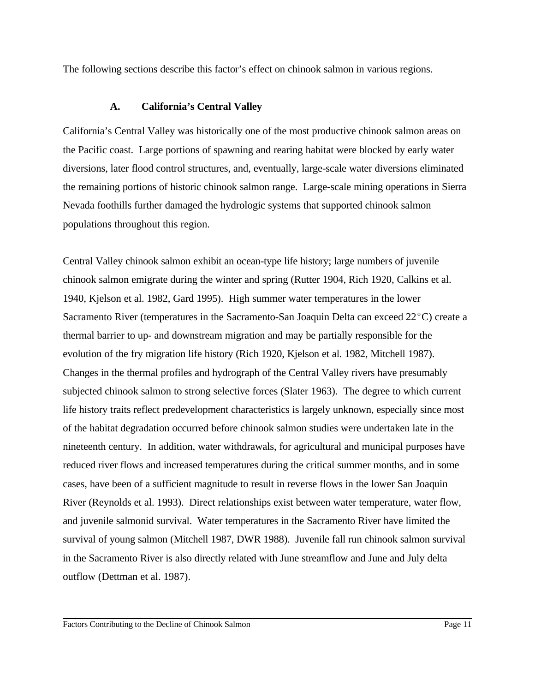The following sections describe this factor's effect on chinook salmon in various regions.

## **A. California's Central Valley**

California's Central Valley was historically one of the most productive chinook salmon areas on the Pacific coast. Large portions of spawning and rearing habitat were blocked by early water diversions, later flood control structures, and, eventually, large-scale water diversions eliminated the remaining portions of historic chinook salmon range. Large-scale mining operations in Sierra Nevada foothills further damaged the hydrologic systems that supported chinook salmon populations throughout this region.

Central Valley chinook salmon exhibit an ocean-type life history; large numbers of juvenile chinook salmon emigrate during the winter and spring (Rutter 1904, Rich 1920, Calkins et al. 1940, Kjelson et al. 1982, Gard 1995). High summer water temperatures in the lower Sacramento River (temperatures in the Sacramento-San Joaquin Delta can exceed  $22^{\circ}$ C) create a thermal barrier to up- and downstream migration and may be partially responsible for the evolution of the fry migration life history (Rich 1920, Kjelson et al. 1982, Mitchell 1987). Changes in the thermal profiles and hydrograph of the Central Valley rivers have presumably subjected chinook salmon to strong selective forces (Slater 1963). The degree to which current life history traits reflect predevelopment characteristics is largely unknown, especially since most of the habitat degradation occurred before chinook salmon studies were undertaken late in the nineteenth century. In addition, water withdrawals, for agricultural and municipal purposes have reduced river flows and increased temperatures during the critical summer months, and in some cases, have been of a sufficient magnitude to result in reverse flows in the lower San Joaquin River (Reynolds et al. 1993). Direct relationships exist between water temperature, water flow, and juvenile salmonid survival. Water temperatures in the Sacramento River have limited the survival of young salmon (Mitchell 1987, DWR 1988). Juvenile fall run chinook salmon survival in the Sacramento River is also directly related with June streamflow and June and July delta outflow (Dettman et al. 1987).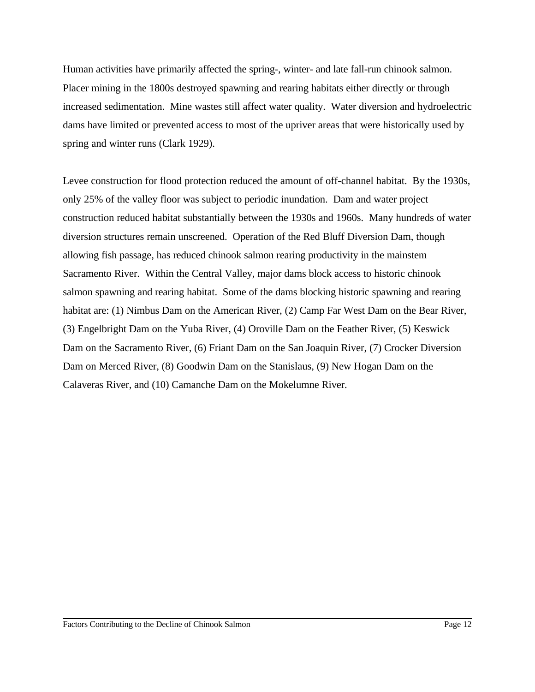Human activities have primarily affected the spring-, winter- and late fall-run chinook salmon. Placer mining in the 1800s destroyed spawning and rearing habitats either directly or through increased sedimentation. Mine wastes still affect water quality. Water diversion and hydroelectric dams have limited or prevented access to most of the upriver areas that were historically used by spring and winter runs (Clark 1929).

Levee construction for flood protection reduced the amount of off-channel habitat. By the 1930s, only 25% of the valley floor was subject to periodic inundation. Dam and water project construction reduced habitat substantially between the 1930s and 1960s. Many hundreds of water diversion structures remain unscreened. Operation of the Red Bluff Diversion Dam, though allowing fish passage, has reduced chinook salmon rearing productivity in the mainstem Sacramento River. Within the Central Valley, major dams block access to historic chinook salmon spawning and rearing habitat. Some of the dams blocking historic spawning and rearing habitat are: (1) Nimbus Dam on the American River, (2) Camp Far West Dam on the Bear River, (3) Engelbright Dam on the Yuba River, (4) Oroville Dam on the Feather River, (5) Keswick Dam on the Sacramento River, (6) Friant Dam on the San Joaquin River, (7) Crocker Diversion Dam on Merced River, (8) Goodwin Dam on the Stanislaus, (9) New Hogan Dam on the Calaveras River, and (10) Camanche Dam on the Mokelumne River.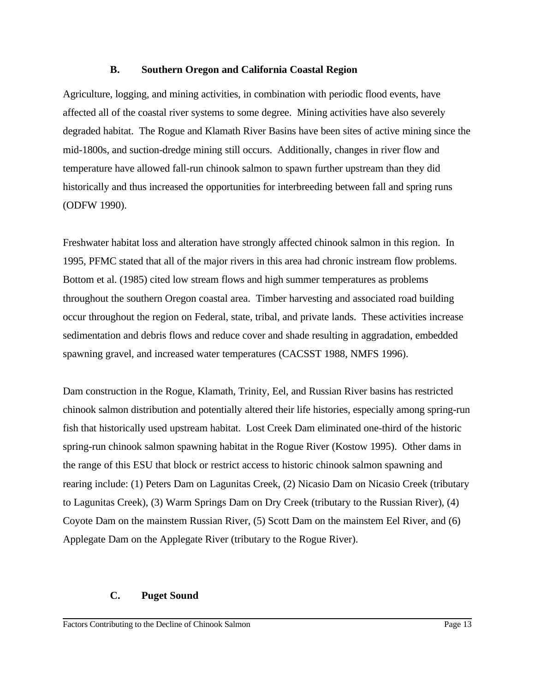#### **B. Southern Oregon and California Coastal Region**

Agriculture, logging, and mining activities, in combination with periodic flood events, have affected all of the coastal river systems to some degree. Mining activities have also severely degraded habitat. The Rogue and Klamath River Basins have been sites of active mining since the mid-1800s, and suction-dredge mining still occurs. Additionally, changes in river flow and temperature have allowed fall-run chinook salmon to spawn further upstream than they did historically and thus increased the opportunities for interbreeding between fall and spring runs (ODFW 1990).

Freshwater habitat loss and alteration have strongly affected chinook salmon in this region. In 1995, PFMC stated that all of the major rivers in this area had chronic instream flow problems. Bottom et al. (1985) cited low stream flows and high summer temperatures as problems throughout the southern Oregon coastal area. Timber harvesting and associated road building occur throughout the region on Federal, state, tribal, and private lands. These activities increase sedimentation and debris flows and reduce cover and shade resulting in aggradation, embedded spawning gravel, and increased water temperatures (CACSST 1988, NMFS 1996).

Dam construction in the Rogue, Klamath, Trinity, Eel, and Russian River basins has restricted chinook salmon distribution and potentially altered their life histories, especially among spring-run fish that historically used upstream habitat. Lost Creek Dam eliminated one-third of the historic spring-run chinook salmon spawning habitat in the Rogue River (Kostow 1995). Other dams in the range of this ESU that block or restrict access to historic chinook salmon spawning and rearing include: (1) Peters Dam on Lagunitas Creek, (2) Nicasio Dam on Nicasio Creek (tributary to Lagunitas Creek), (3) Warm Springs Dam on Dry Creek (tributary to the Russian River), (4) Coyote Dam on the mainstem Russian River, (5) Scott Dam on the mainstem Eel River, and (6) Applegate Dam on the Applegate River (tributary to the Rogue River).

## **C. Puget Sound**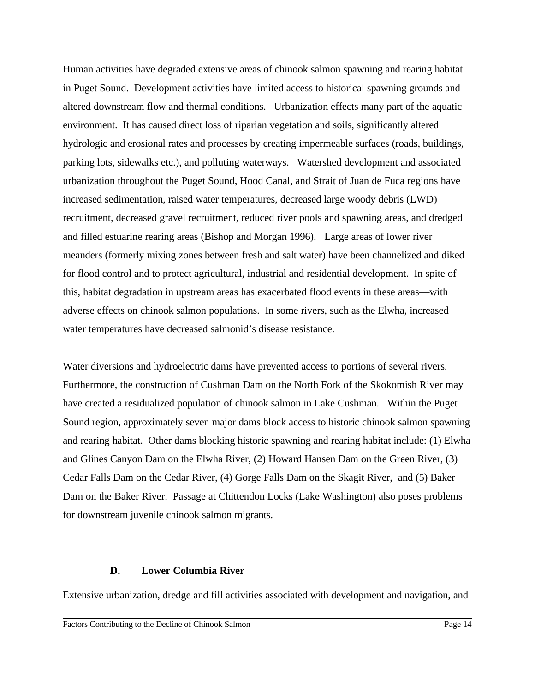Human activities have degraded extensive areas of chinook salmon spawning and rearing habitat in Puget Sound. Development activities have limited access to historical spawning grounds and altered downstream flow and thermal conditions. Urbanization effects many part of the aquatic environment. It has caused direct loss of riparian vegetation and soils, significantly altered hydrologic and erosional rates and processes by creating impermeable surfaces (roads, buildings, parking lots, sidewalks etc.), and polluting waterways. Watershed development and associated urbanization throughout the Puget Sound, Hood Canal, and Strait of Juan de Fuca regions have increased sedimentation, raised water temperatures, decreased large woody debris (LWD) recruitment, decreased gravel recruitment, reduced river pools and spawning areas, and dredged and filled estuarine rearing areas (Bishop and Morgan 1996). Large areas of lower river meanders (formerly mixing zones between fresh and salt water) have been channelized and diked for flood control and to protect agricultural, industrial and residential development. In spite of this, habitat degradation in upstream areas has exacerbated flood events in these areas—with adverse effects on chinook salmon populations. In some rivers, such as the Elwha, increased water temperatures have decreased salmonid's disease resistance.

Water diversions and hydroelectric dams have prevented access to portions of several rivers. Furthermore, the construction of Cushman Dam on the North Fork of the Skokomish River may have created a residualized population of chinook salmon in Lake Cushman. Within the Puget Sound region, approximately seven major dams block access to historic chinook salmon spawning and rearing habitat. Other dams blocking historic spawning and rearing habitat include: (1) Elwha and Glines Canyon Dam on the Elwha River, (2) Howard Hansen Dam on the Green River, (3) Cedar Falls Dam on the Cedar River, (4) Gorge Falls Dam on the Skagit River, and (5) Baker Dam on the Baker River. Passage at Chittendon Locks (Lake Washington) also poses problems for downstream juvenile chinook salmon migrants.

#### **D. Lower Columbia River**

Extensive urbanization, dredge and fill activities associated with development and navigation, and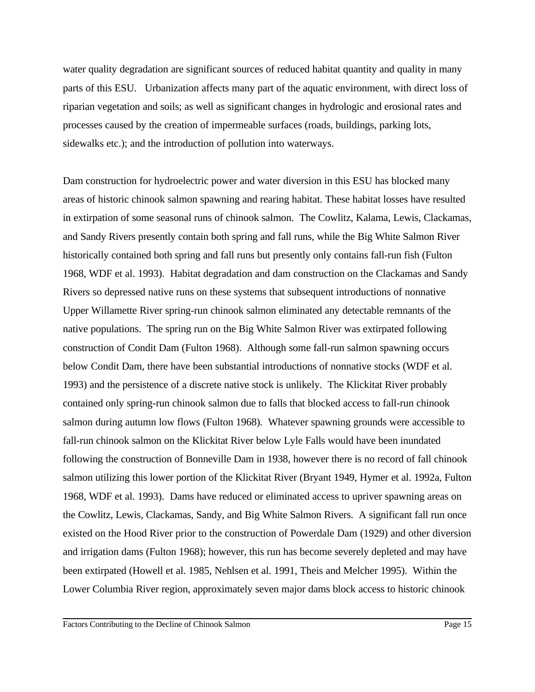water quality degradation are significant sources of reduced habitat quantity and quality in many parts of this ESU. Urbanization affects many part of the aquatic environment, with direct loss of riparian vegetation and soils; as well as significant changes in hydrologic and erosional rates and processes caused by the creation of impermeable surfaces (roads, buildings, parking lots, sidewalks etc.); and the introduction of pollution into waterways.

Dam construction for hydroelectric power and water diversion in this ESU has blocked many areas of historic chinook salmon spawning and rearing habitat. These habitat losses have resulted in extirpation of some seasonal runs of chinook salmon. The Cowlitz, Kalama, Lewis, Clackamas, and Sandy Rivers presently contain both spring and fall runs, while the Big White Salmon River historically contained both spring and fall runs but presently only contains fall-run fish (Fulton 1968, WDF et al. 1993). Habitat degradation and dam construction on the Clackamas and Sandy Rivers so depressed native runs on these systems that subsequent introductions of nonnative Upper Willamette River spring-run chinook salmon eliminated any detectable remnants of the native populations. The spring run on the Big White Salmon River was extirpated following construction of Condit Dam (Fulton 1968). Although some fall-run salmon spawning occurs below Condit Dam, there have been substantial introductions of nonnative stocks (WDF et al. 1993) and the persistence of a discrete native stock is unlikely. The Klickitat River probably contained only spring-run chinook salmon due to falls that blocked access to fall-run chinook salmon during autumn low flows (Fulton 1968). Whatever spawning grounds were accessible to fall-run chinook salmon on the Klickitat River below Lyle Falls would have been inundated following the construction of Bonneville Dam in 1938, however there is no record of fall chinook salmon utilizing this lower portion of the Klickitat River (Bryant 1949, Hymer et al. 1992a, Fulton 1968, WDF et al. 1993). Dams have reduced or eliminated access to upriver spawning areas on the Cowlitz, Lewis, Clackamas, Sandy, and Big White Salmon Rivers. A significant fall run once existed on the Hood River prior to the construction of Powerdale Dam (1929) and other diversion and irrigation dams (Fulton 1968); however, this run has become severely depleted and may have been extirpated (Howell et al. 1985, Nehlsen et al. 1991, Theis and Melcher 1995). Within the Lower Columbia River region, approximately seven major dams block access to historic chinook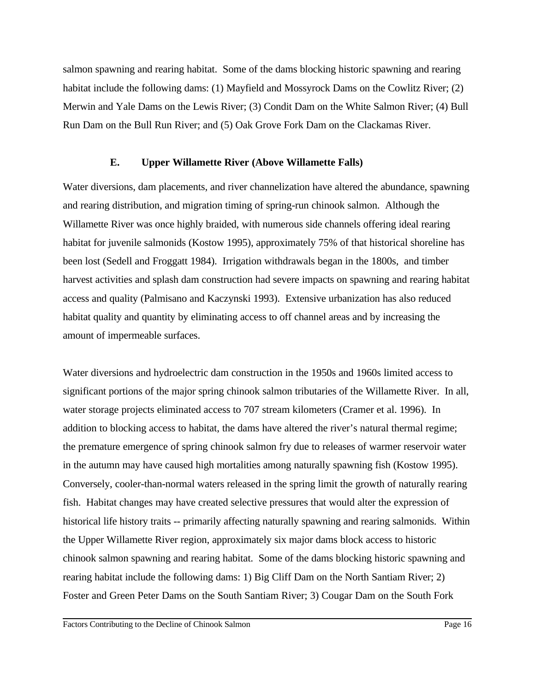salmon spawning and rearing habitat. Some of the dams blocking historic spawning and rearing habitat include the following dams: (1) Mayfield and Mossyrock Dams on the Cowlitz River; (2) Merwin and Yale Dams on the Lewis River; (3) Condit Dam on the White Salmon River; (4) Bull Run Dam on the Bull Run River; and (5) Oak Grove Fork Dam on the Clackamas River.

#### **E. Upper Willamette River (Above Willamette Falls)**

Water diversions, dam placements, and river channelization have altered the abundance, spawning and rearing distribution, and migration timing of spring-run chinook salmon. Although the Willamette River was once highly braided, with numerous side channels offering ideal rearing habitat for juvenile salmonids (Kostow 1995), approximately 75% of that historical shoreline has been lost (Sedell and Froggatt 1984). Irrigation withdrawals began in the 1800s, and timber harvest activities and splash dam construction had severe impacts on spawning and rearing habitat access and quality (Palmisano and Kaczynski 1993). Extensive urbanization has also reduced habitat quality and quantity by eliminating access to off channel areas and by increasing the amount of impermeable surfaces.

Water diversions and hydroelectric dam construction in the 1950s and 1960s limited access to significant portions of the major spring chinook salmon tributaries of the Willamette River. In all, water storage projects eliminated access to 707 stream kilometers (Cramer et al. 1996). In addition to blocking access to habitat, the dams have altered the river's natural thermal regime; the premature emergence of spring chinook salmon fry due to releases of warmer reservoir water in the autumn may have caused high mortalities among naturally spawning fish (Kostow 1995). Conversely, cooler-than-normal waters released in the spring limit the growth of naturally rearing fish. Habitat changes may have created selective pressures that would alter the expression of historical life history traits -- primarily affecting naturally spawning and rearing salmonids.Within the Upper Willamette River region, approximately six major dams block access to historic chinook salmon spawning and rearing habitat. Some of the dams blocking historic spawning and rearing habitat include the following dams: 1) Big Cliff Dam on the North Santiam River; 2) Foster and Green Peter Dams on the South Santiam River; 3) Cougar Dam on the South Fork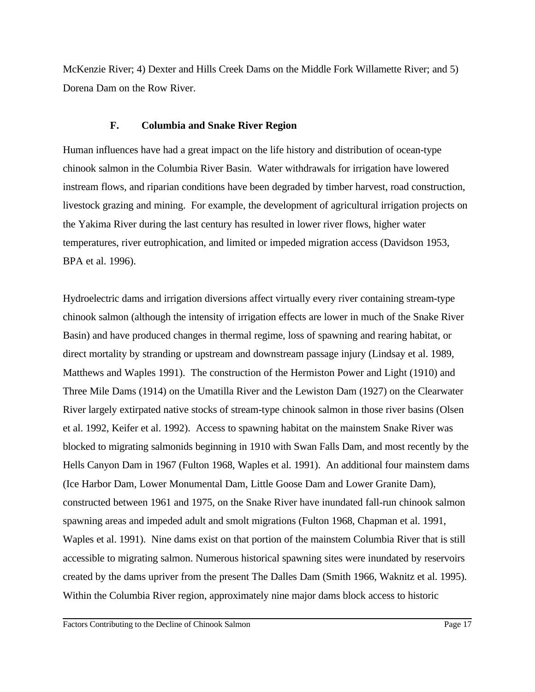McKenzie River; 4) Dexter and Hills Creek Dams on the Middle Fork Willamette River; and 5) Dorena Dam on the Row River.

## **F. Columbia and Snake River Region**

Human influences have had a great impact on the life history and distribution of ocean-type chinook salmon in the Columbia River Basin. Water withdrawals for irrigation have lowered instream flows, and riparian conditions have been degraded by timber harvest, road construction, livestock grazing and mining. For example, the development of agricultural irrigation projects on the Yakima River during the last century has resulted in lower river flows, higher water temperatures, river eutrophication, and limited or impeded migration access (Davidson 1953, BPA et al. 1996).

Hydroelectric dams and irrigation diversions affect virtually every river containing stream-type chinook salmon (although the intensity of irrigation effects are lower in much of the Snake River Basin) and have produced changes in thermal regime, loss of spawning and rearing habitat, or direct mortality by stranding or upstream and downstream passage injury (Lindsay et al. 1989, Matthews and Waples 1991). The construction of the Hermiston Power and Light (1910) and Three Mile Dams (1914) on the Umatilla River and the Lewiston Dam (1927) on the Clearwater River largely extirpated native stocks of stream-type chinook salmon in those river basins (Olsen et al. 1992, Keifer et al. 1992). Access to spawning habitat on the mainstem Snake River was blocked to migrating salmonids beginning in 1910 with Swan Falls Dam, and most recently by the Hells Canyon Dam in 1967 (Fulton 1968, Waples et al. 1991). An additional four mainstem dams (Ice Harbor Dam, Lower Monumental Dam, Little Goose Dam and Lower Granite Dam), constructed between 1961 and 1975, on the Snake River have inundated fall-run chinook salmon spawning areas and impeded adult and smolt migrations (Fulton 1968, Chapman et al. 1991, Waples et al. 1991). Nine dams exist on that portion of the mainstem Columbia River that is still accessible to migrating salmon. Numerous historical spawning sites were inundated by reservoirs created by the dams upriver from the present The Dalles Dam (Smith 1966, Waknitz et al. 1995). Within the Columbia River region, approximately nine major dams block access to historic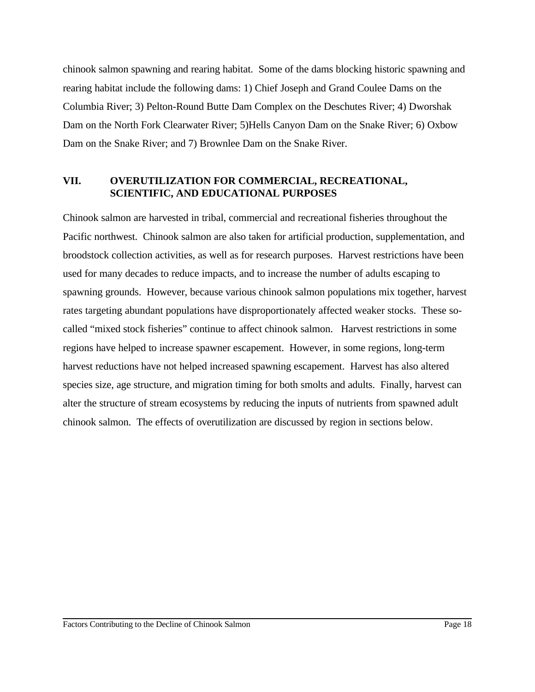chinook salmon spawning and rearing habitat. Some of the dams blocking historic spawning and rearing habitat include the following dams: 1) Chief Joseph and Grand Coulee Dams on the Columbia River; 3) Pelton-Round Butte Dam Complex on the Deschutes River; 4) Dworshak Dam on the North Fork Clearwater River; 5)Hells Canyon Dam on the Snake River; 6) Oxbow Dam on the Snake River; and 7) Brownlee Dam on the Snake River.

## **VII. OVERUTILIZATION FOR COMMERCIAL, RECREATIONAL, SCIENTIFIC, AND EDUCATIONAL PURPOSES**

Chinook salmon are harvested in tribal, commercial and recreational fisheries throughout the Pacific northwest. Chinook salmon are also taken for artificial production, supplementation, and broodstock collection activities, as well as for research purposes. Harvest restrictions have been used for many decades to reduce impacts, and to increase the number of adults escaping to spawning grounds. However, because various chinook salmon populations mix together, harvest rates targeting abundant populations have disproportionately affected weaker stocks. These socalled "mixed stock fisheries" continue to affect chinook salmon. Harvest restrictions in some regions have helped to increase spawner escapement. However, in some regions, long-term harvest reductions have not helped increased spawning escapement. Harvest has also altered species size, age structure, and migration timing for both smolts and adults. Finally, harvest can alter the structure of stream ecosystems by reducing the inputs of nutrients from spawned adult chinook salmon. The effects of overutilization are discussed by region in sections below.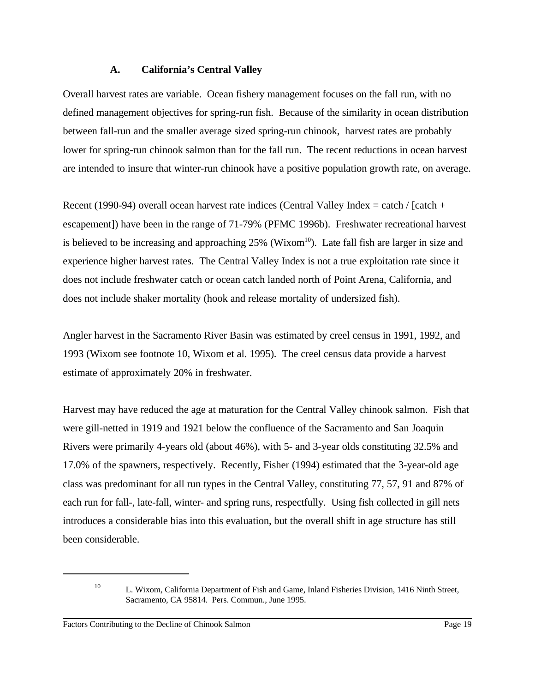#### **A. California's Central Valley**

Overall harvest rates are variable. Ocean fishery management focuses on the fall run, with no defined management objectives for spring-run fish. Because of the similarity in ocean distribution between fall-run and the smaller average sized spring-run chinook, harvest rates are probably lower for spring-run chinook salmon than for the fall run. The recent reductions in ocean harvest are intended to insure that winter-run chinook have a positive population growth rate, on average.

Recent (1990-94) overall ocean harvest rate indices (Central Valley Index  $=$  catch / [catch + escapement]) have been in the range of 71-79% (PFMC 1996b). Freshwater recreational harvest is believed to be increasing and approaching  $25\%$  (Wixom<sup>10</sup>). Late fall fish are larger in size and experience higher harvest rates. The Central Valley Index is not a true exploitation rate since it does not include freshwater catch or ocean catch landed north of Point Arena, California, and does not include shaker mortality (hook and release mortality of undersized fish).

Angler harvest in the Sacramento River Basin was estimated by creel census in 1991, 1992, and 1993 (Wixom see footnote 10, Wixom et al. 1995). The creel census data provide a harvest estimate of approximately 20% in freshwater.

Harvest may have reduced the age at maturation for the Central Valley chinook salmon. Fish that were gill-netted in 1919 and 1921 below the confluence of the Sacramento and San Joaquin Rivers were primarily 4-years old (about 46%), with 5- and 3-year olds constituting 32.5% and 17.0% of the spawners, respectively. Recently, Fisher (1994) estimated that the 3-year-old age class was predominant for all run types in the Central Valley, constituting 77, 57, 91 and 87% of each run for fall-, late-fall, winter- and spring runs, respectfully. Using fish collected in gill nets introduces a considerable bias into this evaluation, but the overall shift in age structure has still been considerable.

<sup>&</sup>lt;sup>10</sup> L. Wixom, California Department of Fish and Game, Inland Fisheries Division, 1416 Ninth Street, Sacramento, CA 95814. Pers. Commun., June 1995.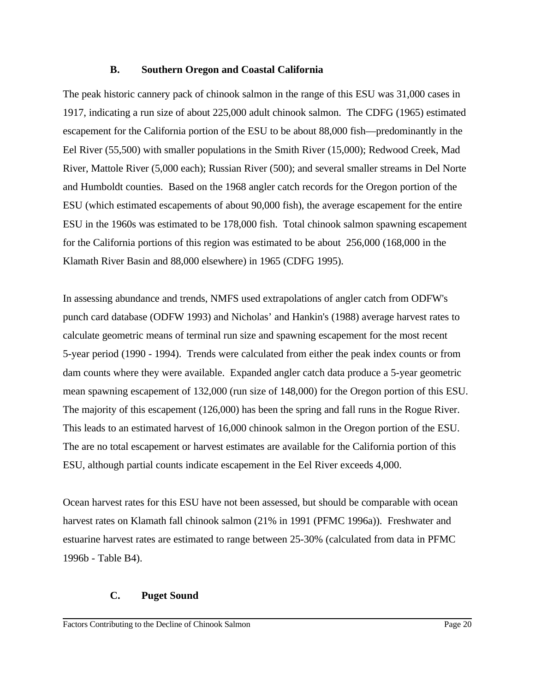#### **B. Southern Oregon and Coastal California**

The peak historic cannery pack of chinook salmon in the range of this ESU was 31,000 cases in 1917, indicating a run size of about 225,000 adult chinook salmon. The CDFG (1965) estimated escapement for the California portion of the ESU to be about 88,000 fish—predominantly in the Eel River (55,500) with smaller populations in the Smith River (15,000); Redwood Creek, Mad River, Mattole River (5,000 each); Russian River (500); and several smaller streams in Del Norte and Humboldt counties. Based on the 1968 angler catch records for the Oregon portion of the ESU (which estimated escapements of about 90,000 fish), the average escapement for the entire ESU in the 1960s was estimated to be 178,000 fish. Total chinook salmon spawning escapement for the California portions of this region was estimated to be about 256,000 (168,000 in the Klamath River Basin and 88,000 elsewhere) in 1965 (CDFG 1995).

In assessing abundance and trends, NMFS used extrapolations of angler catch from ODFW's punch card database (ODFW 1993) and Nicholas' and Hankin's (1988) average harvest rates to calculate geometric means of terminal run size and spawning escapement for the most recent 5-year period (1990 - 1994). Trends were calculated from either the peak index counts or from dam counts where they were available. Expanded angler catch data produce a 5-year geometric mean spawning escapement of 132,000 (run size of 148,000) for the Oregon portion of this ESU. The majority of this escapement (126,000) has been the spring and fall runs in the Rogue River. This leads to an estimated harvest of 16,000 chinook salmon in the Oregon portion of the ESU. The are no total escapement or harvest estimates are available for the California portion of this ESU, although partial counts indicate escapement in the Eel River exceeds 4,000.

Ocean harvest rates for this ESU have not been assessed, but should be comparable with ocean harvest rates on Klamath fall chinook salmon (21% in 1991 (PFMC 1996a)). Freshwater and estuarine harvest rates are estimated to range between 25-30% (calculated from data in PFMC 1996b - Table B4).

## **C. Puget Sound**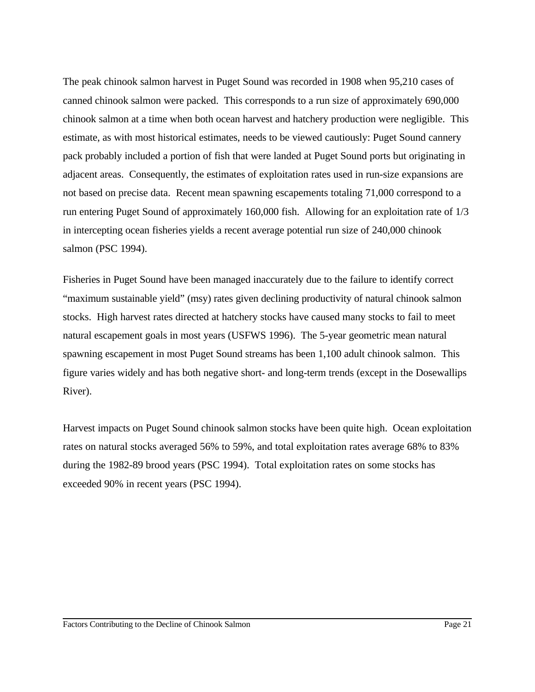The peak chinook salmon harvest in Puget Sound was recorded in 1908 when 95,210 cases of canned chinook salmon were packed. This corresponds to a run size of approximately 690,000 chinook salmon at a time when both ocean harvest and hatchery production were negligible. This estimate, as with most historical estimates, needs to be viewed cautiously: Puget Sound cannery pack probably included a portion of fish that were landed at Puget Sound ports but originating in adjacent areas. Consequently, the estimates of exploitation rates used in run-size expansions are not based on precise data. Recent mean spawning escapements totaling 71,000 correspond to a run entering Puget Sound of approximately 160,000 fish. Allowing for an exploitation rate of 1/3 in intercepting ocean fisheries yields a recent average potential run size of 240,000 chinook salmon (PSC 1994).

Fisheries in Puget Sound have been managed inaccurately due to the failure to identify correct "maximum sustainable yield" (msy) rates given declining productivity of natural chinook salmon stocks. High harvest rates directed at hatchery stocks have caused many stocks to fail to meet natural escapement goals in most years (USFWS 1996). The 5-year geometric mean natural spawning escapement in most Puget Sound streams has been 1,100 adult chinook salmon. This figure varies widely and has both negative short- and long-term trends (except in the Dosewallips River).

Harvest impacts on Puget Sound chinook salmon stocks have been quite high. Ocean exploitation rates on natural stocks averaged 56% to 59%, and total exploitation rates average 68% to 83% during the 1982-89 brood years (PSC 1994). Total exploitation rates on some stocks has exceeded 90% in recent years (PSC 1994).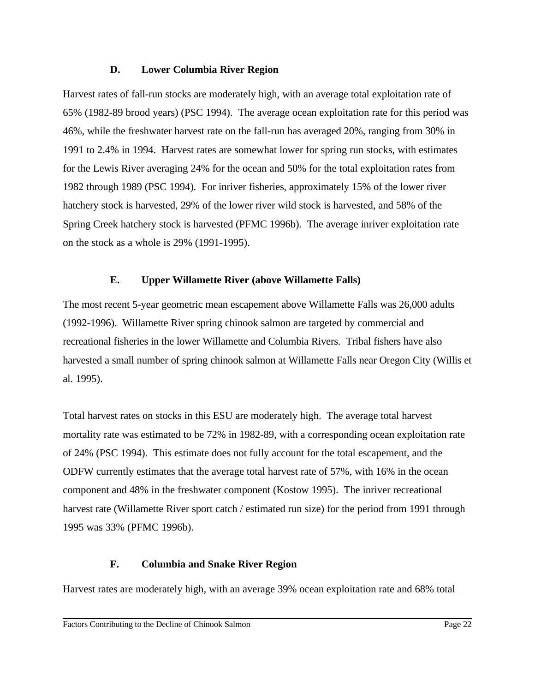#### **D. Lower Columbia River Region**

Harvest rates of fall-run stocks are moderately high, with an average total exploitation rate of 65% (1982-89 brood years) (PSC 1994). The average ocean exploitation rate for this period was 46%, while the freshwater harvest rate on the fall-run has averaged 20%, ranging from 30% in 1991 to 2.4% in 1994. Harvest rates are somewhat lower for spring run stocks, with estimates for the Lewis River averaging 24% for the ocean and 50% for the total exploitation rates from 1982 through 1989 (PSC 1994). For inriver fisheries, approximately 15% of the lower river hatchery stock is harvested, 29% of the lower river wild stock is harvested, and 58% of the Spring Creek hatchery stock is harvested (PFMC 1996b). The average inriver exploitation rate on the stock as a whole is 29% (1991-1995).

## **E. Upper Willamette River (above Willamette Falls)**

The most recent 5-year geometric mean escapement above Willamette Falls was 26,000 adults (1992-1996). Willamette River spring chinook salmon are targeted by commercial and recreational fisheries in the lower Willamette and Columbia Rivers. Tribal fishers have also harvested a small number of spring chinook salmon at Willamette Falls near Oregon City (Willis et al. 1995).

Total harvest rates on stocks in this ESU are moderately high. The average total harvest mortality rate was estimated to be 72% in 1982-89, with a corresponding ocean exploitation rate of 24% (PSC 1994). This estimate does not fully account for the total escapement, and the ODFW currently estimates that the average total harvest rate of 57%, with 16% in the ocean component and 48% in the freshwater component (Kostow 1995). The inriver recreational harvest rate (Willamette River sport catch / estimated run size) for the period from 1991 through 1995 was 33% (PFMC 1996b).

# **F. Columbia and Snake River Region**

Harvest rates are moderately high, with an average 39% ocean exploitation rate and 68% total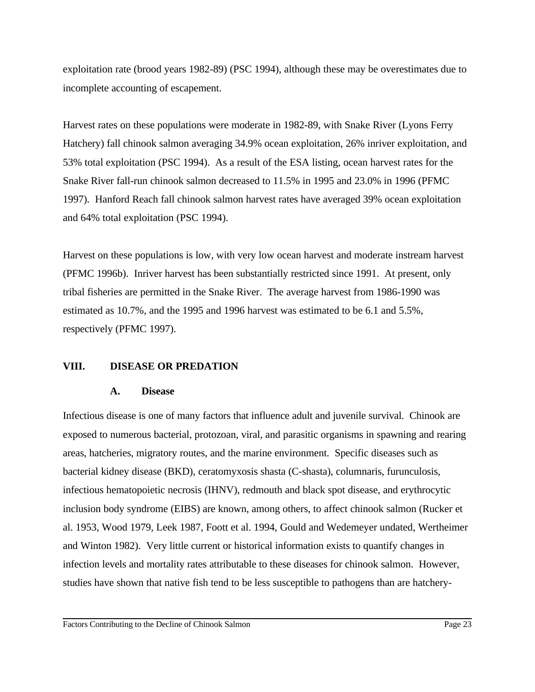exploitation rate (brood years 1982-89) (PSC 1994), although these may be overestimates due to incomplete accounting of escapement.

Harvest rates on these populations were moderate in 1982-89, with Snake River (Lyons Ferry Hatchery) fall chinook salmon averaging 34.9% ocean exploitation, 26% inriver exploitation, and 53% total exploitation (PSC 1994). As a result of the ESA listing, ocean harvest rates for the Snake River fall-run chinook salmon decreased to 11.5% in 1995 and 23.0% in 1996 (PFMC 1997). Hanford Reach fall chinook salmon harvest rates have averaged 39% ocean exploitation and 64% total exploitation (PSC 1994).

Harvest on these populations is low, with very low ocean harvest and moderate instream harvest (PFMC 1996b). Inriver harvest has been substantially restricted since 1991. At present, only tribal fisheries are permitted in the Snake River. The average harvest from 1986-1990 was estimated as 10.7%, and the 1995 and 1996 harvest was estimated to be 6.1 and 5.5%, respectively (PFMC 1997).

## **VIII. DISEASE OR PREDATION**

#### **A. Disease**

Infectious disease is one of many factors that influence adult and juvenile survival. Chinook are exposed to numerous bacterial, protozoan, viral, and parasitic organisms in spawning and rearing areas, hatcheries, migratory routes, and the marine environment. Specific diseases such as bacterial kidney disease (BKD), ceratomyxosis shasta (C-shasta), columnaris, furunculosis, infectious hematopoietic necrosis (IHNV), redmouth and black spot disease, and erythrocytic inclusion body syndrome (EIBS) are known, among others, to affect chinook salmon (Rucker et al. 1953, Wood 1979, Leek 1987, Foott et al. 1994, Gould and Wedemeyer undated, Wertheimer and Winton 1982). Very little current or historical information exists to quantify changes in infection levels and mortality rates attributable to these diseases for chinook salmon. However, studies have shown that native fish tend to be less susceptible to pathogens than are hatchery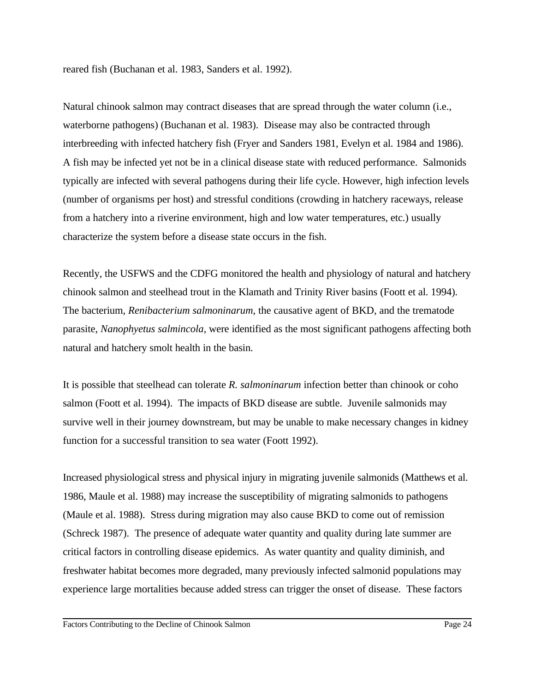reared fish (Buchanan et al. 1983, Sanders et al. 1992).

Natural chinook salmon may contract diseases that are spread through the water column (i.e., waterborne pathogens) (Buchanan et al. 1983). Disease may also be contracted through interbreeding with infected hatchery fish (Fryer and Sanders 1981, Evelyn et al. 1984 and 1986). A fish may be infected yet not be in a clinical disease state with reduced performance. Salmonids typically are infected with several pathogens during their life cycle. However, high infection levels (number of organisms per host) and stressful conditions (crowding in hatchery raceways, release from a hatchery into a riverine environment, high and low water temperatures, etc.) usually characterize the system before a disease state occurs in the fish.

Recently, the USFWS and the CDFG monitored the health and physiology of natural and hatchery chinook salmon and steelhead trout in the Klamath and Trinity River basins (Foott et al. 1994). The bacterium, *Renibacterium salmoninarum*, the causative agent of BKD, and the trematode parasite, *Nanophyetus salmincola*, were identified as the most significant pathogens affecting both natural and hatchery smolt health in the basin.

It is possible that steelhead can tolerate *R. salmoninarum* infection better than chinook or coho salmon (Foott et al. 1994). The impacts of BKD disease are subtle. Juvenile salmonids may survive well in their journey downstream, but may be unable to make necessary changes in kidney function for a successful transition to sea water (Foott 1992).

Increased physiological stress and physical injury in migrating juvenile salmonids (Matthews et al. 1986, Maule et al. 1988) may increase the susceptibility of migrating salmonids to pathogens (Maule et al. 1988). Stress during migration may also cause BKD to come out of remission (Schreck 1987). The presence of adequate water quantity and quality during late summer are critical factors in controlling disease epidemics. As water quantity and quality diminish, and freshwater habitat becomes more degraded, many previously infected salmonid populations may experience large mortalities because added stress can trigger the onset of disease. These factors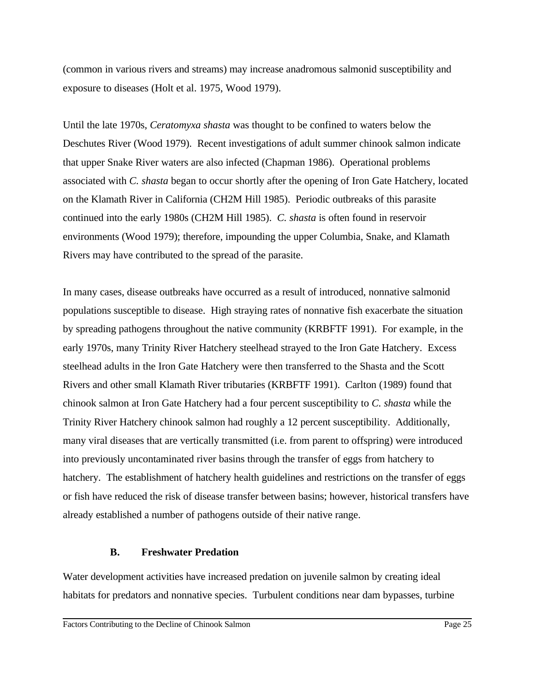(common in various rivers and streams) may increase anadromous salmonid susceptibility and exposure to diseases (Holt et al. 1975, Wood 1979).

Until the late 1970s, *Ceratomyxa shasta* was thought to be confined to waters below the Deschutes River (Wood 1979). Recent investigations of adult summer chinook salmon indicate that upper Snake River waters are also infected (Chapman 1986). Operational problems associated with *C. shasta* began to occur shortly after the opening of Iron Gate Hatchery, located on the Klamath River in California (CH2M Hill 1985). Periodic outbreaks of this parasite continued into the early 1980s (CH2M Hill 1985). *C. shasta* is often found in reservoir environments (Wood 1979); therefore, impounding the upper Columbia, Snake, and Klamath Rivers may have contributed to the spread of the parasite.

In many cases, disease outbreaks have occurred as a result of introduced, nonnative salmonid populations susceptible to disease. High straying rates of nonnative fish exacerbate the situation by spreading pathogens throughout the native community (KRBFTF 1991). For example, in the early 1970s, many Trinity River Hatchery steelhead strayed to the Iron Gate Hatchery. Excess steelhead adults in the Iron Gate Hatchery were then transferred to the Shasta and the Scott Rivers and other small Klamath River tributaries (KRBFTF 1991). Carlton (1989) found that chinook salmon at Iron Gate Hatchery had a four percent susceptibility to *C. shasta* while the Trinity River Hatchery chinook salmon had roughly a 12 percent susceptibility. Additionally, many viral diseases that are vertically transmitted (i.e. from parent to offspring) were introduced into previously uncontaminated river basins through the transfer of eggs from hatchery to hatchery. The establishment of hatchery health guidelines and restrictions on the transfer of eggs or fish have reduced the risk of disease transfer between basins; however, historical transfers have already established a number of pathogens outside of their native range.

#### **B. Freshwater Predation**

Water development activities have increased predation on juvenile salmon by creating ideal habitats for predators and nonnative species. Turbulent conditions near dam bypasses, turbine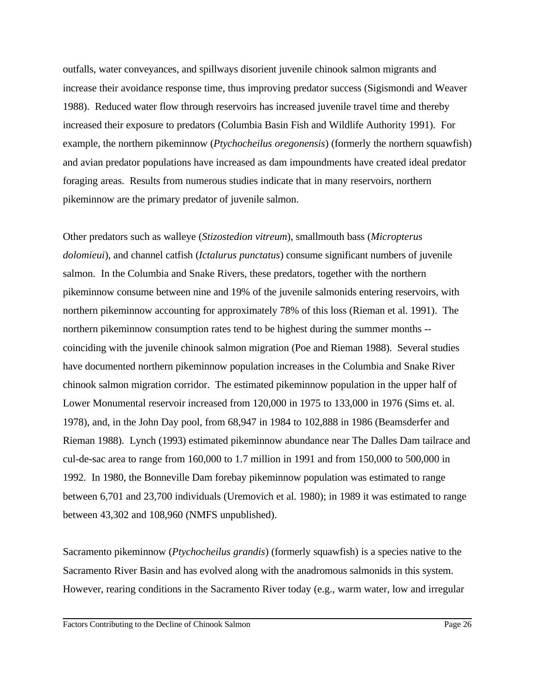outfalls, water conveyances, and spillways disorient juvenile chinook salmon migrants and increase their avoidance response time, thus improving predator success (Sigismondi and Weaver 1988). Reduced water flow through reservoirs has increased juvenile travel time and thereby increased their exposure to predators (Columbia Basin Fish and Wildlife Authority 1991). For example, the northern pikeminnow (*Ptychocheilus oregonensis*) (formerly the northern squawfish) and avian predator populations have increased as dam impoundments have created ideal predator foraging areas. Results from numerous studies indicate that in many reservoirs, northern pikeminnow are the primary predator of juvenile salmon.

Other predators such as walleye (*Stizostedion vitreum*), smallmouth bass (*Micropterus dolomieui*), and channel catfish (*Ictalurus punctatus*) consume significant numbers of juvenile salmon. In the Columbia and Snake Rivers, these predators, together with the northern pikeminnow consume between nine and 19% of the juvenile salmonids entering reservoirs, with northern pikeminnow accounting for approximately 78% of this loss (Rieman et al. 1991). The northern pikeminnow consumption rates tend to be highest during the summer months - coinciding with the juvenile chinook salmon migration (Poe and Rieman 1988). Several studies have documented northern pikeminnow population increases in the Columbia and Snake River chinook salmon migration corridor. The estimated pikeminnow population in the upper half of Lower Monumental reservoir increased from 120,000 in 1975 to 133,000 in 1976 (Sims et. al. 1978), and, in the John Day pool, from 68,947 in 1984 to 102,888 in 1986 (Beamsderfer and Rieman 1988). Lynch (1993) estimated pikeminnow abundance near The Dalles Dam tailrace and cul-de-sac area to range from 160,000 to 1.7 million in 1991 and from 150,000 to 500,000 in 1992. In 1980, the Bonneville Dam forebay pikeminnow population was estimated to range between 6,701 and 23,700 individuals (Uremovich et al. 1980); in 1989 it was estimated to range between 43,302 and 108,960 (NMFS unpublished).

Sacramento pikeminnow (*Ptychocheilus grandis*) (formerly squawfish) is a species native to the Sacramento River Basin and has evolved along with the anadromous salmonids in this system. However, rearing conditions in the Sacramento River today (e.g., warm water, low and irregular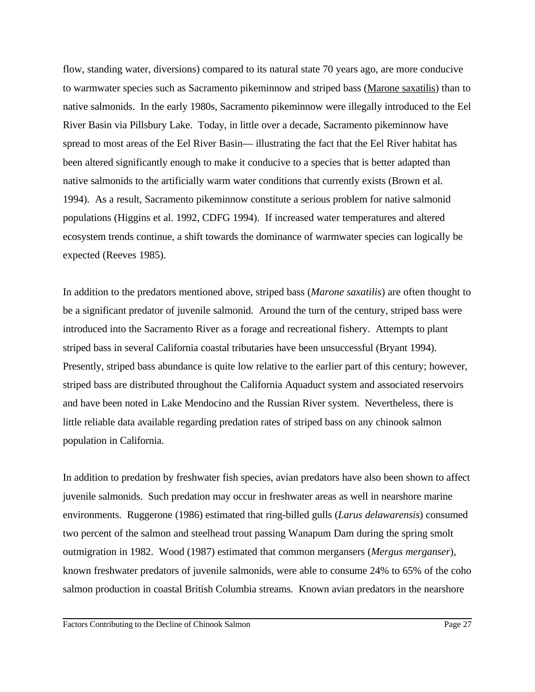flow, standing water, diversions) compared to its natural state 70 years ago, are more conducive to warmwater species such as Sacramento pikeminnow and striped bass (Marone saxatilis) than to native salmonids. In the early 1980s, Sacramento pikeminnow were illegally introduced to the Eel River Basin via Pillsbury Lake. Today, in little over a decade, Sacramento pikeminnow have spread to most areas of the Eel River Basin— illustrating the fact that the Eel River habitat has been altered significantly enough to make it conducive to a species that is better adapted than native salmonids to the artificially warm water conditions that currently exists (Brown et al. 1994). As a result, Sacramento pikeminnow constitute a serious problem for native salmonid populations (Higgins et al. 1992, CDFG 1994). If increased water temperatures and altered ecosystem trends continue, a shift towards the dominance of warmwater species can logically be expected (Reeves 1985).

In addition to the predators mentioned above, striped bass (*Marone saxatilis*) are often thought to be a significant predator of juvenile salmonid. Around the turn of the century, striped bass were introduced into the Sacramento River as a forage and recreational fishery. Attempts to plant striped bass in several California coastal tributaries have been unsuccessful (Bryant 1994). Presently, striped bass abundance is quite low relative to the earlier part of this century; however, striped bass are distributed throughout the California Aquaduct system and associated reservoirs and have been noted in Lake Mendocino and the Russian River system. Nevertheless, there is little reliable data available regarding predation rates of striped bass on any chinook salmon population in California.

In addition to predation by freshwater fish species, avian predators have also been shown to affect juvenile salmonids. Such predation may occur in freshwater areas as well in nearshore marine environments. Ruggerone (1986) estimated that ring-billed gulls (*Larus delawarensis*) consumed two percent of the salmon and steelhead trout passing Wanapum Dam during the spring smolt outmigration in 1982. Wood (1987) estimated that common mergansers (*Mergus merganser*), known freshwater predators of juvenile salmonids, were able to consume 24% to 65% of the coho salmon production in coastal British Columbia streams. Known avian predators in the nearshore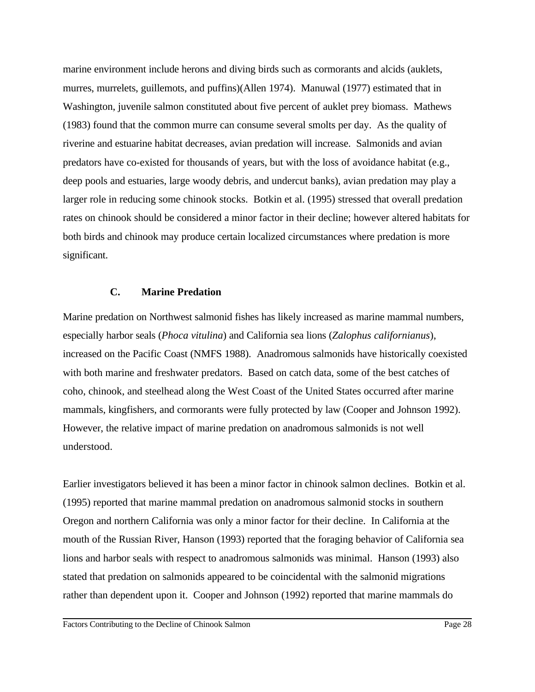marine environment include herons and diving birds such as cormorants and alcids (auklets, murres, murrelets, guillemots, and puffins)(Allen 1974). Manuwal (1977) estimated that in Washington, juvenile salmon constituted about five percent of auklet prey biomass. Mathews (1983) found that the common murre can consume several smolts per day. As the quality of riverine and estuarine habitat decreases, avian predation will increase. Salmonids and avian predators have co-existed for thousands of years, but with the loss of avoidance habitat (e.g., deep pools and estuaries, large woody debris, and undercut banks), avian predation may play a larger role in reducing some chinook stocks. Botkin et al. (1995) stressed that overall predation rates on chinook should be considered a minor factor in their decline; however altered habitats for both birds and chinook may produce certain localized circumstances where predation is more significant.

#### **C. Marine Predation**

Marine predation on Northwest salmonid fishes has likely increased as marine mammal numbers, especially harbor seals (*Phoca vitulina*) and California sea lions (*Zalophus californianus*), increased on the Pacific Coast (NMFS 1988). Anadromous salmonids have historically coexisted with both marine and freshwater predators. Based on catch data, some of the best catches of coho, chinook, and steelhead along the West Coast of the United States occurred after marine mammals, kingfishers, and cormorants were fully protected by law (Cooper and Johnson 1992). However, the relative impact of marine predation on anadromous salmonids is not well understood.

Earlier investigators believed it has been a minor factor in chinook salmon declines. Botkin et al. (1995) reported that marine mammal predation on anadromous salmonid stocks in southern Oregon and northern California was only a minor factor for their decline. In California at the mouth of the Russian River, Hanson (1993) reported that the foraging behavior of California sea lions and harbor seals with respect to anadromous salmonids was minimal. Hanson (1993) also stated that predation on salmonids appeared to be coincidental with the salmonid migrations rather than dependent upon it. Cooper and Johnson (1992) reported that marine mammals do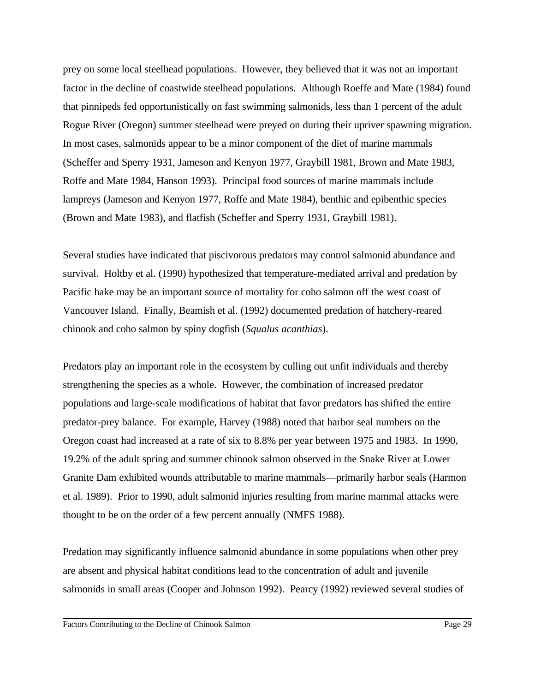prey on some local steelhead populations. However, they believed that it was not an important factor in the decline of coastwide steelhead populations. Although Roeffe and Mate (1984) found that pinnipeds fed opportunistically on fast swimming salmonids, less than 1 percent of the adult Rogue River (Oregon) summer steelhead were preyed on during their upriver spawning migration. In most cases, salmonids appear to be a minor component of the diet of marine mammals (Scheffer and Sperry 1931, Jameson and Kenyon 1977, Graybill 1981, Brown and Mate 1983, Roffe and Mate 1984, Hanson 1993). Principal food sources of marine mammals include lampreys (Jameson and Kenyon 1977, Roffe and Mate 1984), benthic and epibenthic species (Brown and Mate 1983), and flatfish (Scheffer and Sperry 1931, Graybill 1981).

Several studies have indicated that piscivorous predators may control salmonid abundance and survival. Holtby et al. (1990) hypothesized that temperature-mediated arrival and predation by Pacific hake may be an important source of mortality for coho salmon off the west coast of Vancouver Island. Finally, Beamish et al. (1992) documented predation of hatchery-reared chinook and coho salmon by spiny dogfish (*Squalus acanthias*).

Predators play an important role in the ecosystem by culling out unfit individuals and thereby strengthening the species as a whole. However, the combination of increased predator populations and large-scale modifications of habitat that favor predators has shifted the entire predator-prey balance. For example, Harvey (1988) noted that harbor seal numbers on the Oregon coast had increased at a rate of six to 8.8% per year between 1975 and 1983. In 1990, 19.2% of the adult spring and summer chinook salmon observed in the Snake River at Lower Granite Dam exhibited wounds attributable to marine mammals—primarily harbor seals (Harmon et al. 1989). Prior to 1990, adult salmonid injuries resulting from marine mammal attacks were thought to be on the order of a few percent annually (NMFS 1988).

Predation may significantly influence salmonid abundance in some populations when other prey are absent and physical habitat conditions lead to the concentration of adult and juvenile salmonids in small areas (Cooper and Johnson 1992). Pearcy (1992) reviewed several studies of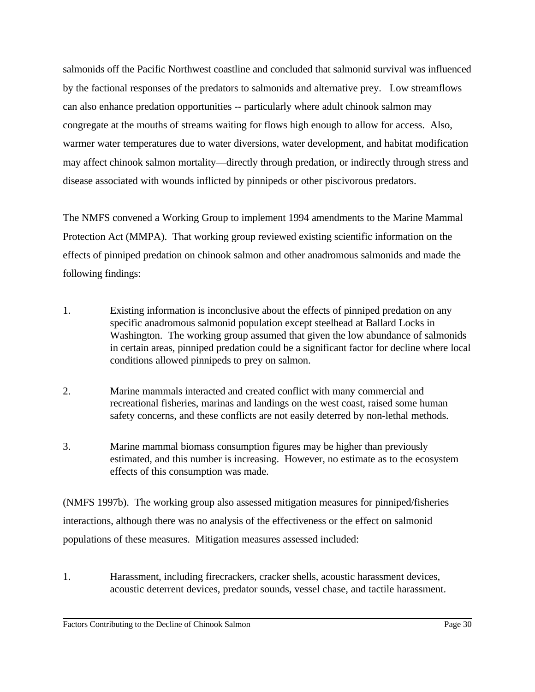salmonids off the Pacific Northwest coastline and concluded that salmonid survival was influenced by the factional responses of the predators to salmonids and alternative prey. Low streamflows can also enhance predation opportunities -- particularly where adult chinook salmon may congregate at the mouths of streams waiting for flows high enough to allow for access. Also, warmer water temperatures due to water diversions, water development, and habitat modification may affect chinook salmon mortality—directly through predation, or indirectly through stress and disease associated with wounds inflicted by pinnipeds or other piscivorous predators.

The NMFS convened a Working Group to implement 1994 amendments to the Marine Mammal Protection Act (MMPA). That working group reviewed existing scientific information on the effects of pinniped predation on chinook salmon and other anadromous salmonids and made the following findings:

- 1. Existing information is inconclusive about the effects of pinniped predation on any specific anadromous salmonid population except steelhead at Ballard Locks in Washington. The working group assumed that given the low abundance of salmonids in certain areas, pinniped predation could be a significant factor for decline where local conditions allowed pinnipeds to prey on salmon.
- 2. Marine mammals interacted and created conflict with many commercial and recreational fisheries, marinas and landings on the west coast, raised some human safety concerns, and these conflicts are not easily deterred by non-lethal methods.
- 3. Marine mammal biomass consumption figures may be higher than previously estimated, and this number is increasing. However, no estimate as to the ecosystem effects of this consumption was made.

(NMFS 1997b). The working group also assessed mitigation measures for pinniped/fisheries interactions, although there was no analysis of the effectiveness or the effect on salmonid populations of these measures. Mitigation measures assessed included:

1. Harassment, including firecrackers, cracker shells, acoustic harassment devices, acoustic deterrent devices, predator sounds, vessel chase, and tactile harassment.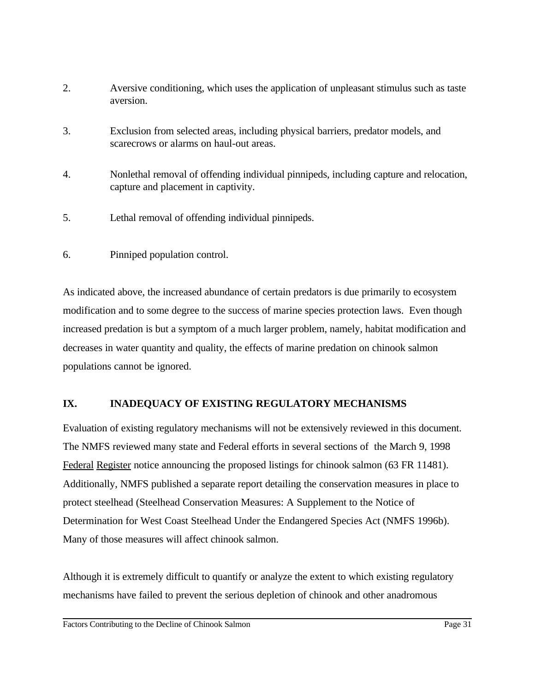- 2. Aversive conditioning, which uses the application of unpleasant stimulus such as taste aversion.
- 3. Exclusion from selected areas, including physical barriers, predator models, and scarecrows or alarms on haul-out areas.
- 4. Nonlethal removal of offending individual pinnipeds, including capture and relocation, capture and placement in captivity.
- 5. Lethal removal of offending individual pinnipeds.
- 6. Pinniped population control.

As indicated above, the increased abundance of certain predators is due primarily to ecosystem modification and to some degree to the success of marine species protection laws. Even though increased predation is but a symptom of a much larger problem, namely, habitat modification and decreases in water quantity and quality, the effects of marine predation on chinook salmon populations cannot be ignored.

# **IX. INADEQUACY OF EXISTING REGULATORY MECHANISMS**

Evaluation of existing regulatory mechanisms will not be extensively reviewed in this document. The NMFS reviewed many state and Federal efforts in several sections of the March 9, 1998 Federal Register notice announcing the proposed listings for chinook salmon (63 FR 11481). Additionally, NMFS published a separate report detailing the conservation measures in place to protect steelhead (Steelhead Conservation Measures: A Supplement to the Notice of Determination for West Coast Steelhead Under the Endangered Species Act (NMFS 1996b). Many of those measures will affect chinook salmon.

Although it is extremely difficult to quantify or analyze the extent to which existing regulatory mechanisms have failed to prevent the serious depletion of chinook and other anadromous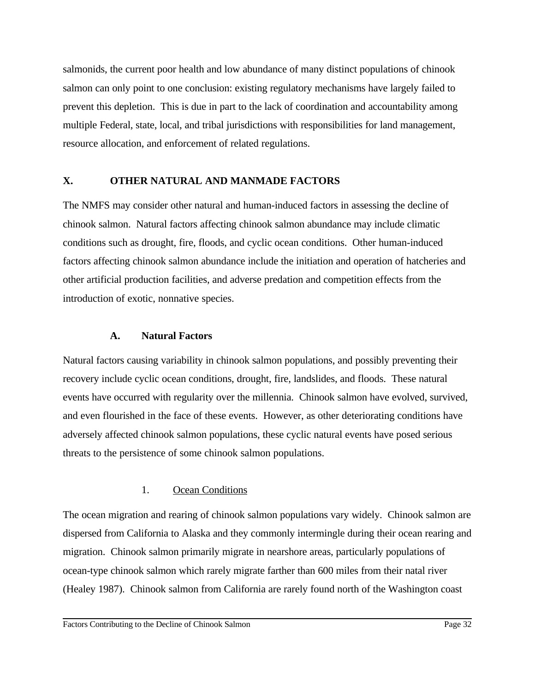salmonids, the current poor health and low abundance of many distinct populations of chinook salmon can only point to one conclusion: existing regulatory mechanisms have largely failed to prevent this depletion. This is due in part to the lack of coordination and accountability among multiple Federal, state, local, and tribal jurisdictions with responsibilities for land management, resource allocation, and enforcement of related regulations.

## **X. OTHER NATURAL AND MANMADE FACTORS**

The NMFS may consider other natural and human-induced factors in assessing the decline of chinook salmon. Natural factors affecting chinook salmon abundance may include climatic conditions such as drought, fire, floods, and cyclic ocean conditions. Other human-induced factors affecting chinook salmon abundance include the initiation and operation of hatcheries and other artificial production facilities, and adverse predation and competition effects from the introduction of exotic, nonnative species.

## **A. Natural Factors**

Natural factors causing variability in chinook salmon populations, and possibly preventing their recovery include cyclic ocean conditions, drought, fire, landslides, and floods. These natural events have occurred with regularity over the millennia. Chinook salmon have evolved, survived, and even flourished in the face of these events. However, as other deteriorating conditions have adversely affected chinook salmon populations, these cyclic natural events have posed serious threats to the persistence of some chinook salmon populations.

# 1. Ocean Conditions

The ocean migration and rearing of chinook salmon populations vary widely. Chinook salmon are dispersed from California to Alaska and they commonly intermingle during their ocean rearing and migration. Chinook salmon primarily migrate in nearshore areas, particularly populations of ocean-type chinook salmon which rarely migrate farther than 600 miles from their natal river (Healey 1987). Chinook salmon from California are rarely found north of the Washington coast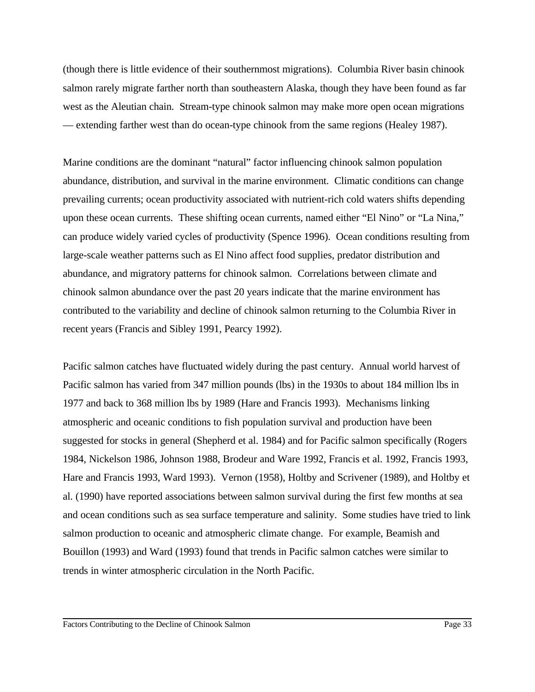(though there is little evidence of their southernmost migrations). Columbia River basin chinook salmon rarely migrate farther north than southeastern Alaska, though they have been found as far west as the Aleutian chain. Stream-type chinook salmon may make more open ocean migrations — extending farther west than do ocean-type chinook from the same regions (Healey 1987).

Marine conditions are the dominant "natural" factor influencing chinook salmon population abundance, distribution, and survival in the marine environment. Climatic conditions can change prevailing currents; ocean productivity associated with nutrient-rich cold waters shifts depending upon these ocean currents. These shifting ocean currents, named either "El Nino" or "La Nina," can produce widely varied cycles of productivity (Spence 1996). Ocean conditions resulting from large-scale weather patterns such as El Nino affect food supplies, predator distribution and abundance, and migratory patterns for chinook salmon. Correlations between climate and chinook salmon abundance over the past 20 years indicate that the marine environment has contributed to the variability and decline of chinook salmon returning to the Columbia River in recent years (Francis and Sibley 1991, Pearcy 1992).

Pacific salmon catches have fluctuated widely during the past century. Annual world harvest of Pacific salmon has varied from 347 million pounds (lbs) in the 1930s to about 184 million lbs in 1977 and back to 368 million lbs by 1989 (Hare and Francis 1993). Mechanisms linking atmospheric and oceanic conditions to fish population survival and production have been suggested for stocks in general (Shepherd et al. 1984) and for Pacific salmon specifically (Rogers 1984, Nickelson 1986, Johnson 1988, Brodeur and Ware 1992, Francis et al. 1992, Francis 1993, Hare and Francis 1993, Ward 1993). Vernon (1958), Holtby and Scrivener (1989), and Holtby et al. (1990) have reported associations between salmon survival during the first few months at sea and ocean conditions such as sea surface temperature and salinity. Some studies have tried to link salmon production to oceanic and atmospheric climate change. For example, Beamish and Bouillon (1993) and Ward (1993) found that trends in Pacific salmon catches were similar to trends in winter atmospheric circulation in the North Pacific.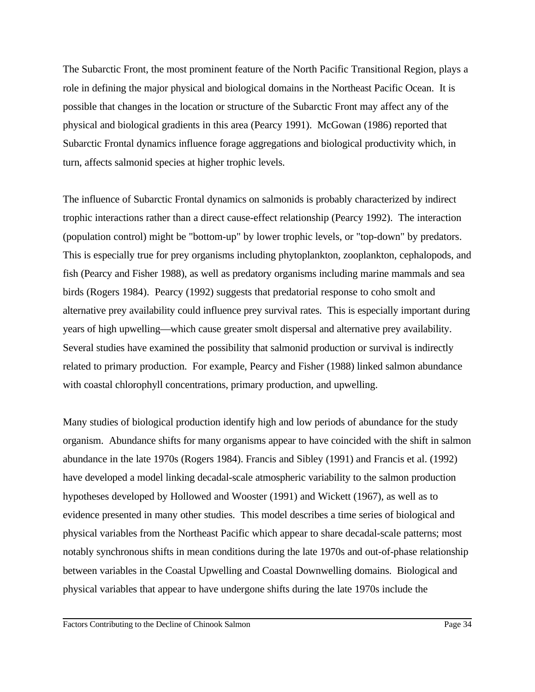The Subarctic Front, the most prominent feature of the North Pacific Transitional Region, plays a role in defining the major physical and biological domains in the Northeast Pacific Ocean. It is possible that changes in the location or structure of the Subarctic Front may affect any of the physical and biological gradients in this area (Pearcy 1991). McGowan (1986) reported that Subarctic Frontal dynamics influence forage aggregations and biological productivity which, in turn, affects salmonid species at higher trophic levels.

The influence of Subarctic Frontal dynamics on salmonids is probably characterized by indirect trophic interactions rather than a direct cause-effect relationship (Pearcy 1992). The interaction (population control) might be "bottom-up" by lower trophic levels, or "top-down" by predators. This is especially true for prey organisms including phytoplankton, zooplankton, cephalopods, and fish (Pearcy and Fisher 1988), as well as predatory organisms including marine mammals and sea birds (Rogers 1984). Pearcy (1992) suggests that predatorial response to coho smolt and alternative prey availability could influence prey survival rates. This is especially important during years of high upwelling—which cause greater smolt dispersal and alternative prey availability. Several studies have examined the possibility that salmonid production or survival is indirectly related to primary production. For example, Pearcy and Fisher (1988) linked salmon abundance with coastal chlorophyll concentrations, primary production, and upwelling.

Many studies of biological production identify high and low periods of abundance for the study organism. Abundance shifts for many organisms appear to have coincided with the shift in salmon abundance in the late 1970s (Rogers 1984). Francis and Sibley (1991) and Francis et al. (1992) have developed a model linking decadal-scale atmospheric variability to the salmon production hypotheses developed by Hollowed and Wooster (1991) and Wickett (1967), as well as to evidence presented in many other studies. This model describes a time series of biological and physical variables from the Northeast Pacific which appear to share decadal-scale patterns; most notably synchronous shifts in mean conditions during the late 1970s and out-of-phase relationship between variables in the Coastal Upwelling and Coastal Downwelling domains. Biological and physical variables that appear to have undergone shifts during the late 1970s include the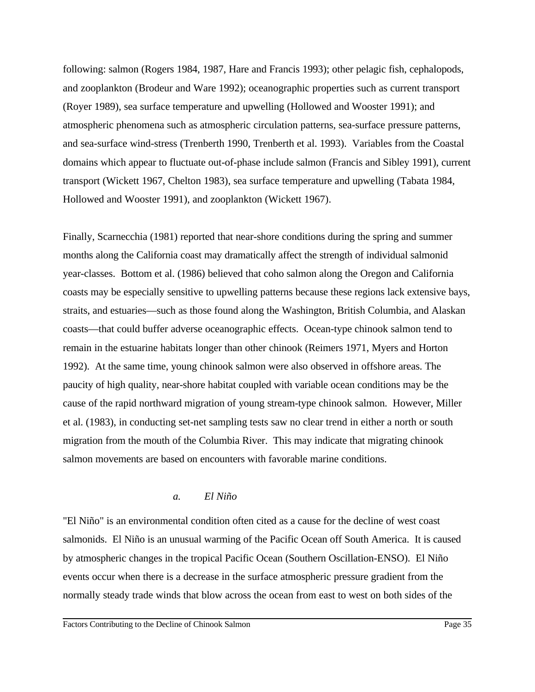following: salmon (Rogers 1984, 1987, Hare and Francis 1993); other pelagic fish, cephalopods, and zooplankton (Brodeur and Ware 1992); oceanographic properties such as current transport (Royer 1989), sea surface temperature and upwelling (Hollowed and Wooster 1991); and atmospheric phenomena such as atmospheric circulation patterns, sea-surface pressure patterns, and sea-surface wind-stress (Trenberth 1990, Trenberth et al. 1993). Variables from the Coastal domains which appear to fluctuate out-of-phase include salmon (Francis and Sibley 1991), current transport (Wickett 1967, Chelton 1983), sea surface temperature and upwelling (Tabata 1984, Hollowed and Wooster 1991), and zooplankton (Wickett 1967).

Finally, Scarnecchia (1981) reported that near-shore conditions during the spring and summer months along the California coast may dramatically affect the strength of individual salmonid year-classes. Bottom et al. (1986) believed that coho salmon along the Oregon and California coasts may be especially sensitive to upwelling patterns because these regions lack extensive bays, straits, and estuaries—such as those found along the Washington, British Columbia, and Alaskan coasts—that could buffer adverse oceanographic effects. Ocean-type chinook salmon tend to remain in the estuarine habitats longer than other chinook (Reimers 1971, Myers and Horton 1992). At the same time, young chinook salmon were also observed in offshore areas. The paucity of high quality, near-shore habitat coupled with variable ocean conditions may be the cause of the rapid northward migration of young stream-type chinook salmon. However, Miller et al. (1983), in conducting set-net sampling tests saw no clear trend in either a north or south migration from the mouth of the Columbia River. This may indicate that migrating chinook salmon movements are based on encounters with favorable marine conditions.

#### *a. El Niño*

"El Niño" is an environmental condition often cited as a cause for the decline of west coast salmonids. El Niño is an unusual warming of the Pacific Ocean off South America. It is caused by atmospheric changes in the tropical Pacific Ocean (Southern Oscillation-ENSO). El Niño events occur when there is a decrease in the surface atmospheric pressure gradient from the normally steady trade winds that blow across the ocean from east to west on both sides of the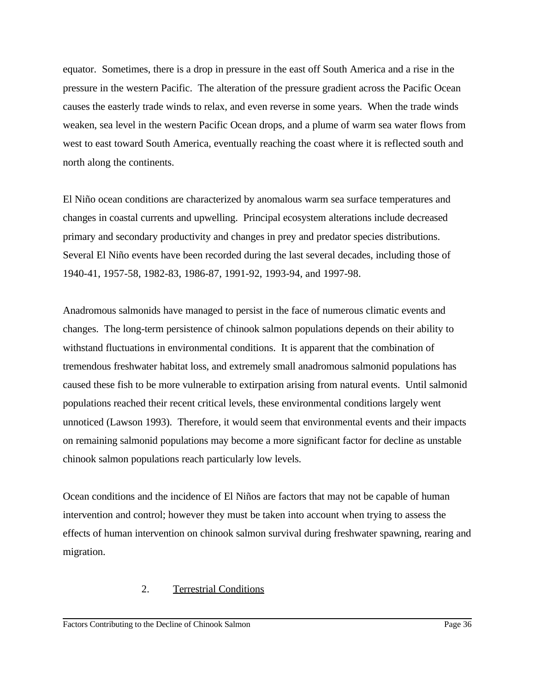equator. Sometimes, there is a drop in pressure in the east off South America and a rise in the pressure in the western Pacific. The alteration of the pressure gradient across the Pacific Ocean causes the easterly trade winds to relax, and even reverse in some years. When the trade winds weaken, sea level in the western Pacific Ocean drops, and a plume of warm sea water flows from west to east toward South America, eventually reaching the coast where it is reflected south and north along the continents.

El Niño ocean conditions are characterized by anomalous warm sea surface temperatures and changes in coastal currents and upwelling. Principal ecosystem alterations include decreased primary and secondary productivity and changes in prey and predator species distributions. Several El Niño events have been recorded during the last several decades, including those of 1940-41, 1957-58, 1982-83, 1986-87, 1991-92, 1993-94, and 1997-98.

Anadromous salmonids have managed to persist in the face of numerous climatic events and changes. The long-term persistence of chinook salmon populations depends on their ability to withstand fluctuations in environmental conditions. It is apparent that the combination of tremendous freshwater habitat loss, and extremely small anadromous salmonid populations has caused these fish to be more vulnerable to extirpation arising from natural events. Until salmonid populations reached their recent critical levels, these environmental conditions largely went unnoticed (Lawson 1993). Therefore, it would seem that environmental events and their impacts on remaining salmonid populations may become a more significant factor for decline as unstable chinook salmon populations reach particularly low levels.

Ocean conditions and the incidence of El Niños are factors that may not be capable of human intervention and control; however they must be taken into account when trying to assess the effects of human intervention on chinook salmon survival during freshwater spawning, rearing and migration.

## 2. Terrestrial Conditions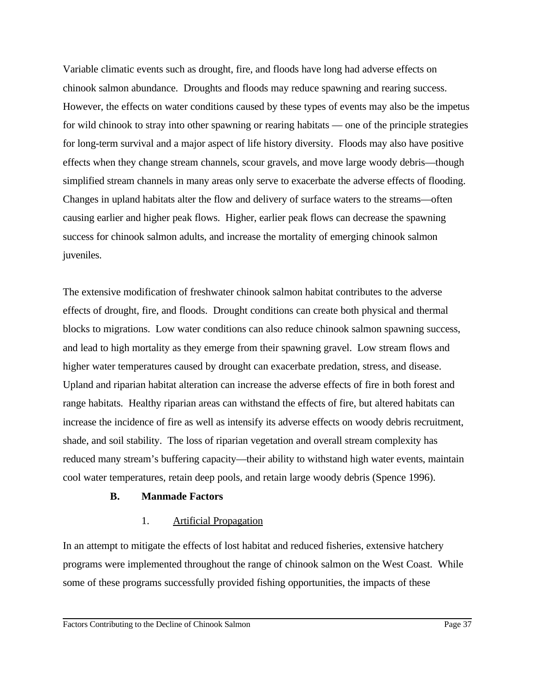Variable climatic events such as drought, fire, and floods have long had adverse effects on chinook salmon abundance. Droughts and floods may reduce spawning and rearing success. However, the effects on water conditions caused by these types of events may also be the impetus for wild chinook to stray into other spawning or rearing habitats — one of the principle strategies for long-term survival and a major aspect of life history diversity. Floods may also have positive effects when they change stream channels, scour gravels, and move large woody debris—though simplified stream channels in many areas only serve to exacerbate the adverse effects of flooding. Changes in upland habitats alter the flow and delivery of surface waters to the streams—often causing earlier and higher peak flows. Higher, earlier peak flows can decrease the spawning success for chinook salmon adults, and increase the mortality of emerging chinook salmon juveniles.

The extensive modification of freshwater chinook salmon habitat contributes to the adverse effects of drought, fire, and floods. Drought conditions can create both physical and thermal blocks to migrations. Low water conditions can also reduce chinook salmon spawning success, and lead to high mortality as they emerge from their spawning gravel. Low stream flows and higher water temperatures caused by drought can exacerbate predation, stress, and disease. Upland and riparian habitat alteration can increase the adverse effects of fire in both forest and range habitats. Healthy riparian areas can withstand the effects of fire, but altered habitats can increase the incidence of fire as well as intensify its adverse effects on woody debris recruitment, shade, and soil stability. The loss of riparian vegetation and overall stream complexity has reduced many stream's buffering capacity—their ability to withstand high water events, maintain cool water temperatures, retain deep pools, and retain large woody debris (Spence 1996).

## **B. Manmade Factors**

## 1. Artificial Propagation

In an attempt to mitigate the effects of lost habitat and reduced fisheries, extensive hatchery programs were implemented throughout the range of chinook salmon on the West Coast. While some of these programs successfully provided fishing opportunities, the impacts of these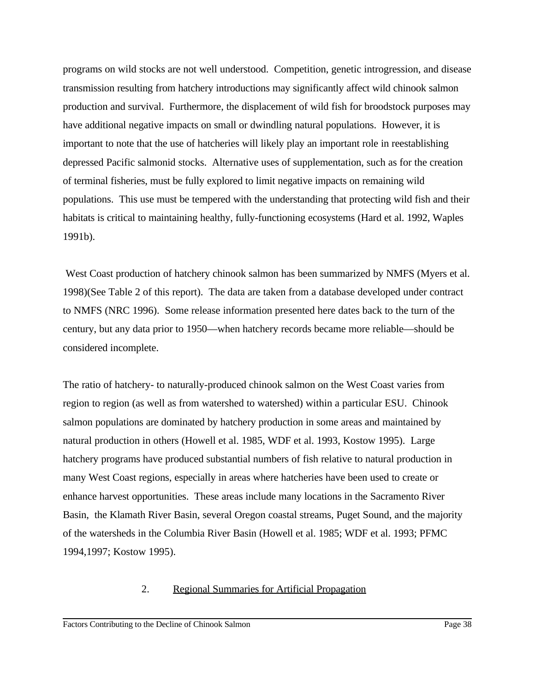programs on wild stocks are not well understood. Competition, genetic introgression, and disease transmission resulting from hatchery introductions may significantly affect wild chinook salmon production and survival. Furthermore, the displacement of wild fish for broodstock purposes may have additional negative impacts on small or dwindling natural populations. However, it is important to note that the use of hatcheries will likely play an important role in reestablishing depressed Pacific salmonid stocks. Alternative uses of supplementation, such as for the creation of terminal fisheries, must be fully explored to limit negative impacts on remaining wild populations. This use must be tempered with the understanding that protecting wild fish and their habitats is critical to maintaining healthy, fully-functioning ecosystems (Hard et al. 1992, Waples 1991b).

 West Coast production of hatchery chinook salmon has been summarized by NMFS (Myers et al. 1998)(See Table 2 of this report). The data are taken from a database developed under contract to NMFS (NRC 1996). Some release information presented here dates back to the turn of the century, but any data prior to 1950—when hatchery records became more reliable—should be considered incomplete.

The ratio of hatchery- to naturally-produced chinook salmon on the West Coast varies from region to region (as well as from watershed to watershed) within a particular ESU. Chinook salmon populations are dominated by hatchery production in some areas and maintained by natural production in others (Howell et al. 1985, WDF et al. 1993, Kostow 1995). Large hatchery programs have produced substantial numbers of fish relative to natural production in many West Coast regions, especially in areas where hatcheries have been used to create or enhance harvest opportunities. These areas include many locations in the Sacramento River Basin, the Klamath River Basin, several Oregon coastal streams, Puget Sound, and the majority of the watersheds in the Columbia River Basin (Howell et al. 1985; WDF et al. 1993; PFMC 1994,1997; Kostow 1995).

## 2. Regional Summaries for Artificial Propagation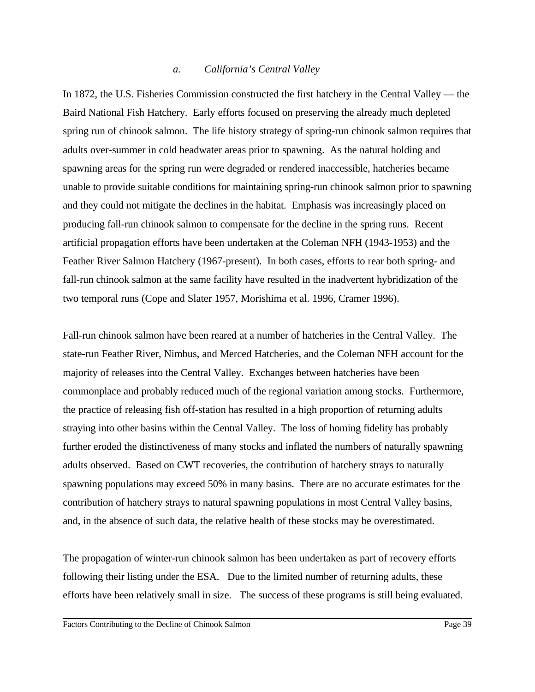#### *a. California's Central Valley*

In 1872, the U.S. Fisheries Commission constructed the first hatchery in the Central Valley — the Baird National Fish Hatchery. Early efforts focused on preserving the already much depleted spring run of chinook salmon. The life history strategy of spring-run chinook salmon requires that adults over-summer in cold headwater areas prior to spawning. As the natural holding and spawning areas for the spring run were degraded or rendered inaccessible, hatcheries became unable to provide suitable conditions for maintaining spring-run chinook salmon prior to spawning and they could not mitigate the declines in the habitat. Emphasis was increasingly placed on producing fall-run chinook salmon to compensate for the decline in the spring runs. Recent artificial propagation efforts have been undertaken at the Coleman NFH (1943-1953) and the Feather River Salmon Hatchery (1967-present). In both cases, efforts to rear both spring- and fall-run chinook salmon at the same facility have resulted in the inadvertent hybridization of the two temporal runs (Cope and Slater 1957, Morishima et al. 1996, Cramer 1996).

Fall-run chinook salmon have been reared at a number of hatcheries in the Central Valley. The state-run Feather River, Nimbus, and Merced Hatcheries, and the Coleman NFH account for the majority of releases into the Central Valley. Exchanges between hatcheries have been commonplace and probably reduced much of the regional variation among stocks. Furthermore, the practice of releasing fish off-station has resulted in a high proportion of returning adults straying into other basins within the Central Valley. The loss of homing fidelity has probably further eroded the distinctiveness of many stocks and inflated the numbers of naturally spawning adults observed. Based on CWT recoveries, the contribution of hatchery strays to naturally spawning populations may exceed 50% in many basins. There are no accurate estimates for the contribution of hatchery strays to natural spawning populations in most Central Valley basins, and, in the absence of such data, the relative health of these stocks may be overestimated.

The propagation of winter-run chinook salmon has been undertaken as part of recovery efforts following their listing under the ESA. Due to the limited number of returning adults, these efforts have been relatively small in size. The success of these programs is still being evaluated.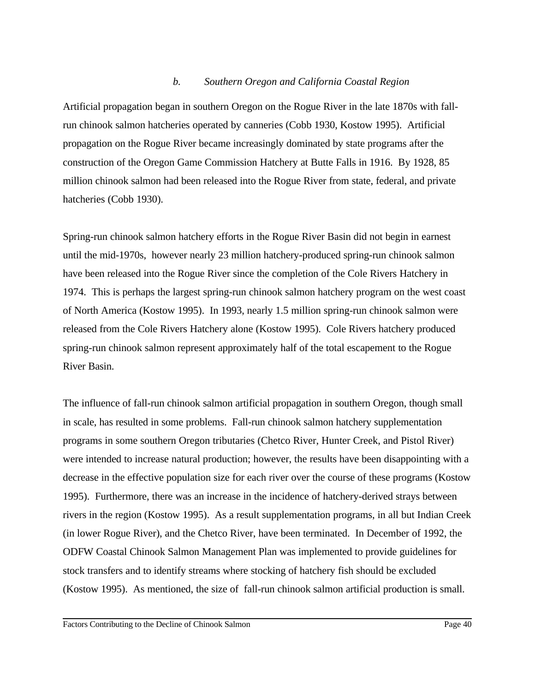#### *b. Southern Oregon and California Coastal Region*

Artificial propagation began in southern Oregon on the Rogue River in the late 1870s with fallrun chinook salmon hatcheries operated by canneries (Cobb 1930, Kostow 1995). Artificial propagation on the Rogue River became increasingly dominated by state programs after the construction of the Oregon Game Commission Hatchery at Butte Falls in 1916. By 1928, 85 million chinook salmon had been released into the Rogue River from state, federal, and private hatcheries (Cobb 1930).

Spring-run chinook salmon hatchery efforts in the Rogue River Basin did not begin in earnest until the mid-1970s, however nearly 23 million hatchery-produced spring-run chinook salmon have been released into the Rogue River since the completion of the Cole Rivers Hatchery in 1974. This is perhaps the largest spring-run chinook salmon hatchery program on the west coast of North America (Kostow 1995). In 1993, nearly 1.5 million spring-run chinook salmon were released from the Cole Rivers Hatchery alone (Kostow 1995). Cole Rivers hatchery produced spring-run chinook salmon represent approximately half of the total escapement to the Rogue River Basin.

The influence of fall-run chinook salmon artificial propagation in southern Oregon, though small in scale, has resulted in some problems. Fall-run chinook salmon hatchery supplementation programs in some southern Oregon tributaries (Chetco River, Hunter Creek, and Pistol River) were intended to increase natural production; however, the results have been disappointing with a decrease in the effective population size for each river over the course of these programs (Kostow 1995). Furthermore, there was an increase in the incidence of hatchery-derived strays between rivers in the region (Kostow 1995). As a result supplementation programs, in all but Indian Creek (in lower Rogue River), and the Chetco River, have been terminated. In December of 1992, the ODFW Coastal Chinook Salmon Management Plan was implemented to provide guidelines for stock transfers and to identify streams where stocking of hatchery fish should be excluded (Kostow 1995). As mentioned, the size of fall-run chinook salmon artificial production is small.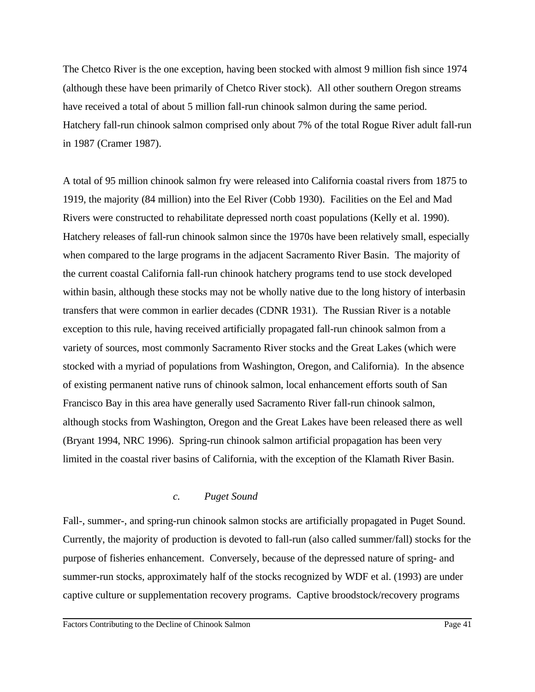The Chetco River is the one exception, having been stocked with almost 9 million fish since 1974 (although these have been primarily of Chetco River stock). All other southern Oregon streams have received a total of about 5 million fall-run chinook salmon during the same period. Hatchery fall-run chinook salmon comprised only about 7% of the total Rogue River adult fall-run in 1987 (Cramer 1987).

A total of 95 million chinook salmon fry were released into California coastal rivers from 1875 to 1919, the majority (84 million) into the Eel River (Cobb 1930). Facilities on the Eel and Mad Rivers were constructed to rehabilitate depressed north coast populations (Kelly et al. 1990). Hatchery releases of fall-run chinook salmon since the 1970s have been relatively small, especially when compared to the large programs in the adjacent Sacramento River Basin. The majority of the current coastal California fall-run chinook hatchery programs tend to use stock developed within basin, although these stocks may not be wholly native due to the long history of interbasin transfers that were common in earlier decades (CDNR 1931). The Russian River is a notable exception to this rule, having received artificially propagated fall-run chinook salmon from a variety of sources, most commonly Sacramento River stocks and the Great Lakes (which were stocked with a myriad of populations from Washington, Oregon, and California). In the absence of existing permanent native runs of chinook salmon, local enhancement efforts south of San Francisco Bay in this area have generally used Sacramento River fall-run chinook salmon, although stocks from Washington, Oregon and the Great Lakes have been released there as well (Bryant 1994, NRC 1996). Spring-run chinook salmon artificial propagation has been very limited in the coastal river basins of California, with the exception of the Klamath River Basin.

## *c. Puget Sound*

Fall-, summer-, and spring-run chinook salmon stocks are artificially propagated in Puget Sound. Currently, the majority of production is devoted to fall-run (also called summer/fall) stocks for the purpose of fisheries enhancement. Conversely, because of the depressed nature of spring- and summer-run stocks, approximately half of the stocks recognized by WDF et al. (1993) are under captive culture or supplementation recovery programs. Captive broodstock/recovery programs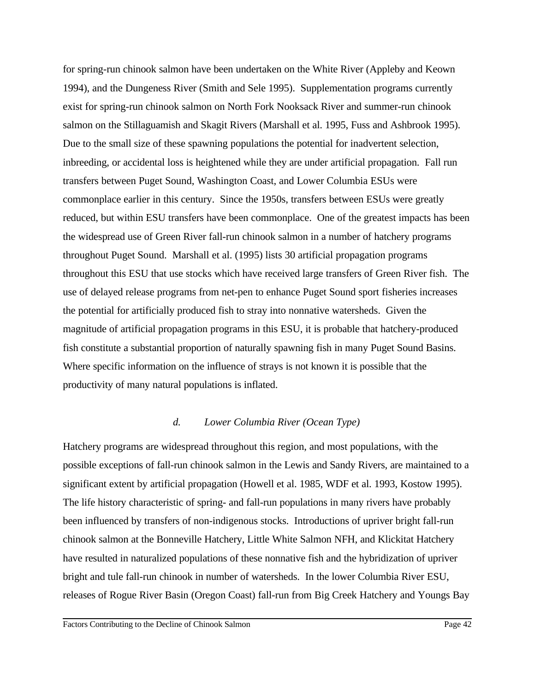for spring-run chinook salmon have been undertaken on the White River (Appleby and Keown 1994), and the Dungeness River (Smith and Sele 1995). Supplementation programs currently exist for spring-run chinook salmon on North Fork Nooksack River and summer-run chinook salmon on the Stillaguamish and Skagit Rivers (Marshall et al. 1995, Fuss and Ashbrook 1995). Due to the small size of these spawning populations the potential for inadvertent selection, inbreeding, or accidental loss is heightened while they are under artificial propagation. Fall run transfers between Puget Sound, Washington Coast, and Lower Columbia ESUs were commonplace earlier in this century. Since the 1950s, transfers between ESUs were greatly reduced, but within ESU transfers have been commonplace. One of the greatest impacts has been the widespread use of Green River fall-run chinook salmon in a number of hatchery programs throughout Puget Sound. Marshall et al. (1995) lists 30 artificial propagation programs throughout this ESU that use stocks which have received large transfers of Green River fish. The use of delayed release programs from net-pen to enhance Puget Sound sport fisheries increases the potential for artificially produced fish to stray into nonnative watersheds. Given the magnitude of artificial propagation programs in this ESU, it is probable that hatchery-produced fish constitute a substantial proportion of naturally spawning fish in many Puget Sound Basins. Where specific information on the influence of strays is not known it is possible that the productivity of many natural populations is inflated.

#### *d. Lower Columbia River (Ocean Type)*

Hatchery programs are widespread throughout this region, and most populations, with the possible exceptions of fall-run chinook salmon in the Lewis and Sandy Rivers, are maintained to a significant extent by artificial propagation (Howell et al. 1985, WDF et al. 1993, Kostow 1995). The life history characteristic of spring- and fall-run populations in many rivers have probably been influenced by transfers of non-indigenous stocks. Introductions of upriver bright fall-run chinook salmon at the Bonneville Hatchery, Little White Salmon NFH, and Klickitat Hatchery have resulted in naturalized populations of these nonnative fish and the hybridization of upriver bright and tule fall-run chinook in number of watersheds. In the lower Columbia River ESU, releases of Rogue River Basin (Oregon Coast) fall-run from Big Creek Hatchery and Youngs Bay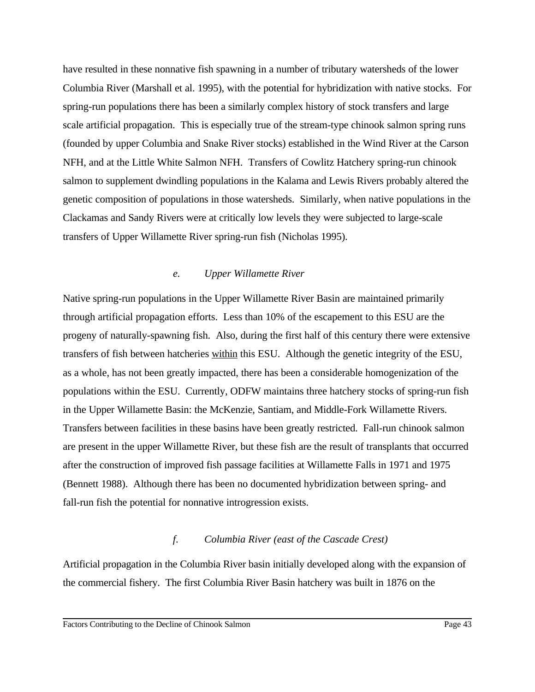have resulted in these nonnative fish spawning in a number of tributary watersheds of the lower Columbia River (Marshall et al. 1995), with the potential for hybridization with native stocks. For spring-run populations there has been a similarly complex history of stock transfers and large scale artificial propagation. This is especially true of the stream-type chinook salmon spring runs (founded by upper Columbia and Snake River stocks) established in the Wind River at the Carson NFH, and at the Little White Salmon NFH. Transfers of Cowlitz Hatchery spring-run chinook salmon to supplement dwindling populations in the Kalama and Lewis Rivers probably altered the genetic composition of populations in those watersheds. Similarly, when native populations in the Clackamas and Sandy Rivers were at critically low levels they were subjected to large-scale transfers of Upper Willamette River spring-run fish (Nicholas 1995).

## *e. Upper Willamette River*

Native spring-run populations in the Upper Willamette River Basin are maintained primarily through artificial propagation efforts. Less than 10% of the escapement to this ESU are the progeny of naturally-spawning fish. Also, during the first half of this century there were extensive transfers of fish between hatcheries within this ESU. Although the genetic integrity of the ESU, as a whole, has not been greatly impacted, there has been a considerable homogenization of the populations within the ESU. Currently, ODFW maintains three hatchery stocks of spring-run fish in the Upper Willamette Basin: the McKenzie, Santiam, and Middle-Fork Willamette Rivers. Transfers between facilities in these basins have been greatly restricted. Fall-run chinook salmon are present in the upper Willamette River, but these fish are the result of transplants that occurred after the construction of improved fish passage facilities at Willamette Falls in 1971 and 1975 (Bennett 1988). Although there has been no documented hybridization between spring- and fall-run fish the potential for nonnative introgression exists.

## *f. Columbia River (east of the Cascade Crest)*

Artificial propagation in the Columbia River basin initially developed along with the expansion of the commercial fishery. The first Columbia River Basin hatchery was built in 1876 on the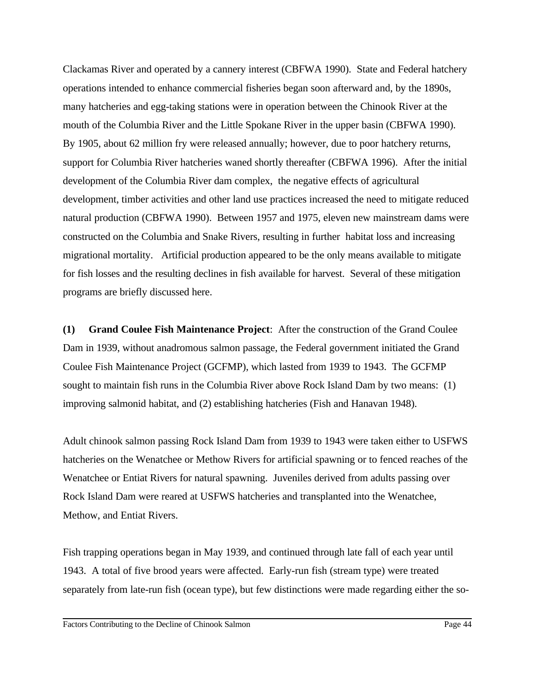Clackamas River and operated by a cannery interest (CBFWA 1990). State and Federal hatchery operations intended to enhance commercial fisheries began soon afterward and, by the 1890s, many hatcheries and egg-taking stations were in operation between the Chinook River at the mouth of the Columbia River and the Little Spokane River in the upper basin (CBFWA 1990). By 1905, about 62 million fry were released annually; however, due to poor hatchery returns, support for Columbia River hatcheries waned shortly thereafter (CBFWA 1996). After the initial development of the Columbia River dam complex, the negative effects of agricultural development, timber activities and other land use practices increased the need to mitigate reduced natural production (CBFWA 1990). Between 1957 and 1975, eleven new mainstream dams were constructed on the Columbia and Snake Rivers, resulting in further habitat loss and increasing migrational mortality. Artificial production appeared to be the only means available to mitigate for fish losses and the resulting declines in fish available for harvest. Several of these mitigation programs are briefly discussed here.

**(1) Grand Coulee Fish Maintenance Project**: After the construction of the Grand Coulee Dam in 1939, without anadromous salmon passage, the Federal government initiated the Grand Coulee Fish Maintenance Project (GCFMP), which lasted from 1939 to 1943. The GCFMP sought to maintain fish runs in the Columbia River above Rock Island Dam by two means: (1) improving salmonid habitat, and (2) establishing hatcheries (Fish and Hanavan 1948).

Adult chinook salmon passing Rock Island Dam from 1939 to 1943 were taken either to USFWS hatcheries on the Wenatchee or Methow Rivers for artificial spawning or to fenced reaches of the Wenatchee or Entiat Rivers for natural spawning. Juveniles derived from adults passing over Rock Island Dam were reared at USFWS hatcheries and transplanted into the Wenatchee, Methow, and Entiat Rivers.

Fish trapping operations began in May 1939, and continued through late fall of each year until 1943. A total of five brood years were affected. Early-run fish (stream type) were treated separately from late-run fish (ocean type), but few distinctions were made regarding either the so-

Factors Contributing to the Decline of Chinook Salmon Page 44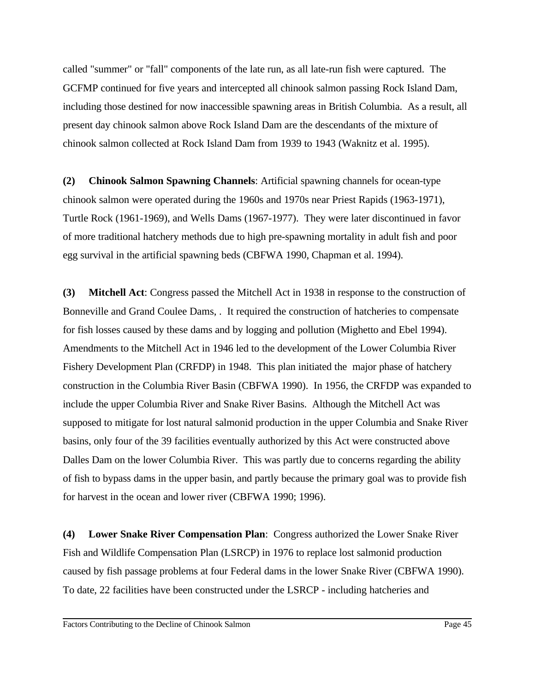called "summer" or "fall" components of the late run, as all late-run fish were captured. The GCFMP continued for five years and intercepted all chinook salmon passing Rock Island Dam, including those destined for now inaccessible spawning areas in British Columbia. As a result, all present day chinook salmon above Rock Island Dam are the descendants of the mixture of chinook salmon collected at Rock Island Dam from 1939 to 1943 (Waknitz et al. 1995).

**(2) Chinook Salmon Spawning Channels**: Artificial spawning channels for ocean-type chinook salmon were operated during the 1960s and 1970s near Priest Rapids (1963-1971), Turtle Rock (1961-1969), and Wells Dams (1967-1977). They were later discontinued in favor of more traditional hatchery methods due to high pre-spawning mortality in adult fish and poor egg survival in the artificial spawning beds (CBFWA 1990, Chapman et al. 1994).

**(3) Mitchell Act**: Congress passed the Mitchell Act in 1938 in response to the construction of Bonneville and Grand Coulee Dams, . It required the construction of hatcheries to compensate for fish losses caused by these dams and by logging and pollution (Mighetto and Ebel 1994). Amendments to the Mitchell Act in 1946 led to the development of the Lower Columbia River Fishery Development Plan (CRFDP) in 1948. This plan initiated the major phase of hatchery construction in the Columbia River Basin (CBFWA 1990). In 1956, the CRFDP was expanded to include the upper Columbia River and Snake River Basins. Although the Mitchell Act was supposed to mitigate for lost natural salmonid production in the upper Columbia and Snake River basins, only four of the 39 facilities eventually authorized by this Act were constructed above Dalles Dam on the lower Columbia River. This was partly due to concerns regarding the ability of fish to bypass dams in the upper basin, and partly because the primary goal was to provide fish for harvest in the ocean and lower river (CBFWA 1990; 1996).

**(4) Lower Snake River Compensation Plan**: Congress authorized the Lower Snake River Fish and Wildlife Compensation Plan (LSRCP) in 1976 to replace lost salmonid production caused by fish passage problems at four Federal dams in the lower Snake River (CBFWA 1990). To date, 22 facilities have been constructed under the LSRCP - including hatcheries and

Factors Contributing to the Decline of Chinook Salmon Page 45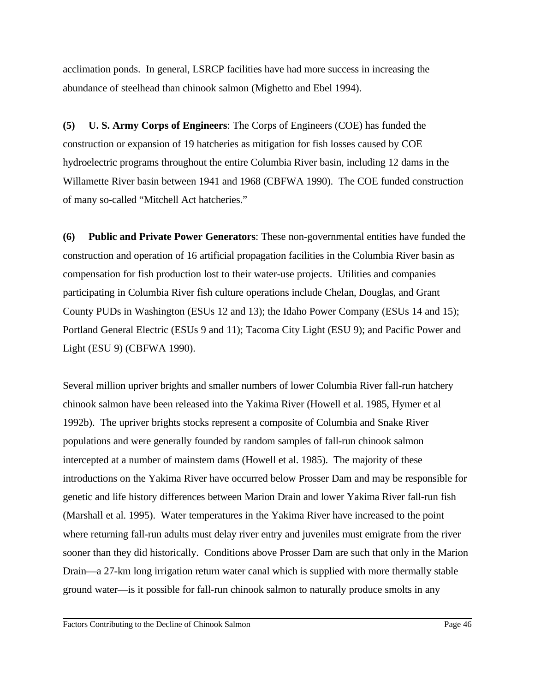acclimation ponds. In general, LSRCP facilities have had more success in increasing the abundance of steelhead than chinook salmon (Mighetto and Ebel 1994).

**(5) U. S. Army Corps of Engineers**: The Corps of Engineers (COE) has funded the construction or expansion of 19 hatcheries as mitigation for fish losses caused by COE hydroelectric programs throughout the entire Columbia River basin, including 12 dams in the Willamette River basin between 1941 and 1968 (CBFWA 1990). The COE funded construction of many so-called "Mitchell Act hatcheries."

**(6) Public and Private Power Generators**: These non-governmental entities have funded the construction and operation of 16 artificial propagation facilities in the Columbia River basin as compensation for fish production lost to their water-use projects. Utilities and companies participating in Columbia River fish culture operations include Chelan, Douglas, and Grant County PUDs in Washington (ESUs 12 and 13); the Idaho Power Company (ESUs 14 and 15); Portland General Electric (ESUs 9 and 11); Tacoma City Light (ESU 9); and Pacific Power and Light (ESU 9) (CBFWA 1990).

Several million upriver brights and smaller numbers of lower Columbia River fall-run hatchery chinook salmon have been released into the Yakima River (Howell et al. 1985, Hymer et al 1992b). The upriver brights stocks represent a composite of Columbia and Snake River populations and were generally founded by random samples of fall-run chinook salmon intercepted at a number of mainstem dams (Howell et al. 1985). The majority of these introductions on the Yakima River have occurred below Prosser Dam and may be responsible for genetic and life history differences between Marion Drain and lower Yakima River fall-run fish (Marshall et al. 1995). Water temperatures in the Yakima River have increased to the point where returning fall-run adults must delay river entry and juveniles must emigrate from the river sooner than they did historically. Conditions above Prosser Dam are such that only in the Marion Drain—a 27-km long irrigation return water canal which is supplied with more thermally stable ground water—is it possible for fall-run chinook salmon to naturally produce smolts in any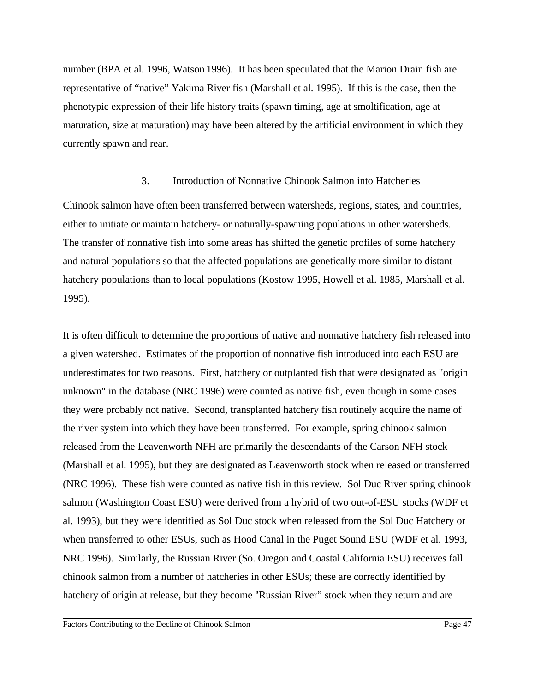number (BPA et al. 1996, Watson 1996). It has been speculated that the Marion Drain fish are representative of "native" Yakima River fish (Marshall et al. 1995). If this is the case, then the phenotypic expression of their life history traits (spawn timing, age at smoltification, age at maturation, size at maturation) may have been altered by the artificial environment in which they currently spawn and rear.

#### 3. Introduction of Nonnative Chinook Salmon into Hatcheries

Chinook salmon have often been transferred between watersheds, regions, states, and countries, either to initiate or maintain hatchery- or naturally-spawning populations in other watersheds. The transfer of nonnative fish into some areas has shifted the genetic profiles of some hatchery and natural populations so that the affected populations are genetically more similar to distant hatchery populations than to local populations (Kostow 1995, Howell et al. 1985*,* Marshall et al. 1995).

It is often difficult to determine the proportions of native and nonnative hatchery fish released into a given watershed. Estimates of the proportion of nonnative fish introduced into each ESU are underestimates for two reasons. First, hatchery or outplanted fish that were designated as "origin unknown" in the database (NRC 1996) were counted as native fish, even though in some cases they were probably not native. Second, transplanted hatchery fish routinely acquire the name of the river system into which they have been transferred. For example, spring chinook salmon released from the Leavenworth NFH are primarily the descendants of the Carson NFH stock (Marshall et al. 1995), but they are designated as Leavenworth stock when released or transferred (NRC 1996). These fish were counted as native fish in this review. Sol Duc River spring chinook salmon (Washington Coast ESU) were derived from a hybrid of two out-of-ESU stocks (WDF et al. 1993), but they were identified as Sol Duc stock when released from the Sol Duc Hatchery or when transferred to other ESUs, such as Hood Canal in the Puget Sound ESU (WDF et al. 1993, NRC 1996). Similarly, the Russian River (So. Oregon and Coastal California ESU) receives fall chinook salmon from a number of hatcheries in other ESUs; these are correctly identified by hatchery of origin at release, but they become "Russian River" stock when they return and are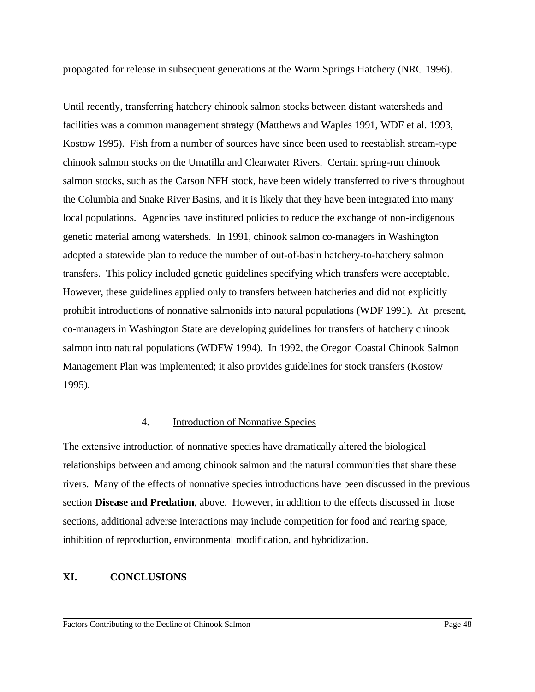propagated for release in subsequent generations at the Warm Springs Hatchery (NRC 1996).

Until recently, transferring hatchery chinook salmon stocks between distant watersheds and facilities was a common management strategy (Matthews and Waples 1991*,* WDF et al. 1993, Kostow 1995). Fish from a number of sources have since been used to reestablish stream-type chinook salmon stocks on the Umatilla and Clearwater Rivers. Certain spring-run chinook salmon stocks, such as the Carson NFH stock, have been widely transferred to rivers throughout the Columbia and Snake River Basins, and it is likely that they have been integrated into many local populations. Agencies have instituted policies to reduce the exchange of non-indigenous genetic material among watersheds. In 1991, chinook salmon co-managers in Washington adopted a statewide plan to reduce the number of out-of-basin hatchery-to-hatchery salmon transfers. This policy included genetic guidelines specifying which transfers were acceptable. However, these guidelines applied only to transfers between hatcheries and did not explicitly prohibit introductions of nonnative salmonids into natural populations (WDF 1991). At present, co-managers in Washington State are developing guidelines for transfers of hatchery chinook salmon into natural populations (WDFW 1994). In 1992, the Oregon Coastal Chinook Salmon Management Plan was implemented; it also provides guidelines for stock transfers (Kostow 1995).

#### 4. Introduction of Nonnative Species

The extensive introduction of nonnative species have dramatically altered the biological relationships between and among chinook salmon and the natural communities that share these rivers. Many of the effects of nonnative species introductions have been discussed in the previous section **Disease and Predation**, above. However, in addition to the effects discussed in those sections, additional adverse interactions may include competition for food and rearing space, inhibition of reproduction, environmental modification, and hybridization.

## **XI. CONCLUSIONS**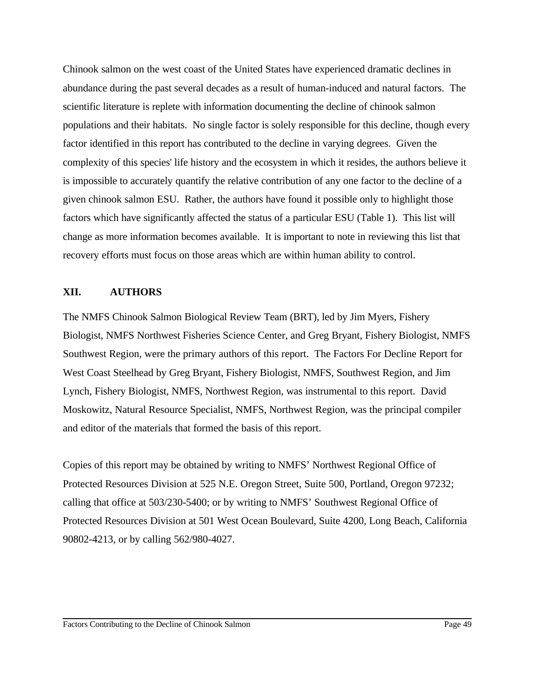Chinook salmon on the west coast of the United States have experienced dramatic declines in abundance during the past several decades as a result of human-induced and natural factors. The scientific literature is replete with information documenting the decline of chinook salmon populations and their habitats. No single factor is solely responsible for this decline, though every factor identified in this report has contributed to the decline in varying degrees. Given the complexity of this species' life history and the ecosystem in which it resides, the authors believe it is impossible to accurately quantify the relative contribution of any one factor to the decline of a given chinook salmon ESU. Rather, the authors have found it possible only to highlight those factors which have significantly affected the status of a particular ESU (Table 1). This list will change as more information becomes available. It is important to note in reviewing this list that recovery efforts must focus on those areas which are within human ability to control.

#### **XII. AUTHORS**

The NMFS Chinook Salmon Biological Review Team (BRT), led by Jim Myers, Fishery Biologist, NMFS Northwest Fisheries Science Center, and Greg Bryant, Fishery Biologist, NMFS Southwest Region, were the primary authors of this report. The Factors For Decline Report for West Coast Steelhead by Greg Bryant, Fishery Biologist, NMFS, Southwest Region, and Jim Lynch, Fishery Biologist, NMFS, Northwest Region, was instrumental to this report. David Moskowitz, Natural Resource Specialist, NMFS, Northwest Region, was the principal compiler and editor of the materials that formed the basis of this report.

Copies of this report may be obtained by writing to NMFS' Northwest Regional Office of Protected Resources Division at 525 N.E. Oregon Street, Suite 500, Portland, Oregon 97232; calling that office at 503/230-5400; or by writing to NMFS' Southwest Regional Office of Protected Resources Division at 501 West Ocean Boulevard, Suite 4200, Long Beach, California 90802-4213, or by calling 562/980-4027.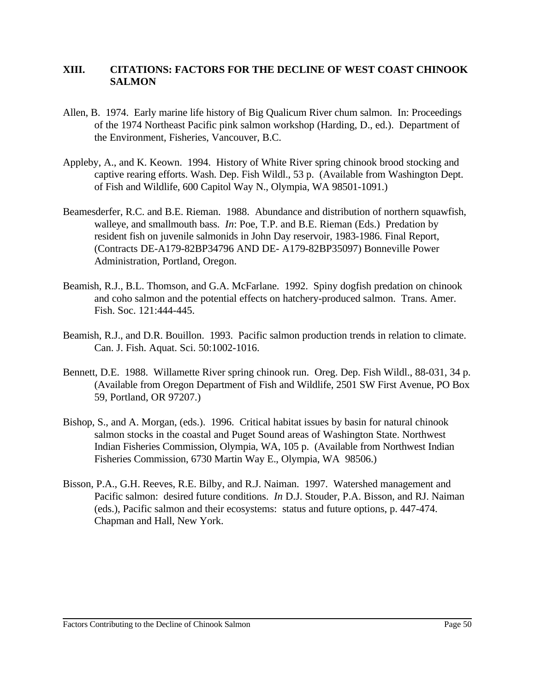## **XIII. CITATIONS: FACTORS FOR THE DECLINE OF WEST COAST CHINOOK SALMON**

- Allen, B. 1974. Early marine life history of Big Qualicum River chum salmon. In: Proceedings of the 1974 Northeast Pacific pink salmon workshop (Harding, D., ed.). Department of the Environment, Fisheries, Vancouver, B.C.
- Appleby, A., and K. Keown. 1994. History of White River spring chinook brood stocking and captive rearing efforts. Wash. Dep. Fish Wildl., 53 p. (Available from Washington Dept. of Fish and Wildlife, 600 Capitol Way N., Olympia, WA 98501-1091.)
- Beamesderfer, R.C. and B.E. Rieman. 1988. Abundance and distribution of northern squawfish, walleye, and smallmouth bass. *In*: Poe, T.P. and B.E. Rieman (Eds.) Predation by resident fish on juvenile salmonids in John Day reservoir, 1983-1986. Final Report, (Contracts DE-A179-82BP34796 AND DE- A179-82BP35097) Bonneville Power Administration, Portland, Oregon.
- Beamish, R.J., B.L. Thomson, and G.A. McFarlane. 1992. Spiny dogfish predation on chinook and coho salmon and the potential effects on hatchery-produced salmon. Trans. Amer. Fish. Soc. 121:444-445.
- Beamish, R.J., and D.R. Bouillon. 1993. Pacific salmon production trends in relation to climate. Can. J. Fish. Aquat. Sci. 50:1002-1016.
- Bennett, D.E. 1988. Willamette River spring chinook run. Oreg. Dep. Fish Wildl., 88-031, 34 p. (Available from Oregon Department of Fish and Wildlife, 2501 SW First Avenue, PO Box 59, Portland, OR 97207.)
- Bishop, S., and A. Morgan, (eds.). 1996. Critical habitat issues by basin for natural chinook salmon stocks in the coastal and Puget Sound areas of Washington State. Northwest Indian Fisheries Commission, Olympia, WA, 105 p. (Available from Northwest Indian Fisheries Commission, 6730 Martin Way E., Olympia, WA 98506.)
- Bisson, P.A., G.H. Reeves, R.E. Bilby, and R.J. Naiman. 1997. Watershed management and Pacific salmon: desired future conditions. *In* D.J. Stouder, P.A. Bisson, and RJ. Naiman (eds.), Pacific salmon and their ecosystems: status and future options, p. 447-474. Chapman and Hall, New York.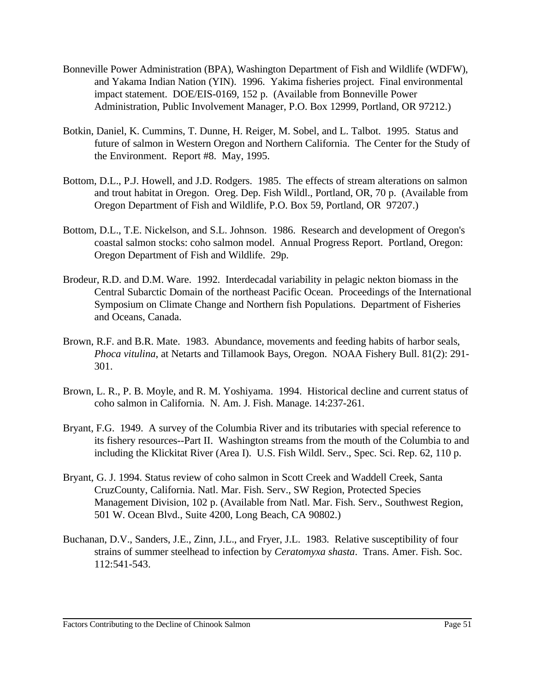- Bonneville Power Administration (BPA), Washington Department of Fish and Wildlife (WDFW), and Yakama Indian Nation (YIN). 1996. Yakima fisheries project. Final environmental impact statement. DOE/EIS-0169, 152 p. (Available from Bonneville Power Administration, Public Involvement Manager, P.O. Box 12999, Portland, OR 97212.)
- Botkin, Daniel, K. Cummins, T. Dunne, H. Reiger, M. Sobel, and L. Talbot. 1995. Status and future of salmon in Western Oregon and Northern California. The Center for the Study of the Environment. Report #8. May, 1995.
- Bottom, D.L., P.J. Howell, and J.D. Rodgers. 1985. The effects of stream alterations on salmon and trout habitat in Oregon. Oreg. Dep. Fish Wildl., Portland, OR, 70 p. (Available from Oregon Department of Fish and Wildlife, P.O. Box 59, Portland, OR 97207.)
- Bottom, D.L., T.E. Nickelson, and S.L. Johnson. 1986. Research and development of Oregon's coastal salmon stocks: coho salmon model. Annual Progress Report. Portland, Oregon: Oregon Department of Fish and Wildlife. 29p.
- Brodeur, R.D. and D.M. Ware. 1992. Interdecadal variability in pelagic nekton biomass in the Central Subarctic Domain of the northeast Pacific Ocean. Proceedings of the International Symposium on Climate Change and Northern fish Populations. Department of Fisheries and Oceans, Canada.
- Brown, R.F. and B.R. Mate. 1983. Abundance, movements and feeding habits of harbor seals, *Phoca vitulina*, at Netarts and Tillamook Bays, Oregon. NOAA Fishery Bull. 81(2): 291- 301.
- Brown, L. R., P. B. Moyle, and R. M. Yoshiyama. 1994. Historical decline and current status of coho salmon in California. N. Am. J. Fish. Manage. 14:237-261.
- Bryant, F.G. 1949. A survey of the Columbia River and its tributaries with special reference to its fishery resources--Part II. Washington streams from the mouth of the Columbia to and including the Klickitat River (Area I). U.S. Fish Wildl. Serv., Spec. Sci. Rep. 62, 110 p.
- Bryant, G. J. 1994. Status review of coho salmon in Scott Creek and Waddell Creek, Santa CruzCounty, California. Natl. Mar. Fish. Serv., SW Region, Protected Species Management Division, 102 p. (Available from Natl. Mar. Fish. Serv., Southwest Region, 501 W. Ocean Blvd., Suite 4200, Long Beach, CA 90802.)
- Buchanan, D.V., Sanders, J.E., Zinn, J.L., and Fryer, J.L. 1983. Relative susceptibility of four strains of summer steelhead to infection by *Ceratomyxa shasta*. Trans. Amer. Fish. Soc. 112:541-543.

Factors Contributing to the Decline of Chinook Salmon Page 51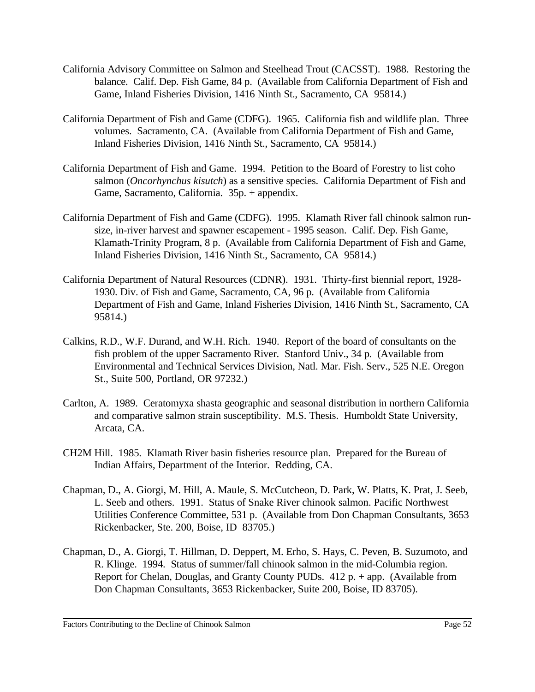- California Advisory Committee on Salmon and Steelhead Trout (CACSST). 1988. Restoring the balance. Calif. Dep. Fish Game, 84 p. (Available from California Department of Fish and Game, Inland Fisheries Division, 1416 Ninth St., Sacramento, CA 95814.)
- California Department of Fish and Game (CDFG). 1965. California fish and wildlife plan. Three volumes. Sacramento, CA. (Available from California Department of Fish and Game, Inland Fisheries Division, 1416 Ninth St., Sacramento, CA 95814.)
- California Department of Fish and Game. 1994. Petition to the Board of Forestry to list coho salmon (*Oncorhynchus kisutch*) as a sensitive species. California Department of Fish and Game, Sacramento, California. 35p. + appendix.
- California Department of Fish and Game (CDFG). 1995. Klamath River fall chinook salmon runsize, in-river harvest and spawner escapement - 1995 season. Calif. Dep. Fish Game, Klamath-Trinity Program, 8 p. (Available from California Department of Fish and Game, Inland Fisheries Division, 1416 Ninth St., Sacramento, CA 95814.)
- California Department of Natural Resources (CDNR). 1931. Thirty-first biennial report, 1928- 1930. Div. of Fish and Game, Sacramento, CA, 96 p. (Available from California Department of Fish and Game, Inland Fisheries Division, 1416 Ninth St., Sacramento, CA 95814.)
- Calkins, R.D., W.F. Durand, and W.H. Rich. 1940. Report of the board of consultants on the fish problem of the upper Sacramento River. Stanford Univ., 34 p. (Available from Environmental and Technical Services Division, Natl. Mar. Fish. Serv., 525 N.E. Oregon St., Suite 500, Portland, OR 97232.)
- Carlton, A. 1989. Ceratomyxa shasta geographic and seasonal distribution in northern California and comparative salmon strain susceptibility. M.S. Thesis. Humboldt State University, Arcata, CA.
- CH2M Hill. 1985. Klamath River basin fisheries resource plan. Prepared for the Bureau of Indian Affairs, Department of the Interior. Redding, CA.
- Chapman, D., A. Giorgi, M. Hill, A. Maule, S. McCutcheon, D. Park, W. Platts, K. Prat, J. Seeb, L. Seeb and others. 1991. Status of Snake River chinook salmon. Pacific Northwest Utilities Conference Committee, 531 p. (Available from Don Chapman Consultants, 3653 Rickenbacker, Ste. 200, Boise, ID 83705.)
- Chapman, D., A. Giorgi, T. Hillman, D. Deppert, M. Erho, S. Hays, C. Peven, B. Suzumoto, and R. Klinge. 1994. Status of summer/fall chinook salmon in the mid-Columbia region. Report for Chelan, Douglas, and Granty County PUDs. 412 p. + app. (Available from Don Chapman Consultants, 3653 Rickenbacker, Suite 200, Boise, ID 83705).

Factors Contributing to the Decline of Chinook Salmon Page 52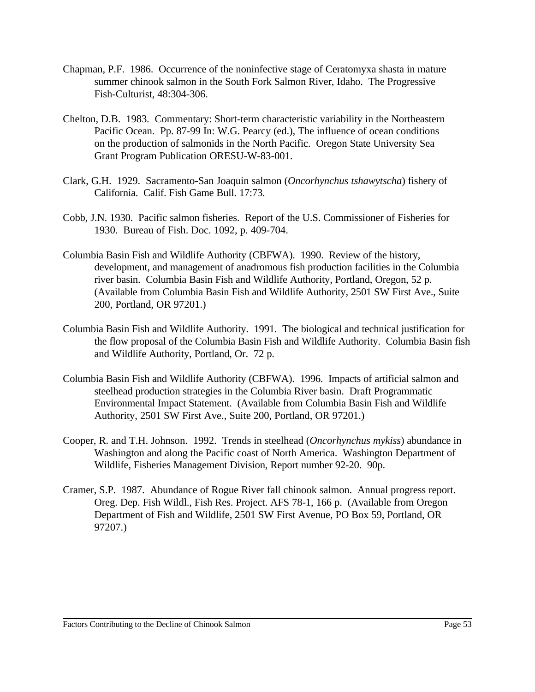- Chapman, P.F. 1986. Occurrence of the noninfective stage of Ceratomyxa shasta in mature summer chinook salmon in the South Fork Salmon River, Idaho. The Progressive Fish-Culturist, 48:304-306.
- Chelton, D.B. 1983. Commentary: Short-term characteristic variability in the Northeastern Pacific Ocean. Pp. 87-99 In: W.G. Pearcy (ed.), The influence of ocean conditions on the production of salmonids in the North Pacific. Oregon State University Sea Grant Program Publication ORESU-W-83-001.
- Clark, G.H. 1929. Sacramento-San Joaquin salmon (*Oncorhynchus tshawytscha*) fishery of California. Calif. Fish Game Bull. 17:73.
- Cobb, J.N. 1930. Pacific salmon fisheries. Report of the U.S. Commissioner of Fisheries for 1930. Bureau of Fish. Doc. 1092, p. 409-704.
- Columbia Basin Fish and Wildlife Authority (CBFWA). 1990. Review of the history, development, and management of anadromous fish production facilities in the Columbia river basin. Columbia Basin Fish and Wildlife Authority, Portland, Oregon, 52 p. (Available from Columbia Basin Fish and Wildlife Authority, 2501 SW First Ave., Suite 200, Portland, OR 97201.)
- Columbia Basin Fish and Wildlife Authority. 1991. The biological and technical justification for the flow proposal of the Columbia Basin Fish and Wildlife Authority. Columbia Basin fish and Wildlife Authority, Portland, Or. 72 p.
- Columbia Basin Fish and Wildlife Authority (CBFWA). 1996. Impacts of artificial salmon and steelhead production strategies in the Columbia River basin. Draft Programmatic Environmental Impact Statement. (Available from Columbia Basin Fish and Wildlife Authority, 2501 SW First Ave., Suite 200, Portland, OR 97201.)
- Cooper, R. and T.H. Johnson. 1992. Trends in steelhead (*Oncorhynchus mykiss*) abundance in Washington and along the Pacific coast of North America. Washington Department of Wildlife, Fisheries Management Division, Report number 92-20. 90p.
- Cramer, S.P. 1987. Abundance of Rogue River fall chinook salmon. Annual progress report. Oreg. Dep. Fish Wildl., Fish Res. Project. AFS 78-1, 166 p. (Available from Oregon Department of Fish and Wildlife, 2501 SW First Avenue, PO Box 59, Portland, OR 97207.)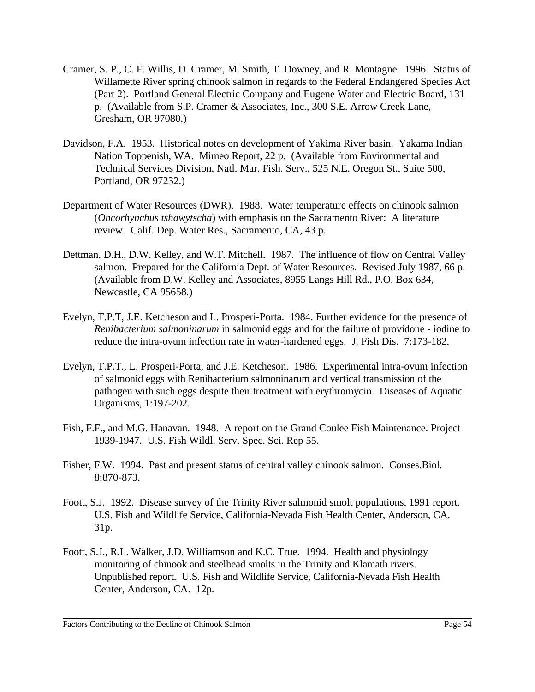- Cramer, S. P., C. F. Willis, D. Cramer, M. Smith, T. Downey, and R. Montagne. 1996. Status of Willamette River spring chinook salmon in regards to the Federal Endangered Species Act (Part 2). Portland General Electric Company and Eugene Water and Electric Board, 131 p. (Available from S.P. Cramer & Associates, Inc., 300 S.E. Arrow Creek Lane, Gresham, OR 97080.)
- Davidson, F.A. 1953. Historical notes on development of Yakima River basin. Yakama Indian Nation Toppenish, WA. Mimeo Report, 22 p. (Available from Environmental and Technical Services Division, Natl. Mar. Fish. Serv., 525 N.E. Oregon St., Suite 500, Portland, OR 97232.)
- Department of Water Resources (DWR). 1988. Water temperature effects on chinook salmon (*Oncorhynchus tshawytscha*) with emphasis on the Sacramento River: A literature review. Calif. Dep. Water Res., Sacramento, CA, 43 p.
- Dettman, D.H., D.W. Kelley, and W.T. Mitchell. 1987. The influence of flow on Central Valley salmon. Prepared for the California Dept. of Water Resources. Revised July 1987, 66 p. (Available from D.W. Kelley and Associates, 8955 Langs Hill Rd., P.O. Box 634, Newcastle, CA 95658.)
- Evelyn, T.P.T, J.E. Ketcheson and L. Prosperi-Porta. 1984. Further evidence for the presence of *Renibacterium salmoninarum* in salmonid eggs and for the failure of providone - iodine to reduce the intra-ovum infection rate in water-hardened eggs. J. Fish Dis. 7:173-182.
- Evelyn, T.P.T., L. Prosperi-Porta, and J.E. Ketcheson. 1986. Experimental intra-ovum infection of salmonid eggs with Renibacterium salmoninarum and vertical transmission of the pathogen with such eggs despite their treatment with erythromycin. Diseases of Aquatic Organisms, 1:197-202.
- Fish, F.F., and M.G. Hanavan. 1948. A report on the Grand Coulee Fish Maintenance. Project 1939-1947. U.S. Fish Wildl. Serv. Spec. Sci. Rep 55.
- Fisher, F.W. 1994. Past and present status of central valley chinook salmon. Conses.Biol. 8:870-873.
- Foott, S.J. 1992. Disease survey of the Trinity River salmonid smolt populations, 1991 report. U.S. Fish and Wildlife Service, California-Nevada Fish Health Center, Anderson, CA. 31p.
- Foott, S.J., R.L. Walker, J.D. Williamson and K.C. True. 1994. Health and physiology monitoring of chinook and steelhead smolts in the Trinity and Klamath rivers. Unpublished report. U.S. Fish and Wildlife Service, California-Nevada Fish Health Center, Anderson, CA. 12p.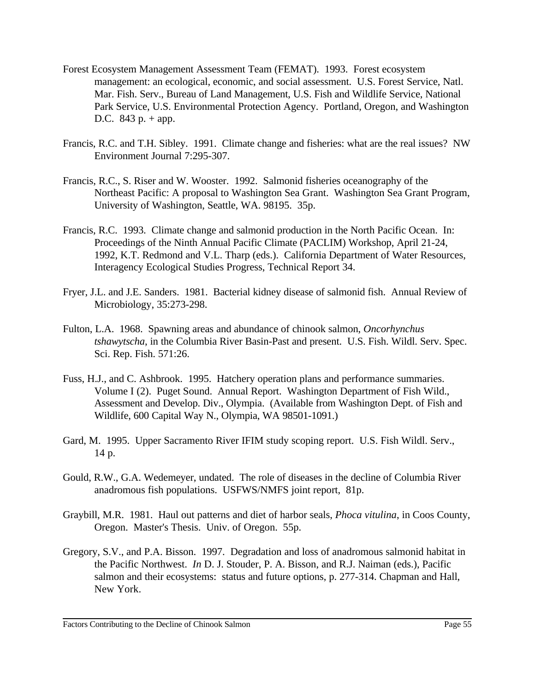- Forest Ecosystem Management Assessment Team (FEMAT). 1993. Forest ecosystem management: an ecological, economic, and social assessment. U.S. Forest Service, Natl. Mar. Fish. Serv., Bureau of Land Management, U.S. Fish and Wildlife Service, National Park Service, U.S. Environmental Protection Agency. Portland, Oregon, and Washington D.C.  $843 p. + app.$
- Francis, R.C. and T.H. Sibley. 1991. Climate change and fisheries: what are the real issues? NW Environment Journal 7:295-307.
- Francis, R.C., S. Riser and W. Wooster. 1992. Salmonid fisheries oceanography of the Northeast Pacific: A proposal to Washington Sea Grant. Washington Sea Grant Program, University of Washington, Seattle, WA. 98195. 35p.
- Francis, R.C. 1993. Climate change and salmonid production in the North Pacific Ocean. In: Proceedings of the Ninth Annual Pacific Climate (PACLIM) Workshop, April 21-24, 1992, K.T. Redmond and V.L. Tharp (eds.). California Department of Water Resources, Interagency Ecological Studies Progress, Technical Report 34.
- Fryer, J.L. and J.E. Sanders. 1981. Bacterial kidney disease of salmonid fish. Annual Review of Microbiology, 35:273-298.
- Fulton, L.A. 1968. Spawning areas and abundance of chinook salmon, *Oncorhynchus tshawytscha*, in the Columbia River Basin-Past and present. U.S. Fish. Wildl. Serv. Spec. Sci. Rep. Fish. 571:26.
- Fuss, H.J., and C. Ashbrook. 1995. Hatchery operation plans and performance summaries. Volume I (2). Puget Sound. Annual Report. Washington Department of Fish Wild., Assessment and Develop. Div., Olympia. (Available from Washington Dept. of Fish and Wildlife, 600 Capital Way N., Olympia, WA 98501-1091.)
- Gard, M. 1995. Upper Sacramento River IFIM study scoping report. U.S. Fish Wildl. Serv., 14 p.
- Gould, R.W., G.A. Wedemeyer, undated. The role of diseases in the decline of Columbia River anadromous fish populations. USFWS/NMFS joint report, 81p.
- Graybill, M.R. 1981. Haul out patterns and diet of harbor seals, *Phoca vitulina*, in Coos County, Oregon. Master's Thesis. Univ. of Oregon. 55p.
- Gregory, S.V., and P.A. Bisson. 1997. Degradation and loss of anadromous salmonid habitat in the Pacific Northwest. *In* D. J. Stouder, P. A. Bisson, and R.J. Naiman (eds.), Pacific salmon and their ecosystems: status and future options, p. 277-314. Chapman and Hall, New York.

Factors Contributing to the Decline of Chinook Salmon Page 55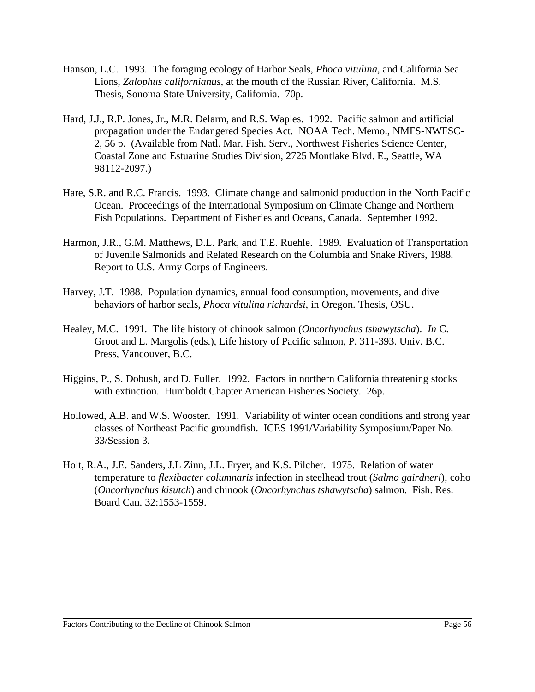- Hanson, L.C. 1993. The foraging ecology of Harbor Seals, *Phoca vitulina*, and California Sea Lions, *Zalophus californianus*, at the mouth of the Russian River, California. M.S. Thesis, Sonoma State University, California. 70p.
- Hard, J.J., R.P. Jones, Jr., M.R. Delarm, and R.S. Waples. 1992. Pacific salmon and artificial propagation under the Endangered Species Act. NOAA Tech. Memo., NMFS-NWFSC-2, 56 p. (Available from Natl. Mar. Fish. Serv., Northwest Fisheries Science Center, Coastal Zone and Estuarine Studies Division, 2725 Montlake Blvd. E., Seattle, WA 98112-2097.)
- Hare, S.R. and R.C. Francis. 1993. Climate change and salmonid production in the North Pacific Ocean. Proceedings of the International Symposium on Climate Change and Northern Fish Populations. Department of Fisheries and Oceans, Canada. September 1992.
- Harmon, J.R., G.M. Matthews, D.L. Park, and T.E. Ruehle. 1989. Evaluation of Transportation of Juvenile Salmonids and Related Research on the Columbia and Snake Rivers, 1988. Report to U.S. Army Corps of Engineers.
- Harvey, J.T. 1988. Population dynamics, annual food consumption, movements, and dive behaviors of harbor seals, *Phoca vitulina richardsi*, in Oregon. Thesis, OSU.
- Healey, M.C. 1991. The life history of chinook salmon (*Oncorhynchus tshawytscha*). *In* C. Groot and L. Margolis (eds.), Life history of Pacific salmon, P. 311-393. Univ. B.C. Press, Vancouver, B.C.
- Higgins, P., S. Dobush, and D. Fuller. 1992. Factors in northern California threatening stocks with extinction. Humboldt Chapter American Fisheries Society. 26p.
- Hollowed, A.B. and W.S. Wooster. 1991. Variability of winter ocean conditions and strong year classes of Northeast Pacific groundfish. ICES 1991/Variability Symposium/Paper No. 33/Session 3.
- Holt, R.A., J.E. Sanders, J.L Zinn, J.L. Fryer, and K.S. Pilcher. 1975. Relation of water temperature to *flexibacter columnaris* infection in steelhead trout (*Salmo gairdneri*), coho (*Oncorhynchus kisutch*) and chinook (*Oncorhynchus tshawytscha*) salmon. Fish. Res. Board Can. 32:1553-1559.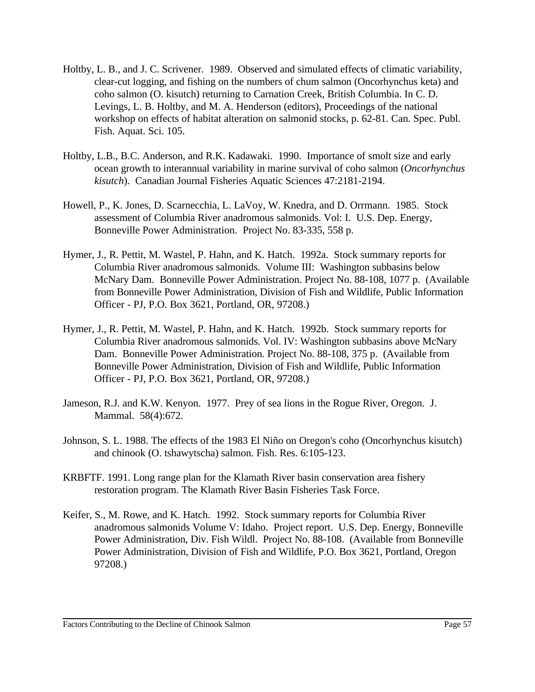- Holtby, L. B., and J. C. Scrivener. 1989. Observed and simulated effects of climatic variability, clear-cut logging, and fishing on the numbers of chum salmon (Oncorhynchus keta) and coho salmon (O. kisutch) returning to Carnation Creek, British Columbia. In C. D. Levings, L. B. Holtby, and M. A. Henderson (editors), Proceedings of the national workshop on effects of habitat alteration on salmonid stocks, p. 62-81. Can. Spec. Publ. Fish. Aquat. Sci. 105.
- Holtby, L.B., B.C. Anderson, and R.K. Kadawaki. 1990. Importance of smolt size and early ocean growth to interannual variability in marine survival of coho salmon (*Oncorhynchus kisutch*). Canadian Journal Fisheries Aquatic Sciences 47:2181-2194.
- Howell, P., K. Jones, D. Scarnecchia, L. LaVoy, W. Knedra, and D. Orrmann. 1985. Stock assessment of Columbia River anadromous salmonids. Vol: I. U.S. Dep. Energy, Bonneville Power Administration. Project No. 83-335, 558 p.
- Hymer, J., R. Pettit, M. Wastel, P. Hahn, and K. Hatch. 1992a. Stock summary reports for Columbia River anadromous salmonids. Volume III: Washington subbasins below McNary Dam. Bonneville Power Administration. Project No. 88-108, 1077 p. (Available from Bonneville Power Administration, Division of Fish and Wildlife, Public Information Officer - PJ, P.O. Box 3621, Portland, OR, 97208.)
- Hymer, J., R. Pettit, M. Wastel, P. Hahn, and K. Hatch. 1992b. Stock summary reports for Columbia River anadromous salmonids. Vol. IV: Washington subbasins above McNary Dam. Bonneville Power Administration. Project No. 88-108, 375 p. (Available from Bonneville Power Administration, Division of Fish and Wildlife, Public Information Officer - PJ, P.O. Box 3621, Portland, OR, 97208.)
- Jameson, R.J. and K.W. Kenyon. 1977. Prey of sea lions in the Rogue River, Oregon. J. Mammal. 58(4):672.
- Johnson, S. L. 1988. The effects of the 1983 El Niño on Oregon's coho (Oncorhynchus kisutch) and chinook (O. tshawytscha) salmon. Fish. Res. 6:105-123.
- KRBFTF. 1991. Long range plan for the Klamath River basin conservation area fishery restoration program. The Klamath River Basin Fisheries Task Force.
- Keifer, S., M. Rowe, and K. Hatch. 1992. Stock summary reports for Columbia River anadromous salmonids Volume V: Idaho. Project report. U.S. Dep. Energy, Bonneville Power Administration, Div. Fish Wildl. Project No. 88-108. (Available from Bonneville Power Administration, Division of Fish and Wildlife, P.O. Box 3621, Portland, Oregon 97208.)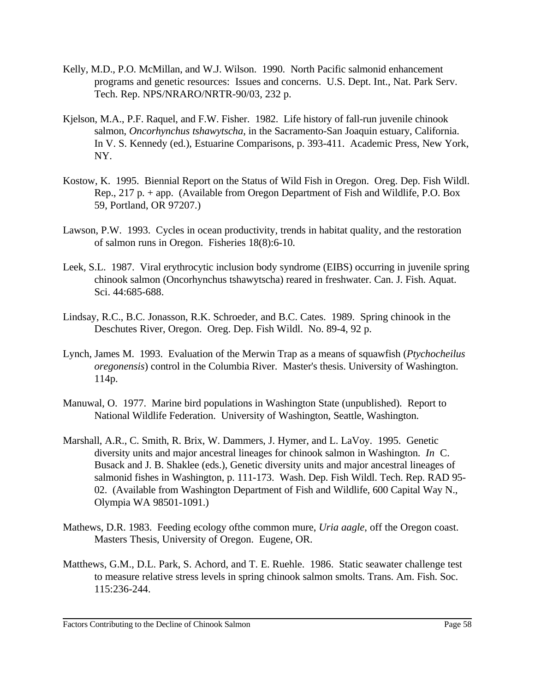- Kelly, M.D., P.O. McMillan, and W.J. Wilson. 1990. North Pacific salmonid enhancement programs and genetic resources: Issues and concerns. U.S. Dept. Int., Nat. Park Serv. Tech. Rep. NPS/NRARO/NRTR-90/03, 232 p.
- Kjelson, M.A., P.F. Raquel, and F.W. Fisher. 1982. Life history of fall-run juvenile chinook salmon, *Oncorhynchus tshawytscha*, in the Sacramento-San Joaquin estuary, California. In V. S. Kennedy (ed.), Estuarine Comparisons, p. 393-411. Academic Press, New York, NY.
- Kostow, K. 1995. Biennial Report on the Status of Wild Fish in Oregon. Oreg. Dep. Fish Wildl. Rep., 217 p. + app. (Available from Oregon Department of Fish and Wildlife, P.O. Box 59, Portland, OR 97207.)
- Lawson, P.W. 1993. Cycles in ocean productivity, trends in habitat quality, and the restoration of salmon runs in Oregon. Fisheries 18(8):6-10.
- Leek, S.L. 1987. Viral erythrocytic inclusion body syndrome (EIBS) occurring in juvenile spring chinook salmon (Oncorhynchus tshawytscha) reared in freshwater. Can. J. Fish. Aquat. Sci. 44:685-688.
- Lindsay, R.C., B.C. Jonasson, R.K. Schroeder, and B.C. Cates. 1989. Spring chinook in the Deschutes River, Oregon. Oreg. Dep. Fish Wildl. No. 89-4, 92 p.
- Lynch, James M. 1993. Evaluation of the Merwin Trap as a means of squawfish (*Ptychocheilus oregonensis*) control in the Columbia River. Master's thesis. University of Washington. 114p.
- Manuwal, O. 1977. Marine bird populations in Washington State (unpublished). Report to National Wildlife Federation. University of Washington, Seattle, Washington.
- Marshall, A.R., C. Smith, R. Brix, W. Dammers, J. Hymer, and L. LaVoy. 1995. Genetic diversity units and major ancestral lineages for chinook salmon in Washington. *In* C. Busack and J. B. Shaklee (eds.), Genetic diversity units and major ancestral lineages of salmonid fishes in Washington, p. 111-173. Wash. Dep. Fish Wildl. Tech. Rep. RAD 95- 02. (Available from Washington Department of Fish and Wildlife, 600 Capital Way N., Olympia WA 98501-1091.)
- Mathews, D.R. 1983. Feeding ecology ofthe common mure, *Uria aagle*, off the Oregon coast. Masters Thesis, University of Oregon. Eugene, OR.
- Matthews, G.M., D.L. Park, S. Achord, and T. E. Ruehle. 1986. Static seawater challenge test to measure relative stress levels in spring chinook salmon smolts. Trans. Am. Fish. Soc. 115:236-244.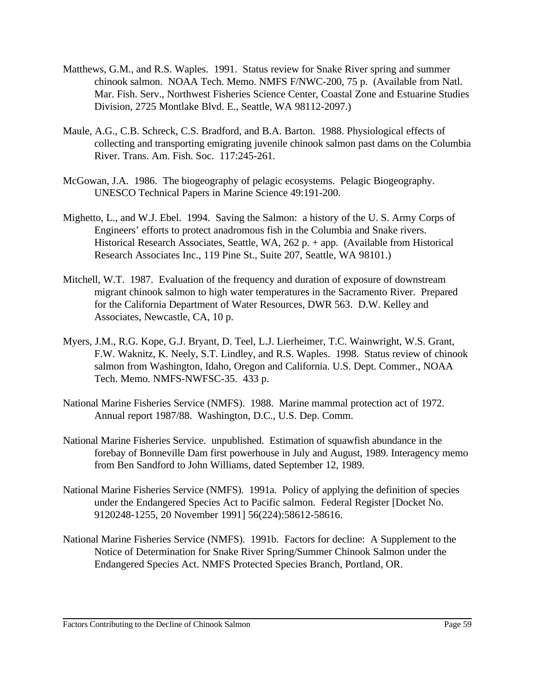- Matthews, G.M., and R.S. Waples. 1991. Status review for Snake River spring and summer chinook salmon. NOAA Tech. Memo. NMFS F/NWC-200, 75 p. (Available from Natl. Mar. Fish. Serv., Northwest Fisheries Science Center, Coastal Zone and Estuarine Studies Division, 2725 Montlake Blvd. E., Seattle, WA 98112-2097.)
- Maule, A.G., C.B. Schreck, C.S. Bradford, and B.A. Barton. 1988. Physiological effects of collecting and transporting emigrating juvenile chinook salmon past dams on the Columbia River. Trans. Am. Fish. Soc. 117:245-261.
- McGowan, J.A. 1986. The biogeography of pelagic ecosystems. Pelagic Biogeography. UNESCO Technical Papers in Marine Science 49:191-200.
- Mighetto, L., and W.J. Ebel. 1994. Saving the Salmon: a history of the U. S. Army Corps of Engineers' efforts to protect anadromous fish in the Columbia and Snake rivers. Historical Research Associates, Seattle, WA, 262 p. + app. (Available from Historical Research Associates Inc., 119 Pine St., Suite 207, Seattle, WA 98101.)
- Mitchell, W.T. 1987. Evaluation of the frequency and duration of exposure of downstream migrant chinook salmon to high water temperatures in the Sacramento River. Prepared for the California Department of Water Resources, DWR 563. D.W. Kelley and Associates, Newcastle, CA, 10 p.
- Myers, J.M., R.G. Kope, G.J. Bryant, D. Teel, L.J. Lierheimer, T.C. Wainwright, W.S. Grant, F.W. Waknitz, K. Neely, S.T. Lindley, and R.S. Waples. 1998. Status review of chinook salmon from Washington, Idaho, Oregon and California. U.S. Dept. Commer., NOAA Tech. Memo. NMFS-NWFSC-35. 433 p.
- National Marine Fisheries Service (NMFS). 1988. Marine mammal protection act of 1972. Annual report 1987/88. Washington, D.C., U.S. Dep. Comm.
- National Marine Fisheries Service. unpublished. Estimation of squawfish abundance in the forebay of Bonneville Dam first powerhouse in July and August, 1989. Interagency memo from Ben Sandford to John Williams, dated September 12, 1989.
- National Marine Fisheries Service (NMFS). 1991a. Policy of applying the definition of species under the Endangered Species Act to Pacific salmon. Federal Register [Docket No. 9120248-1255, 20 November 1991] 56(224):58612-58616.
- National Marine Fisheries Service (NMFS). 1991b. Factors for decline: A Supplement to the Notice of Determination for Snake River Spring/Summer Chinook Salmon under the Endangered Species Act. NMFS Protected Species Branch, Portland, OR.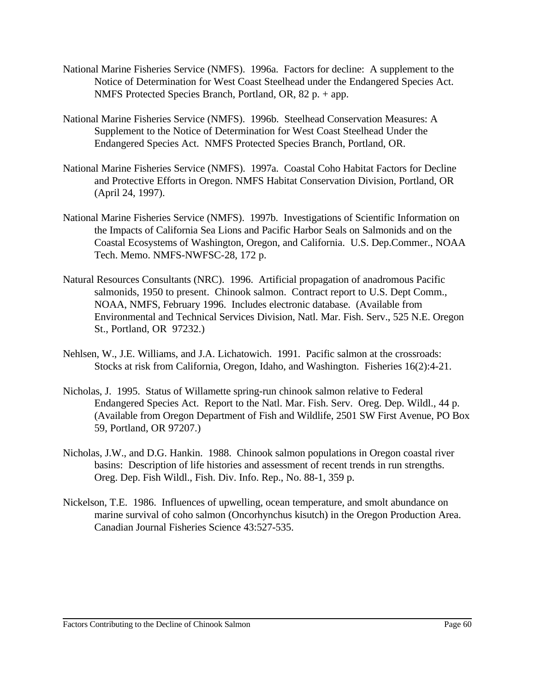- National Marine Fisheries Service (NMFS). 1996a. Factors for decline: A supplement to the Notice of Determination for West Coast Steelhead under the Endangered Species Act. NMFS Protected Species Branch, Portland, OR, 82 p. + app.
- National Marine Fisheries Service (NMFS). 1996b. Steelhead Conservation Measures: A Supplement to the Notice of Determination for West Coast Steelhead Under the Endangered Species Act. NMFS Protected Species Branch, Portland, OR.
- National Marine Fisheries Service (NMFS). 1997a. Coastal Coho Habitat Factors for Decline and Protective Efforts in Oregon. NMFS Habitat Conservation Division, Portland, OR (April 24, 1997).
- National Marine Fisheries Service (NMFS). 1997b. Investigations of Scientific Information on the Impacts of California Sea Lions and Pacific Harbor Seals on Salmonids and on the Coastal Ecosystems of Washington, Oregon, and California. U.S. Dep.Commer., NOAA Tech. Memo. NMFS-NWFSC-28, 172 p.
- Natural Resources Consultants (NRC). 1996. Artificial propagation of anadromous Pacific salmonids, 1950 to present. Chinook salmon. Contract report to U.S. Dept Comm., NOAA, NMFS, February 1996. Includes electronic database. (Available from Environmental and Technical Services Division, Natl. Mar. Fish. Serv., 525 N.E. Oregon St., Portland, OR 97232.)
- Nehlsen, W., J.E. Williams, and J.A. Lichatowich. 1991. Pacific salmon at the crossroads: Stocks at risk from California, Oregon, Idaho, and Washington. Fisheries 16(2):4-21.
- Nicholas, J. 1995. Status of Willamette spring-run chinook salmon relative to Federal Endangered Species Act. Report to the Natl. Mar. Fish. Serv. Oreg. Dep. Wildl., 44 p. (Available from Oregon Department of Fish and Wildlife, 2501 SW First Avenue, PO Box 59, Portland, OR 97207.)
- Nicholas, J.W., and D.G. Hankin. 1988. Chinook salmon populations in Oregon coastal river basins: Description of life histories and assessment of recent trends in run strengths. Oreg. Dep. Fish Wildl., Fish. Div. Info. Rep., No. 88-1, 359 p.
- Nickelson, T.E. 1986. Influences of upwelling, ocean temperature, and smolt abundance on marine survival of coho salmon (Oncorhynchus kisutch) in the Oregon Production Area. Canadian Journal Fisheries Science 43:527-535.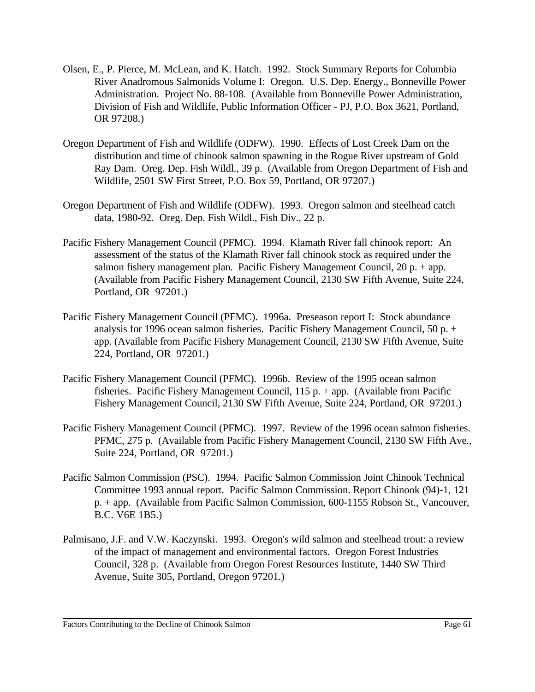- Olsen, E., P. Pierce, M. McLean, and K. Hatch. 1992. Stock Summary Reports for Columbia River Anadromous Salmonids Volume I: Oregon. U.S. Dep. Energy., Bonneville Power Administration. Project No. 88-108. (Available from Bonneville Power Administration, Division of Fish and Wildlife, Public Information Officer - PJ, P.O. Box 3621, Portland, OR 97208.)
- Oregon Department of Fish and Wildlife (ODFW). 1990. Effects of Lost Creek Dam on the distribution and time of chinook salmon spawning in the Rogue River upstream of Gold Ray Dam. Oreg. Dep. Fish Wildl., 39 p. (Available from Oregon Department of Fish and Wildlife, 2501 SW First Street, P.O. Box 59, Portland, OR 97207.)
- Oregon Department of Fish and Wildlife (ODFW). 1993. Oregon salmon and steelhead catch data, 1980-92. Oreg. Dep. Fish Wildl., Fish Div., 22 p.
- Pacific Fishery Management Council (PFMC). 1994. Klamath River fall chinook report: An assessment of the status of the Klamath River fall chinook stock as required under the salmon fishery management plan. Pacific Fishery Management Council,  $20 p. + app.$ (Available from Pacific Fishery Management Council, 2130 SW Fifth Avenue, Suite 224, Portland, OR 97201.)
- Pacific Fishery Management Council (PFMC). 1996a. Preseason report I: Stock abundance analysis for 1996 ocean salmon fisheries. Pacific Fishery Management Council, 50 p. + app. (Available from Pacific Fishery Management Council, 2130 SW Fifth Avenue, Suite 224, Portland, OR 97201.)
- Pacific Fishery Management Council (PFMC). 1996b. Review of the 1995 ocean salmon fisheries. Pacific Fishery Management Council, 115 p. + app. (Available from Pacific Fishery Management Council, 2130 SW Fifth Avenue, Suite 224, Portland, OR 97201.)
- Pacific Fishery Management Council (PFMC). 1997. Review of the 1996 ocean salmon fisheries. PFMC, 275 p. (Available from Pacific Fishery Management Council, 2130 SW Fifth Ave., Suite 224, Portland, OR 97201.)
- Pacific Salmon Commission (PSC). 1994. Pacific Salmon Commission Joint Chinook Technical Committee 1993 annual report. Pacific Salmon Commission. Report Chinook (94)-1, 121 p. + app. (Available from Pacific Salmon Commission, 600-1155 Robson St., Vancouver, B.C. V6E 1B5.)
- Palmisano, J.F. and V.W. Kaczynski. 1993. Oregon's wild salmon and steelhead trout: a review of the impact of management and environmental factors. Oregon Forest Industries Council, 328 p. (Available from Oregon Forest Resources Institute, 1440 SW Third Avenue, Suite 305, Portland, Oregon 97201.)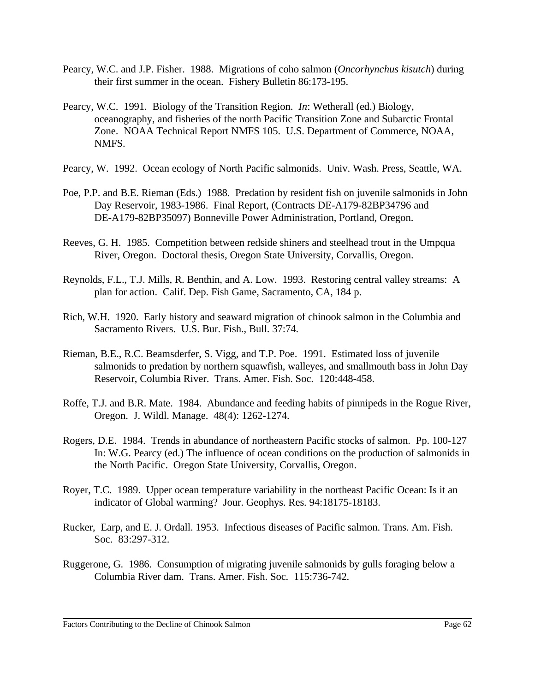- Pearcy, W.C. and J.P. Fisher. 1988. Migrations of coho salmon (*Oncorhynchus kisutch*) during their first summer in the ocean. Fishery Bulletin 86:173-195.
- Pearcy, W.C. 1991. Biology of the Transition Region. *In*: Wetherall (ed.) Biology, oceanography, and fisheries of the north Pacific Transition Zone and Subarctic Frontal Zone. NOAA Technical Report NMFS 105. U.S. Department of Commerce, NOAA, NMFS.
- Pearcy, W. 1992. Ocean ecology of North Pacific salmonids. Univ. Wash. Press, Seattle, WA.
- Poe, P.P. and B.E. Rieman (Eds.) 1988. Predation by resident fish on juvenile salmonids in John Day Reservoir, 1983-1986. Final Report, (Contracts DE-A179-82BP34796 and DE-A179-82BP35097) Bonneville Power Administration, Portland, Oregon.
- Reeves, G. H. 1985. Competition between redside shiners and steelhead trout in the Umpqua River, Oregon. Doctoral thesis, Oregon State University, Corvallis, Oregon.
- Reynolds, F.L., T.J. Mills, R. Benthin, and A. Low. 1993. Restoring central valley streams: A plan for action. Calif. Dep. Fish Game, Sacramento, CA, 184 p.
- Rich, W.H. 1920. Early history and seaward migration of chinook salmon in the Columbia and Sacramento Rivers. U.S. Bur. Fish., Bull. 37:74.
- Rieman, B.E., R.C. Beamsderfer, S. Vigg, and T.P. Poe. 1991. Estimated loss of juvenile salmonids to predation by northern squawfish, walleyes, and smallmouth bass in John Day Reservoir, Columbia River. Trans. Amer. Fish. Soc. 120:448-458.
- Roffe, T.J. and B.R. Mate. 1984. Abundance and feeding habits of pinnipeds in the Rogue River, Oregon. J. Wildl. Manage. 48(4): 1262-1274.
- Rogers, D.E. 1984. Trends in abundance of northeastern Pacific stocks of salmon. Pp. 100-127 In: W.G. Pearcy (ed.) The influence of ocean conditions on the production of salmonids in the North Pacific. Oregon State University, Corvallis, Oregon.
- Royer, T.C. 1989. Upper ocean temperature variability in the northeast Pacific Ocean: Is it an indicator of Global warming? Jour. Geophys. Res. 94:18175-18183.
- Rucker, Earp, and E. J. Ordall. 1953. Infectious diseases of Pacific salmon. Trans. Am. Fish. Soc. 83:297-312.
- Ruggerone, G. 1986. Consumption of migrating juvenile salmonids by gulls foraging below a Columbia River dam. Trans. Amer. Fish. Soc. 115:736-742.

Factors Contributing to the Decline of Chinook Salmon Page 62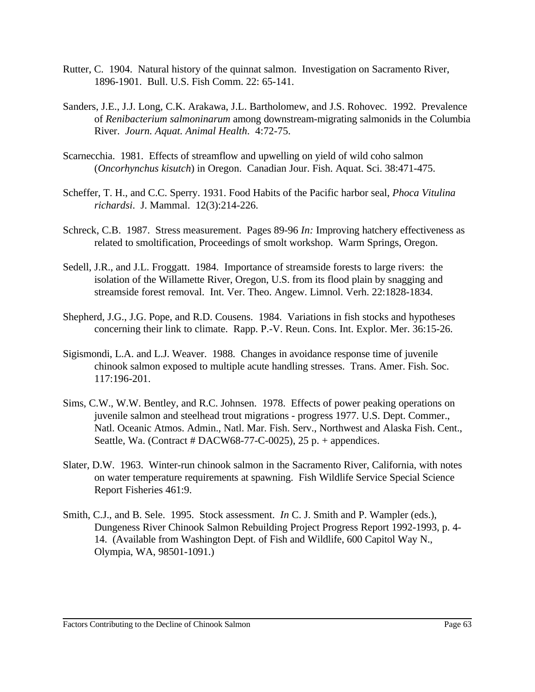- Rutter, C. 1904. Natural history of the quinnat salmon. Investigation on Sacramento River, 1896-1901. Bull. U.S. Fish Comm. 22: 65-141.
- Sanders, J.E., J.J. Long, C.K. Arakawa, J.L. Bartholomew, and J.S. Rohovec. 1992. Prevalence of *Renibacterium salmoninarum* among downstream-migrating salmonids in the Columbia River. *Journ. Aquat. Animal Health*. 4:72-75.
- Scarnecchia. 1981. Effects of streamflow and upwelling on yield of wild coho salmon (*Oncorhynchus kisutch*) in Oregon. Canadian Jour. Fish. Aquat. Sci. 38:471-475.
- Scheffer, T. H., and C.C. Sperry. 1931. Food Habits of the Pacific harbor seal, *Phoca Vitulina richardsi*. J. Mammal. 12(3):214-226.
- Schreck, C.B. 1987. Stress measurement. Pages 89-96 *In:* Improving hatchery effectiveness as related to smoltification, Proceedings of smolt workshop. Warm Springs, Oregon.
- Sedell, J.R., and J.L. Froggatt. 1984. Importance of streamside forests to large rivers: the isolation of the Willamette River, Oregon, U.S. from its flood plain by snagging and streamside forest removal. Int. Ver. Theo. Angew. Limnol. Verh. 22:1828-1834.
- Shepherd, J.G., J.G. Pope, and R.D. Cousens. 1984. Variations in fish stocks and hypotheses concerning their link to climate. Rapp. P.-V. Reun. Cons. Int. Explor. Mer. 36:15-26.
- Sigismondi, L.A. and L.J. Weaver. 1988. Changes in avoidance response time of juvenile chinook salmon exposed to multiple acute handling stresses. Trans. Amer. Fish. Soc. 117:196-201.
- Sims, C.W., W.W. Bentley, and R.C. Johnsen. 1978. Effects of power peaking operations on juvenile salmon and steelhead trout migrations - progress 1977. U.S. Dept. Commer., Natl. Oceanic Atmos. Admin., Natl. Mar. Fish. Serv., Northwest and Alaska Fish. Cent., Seattle, Wa. (Contract # DACW68-77-C-0025), 25 p. + appendices.
- Slater, D.W. 1963. Winter-run chinook salmon in the Sacramento River, California, with notes on water temperature requirements at spawning. Fish Wildlife Service Special Science Report Fisheries 461:9.
- Smith, C.J., and B. Sele. 1995. Stock assessment. *In* C. J. Smith and P. Wampler (eds.), Dungeness River Chinook Salmon Rebuilding Project Progress Report 1992-1993, p. 4- 14. (Available from Washington Dept. of Fish and Wildlife, 600 Capitol Way N., Olympia, WA, 98501-1091.)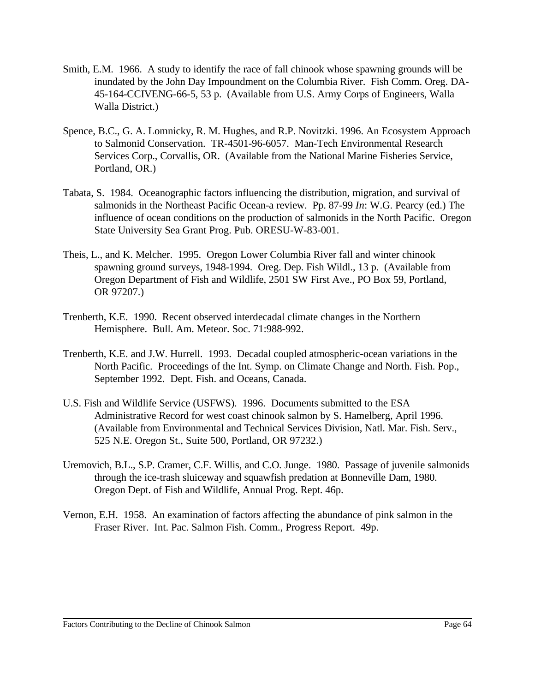- Smith, E.M. 1966. A study to identify the race of fall chinook whose spawning grounds will be inundated by the John Day Impoundment on the Columbia River. Fish Comm. Oreg. DA-45-164-CCIVENG-66-5, 53 p. (Available from U.S. Army Corps of Engineers, Walla Walla District.)
- Spence, B.C., G. A. Lomnicky, R. M. Hughes, and R.P. Novitzki. 1996. An Ecosystem Approach to Salmonid Conservation. TR-4501-96-6057. Man-Tech Environmental Research Services Corp., Corvallis, OR. (Available from the National Marine Fisheries Service, Portland, OR.)
- Tabata, S. 1984. Oceanographic factors influencing the distribution, migration, and survival of salmonids in the Northeast Pacific Ocean-a review. Pp. 87-99 *In*: W.G. Pearcy (ed.) The influence of ocean conditions on the production of salmonids in the North Pacific. Oregon State University Sea Grant Prog. Pub. ORESU-W-83-001.
- Theis, L., and K. Melcher. 1995. Oregon Lower Columbia River fall and winter chinook spawning ground surveys, 1948-1994. Oreg. Dep. Fish Wildl., 13 p. (Available from Oregon Department of Fish and Wildlife, 2501 SW First Ave., PO Box 59, Portland, OR 97207.)
- Trenberth, K.E. 1990. Recent observed interdecadal climate changes in the Northern Hemisphere. Bull. Am. Meteor. Soc. 71:988-992.
- Trenberth, K.E. and J.W. Hurrell. 1993. Decadal coupled atmospheric-ocean variations in the North Pacific. Proceedings of the Int. Symp. on Climate Change and North. Fish. Pop., September 1992. Dept. Fish. and Oceans, Canada.
- U.S. Fish and Wildlife Service (USFWS). 1996. Documents submitted to the ESA Administrative Record for west coast chinook salmon by S. Hamelberg, April 1996. (Available from Environmental and Technical Services Division, Natl. Mar. Fish. Serv., 525 N.E. Oregon St., Suite 500, Portland, OR 97232.)
- Uremovich, B.L., S.P. Cramer, C.F. Willis, and C.O. Junge. 1980. Passage of juvenile salmonids through the ice-trash sluiceway and squawfish predation at Bonneville Dam, 1980. Oregon Dept. of Fish and Wildlife, Annual Prog. Rept. 46p.
- Vernon, E.H. 1958. An examination of factors affecting the abundance of pink salmon in the Fraser River. Int. Pac. Salmon Fish. Comm., Progress Report. 49p.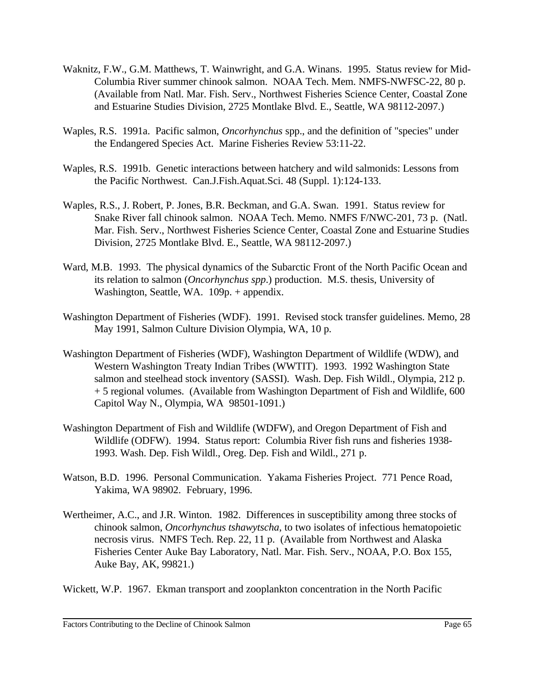- Waknitz, F.W., G.M. Matthews, T. Wainwright, and G.A. Winans. 1995. Status review for Mid-Columbia River summer chinook salmon. NOAA Tech. Mem. NMFS-NWFSC-22, 80 p. (Available from Natl. Mar. Fish. Serv., Northwest Fisheries Science Center, Coastal Zone and Estuarine Studies Division, 2725 Montlake Blvd. E., Seattle, WA 98112-2097.)
- Waples, R.S. 1991a. Pacific salmon, *Oncorhynchus* spp., and the definition of "species" under the Endangered Species Act. Marine Fisheries Review 53:11-22.
- Waples, R.S. 1991b. Genetic interactions between hatchery and wild salmonids: Lessons from the Pacific Northwest. Can.J.Fish.Aquat.Sci. 48 (Suppl. 1):124-133.
- Waples, R.S., J. Robert, P. Jones, B.R. Beckman, and G.A. Swan. 1991. Status review for Snake River fall chinook salmon. NOAA Tech. Memo. NMFS F/NWC-201, 73 p. (Natl. Mar. Fish. Serv., Northwest Fisheries Science Center, Coastal Zone and Estuarine Studies Division, 2725 Montlake Blvd. E., Seattle, WA 98112-2097.)
- Ward, M.B. 1993. The physical dynamics of the Subarctic Front of the North Pacific Ocean and its relation to salmon (*Oncorhynchus spp*.) production. M.S. thesis, University of Washington, Seattle, WA. 109p. + appendix.
- Washington Department of Fisheries (WDF). 1991. Revised stock transfer guidelines. Memo, 28 May 1991, Salmon Culture Division Olympia, WA, 10 p.
- Washington Department of Fisheries (WDF), Washington Department of Wildlife (WDW), and Western Washington Treaty Indian Tribes (WWTIT). 1993. 1992 Washington State salmon and steelhead stock inventory (SASSI). Wash. Dep. Fish Wildl., Olympia, 212 p. + 5 regional volumes. (Available from Washington Department of Fish and Wildlife, 600 Capitol Way N., Olympia, WA 98501-1091.)
- Washington Department of Fish and Wildlife (WDFW), and Oregon Department of Fish and Wildlife (ODFW). 1994. Status report: Columbia River fish runs and fisheries 1938- 1993. Wash. Dep. Fish Wildl., Oreg. Dep. Fish and Wildl., 271 p.
- Watson, B.D. 1996. Personal Communication. Yakama Fisheries Project. 771 Pence Road, Yakima, WA 98902. February, 1996.
- Wertheimer, A.C., and J.R. Winton. 1982. Differences in susceptibility among three stocks of chinook salmon, *Oncorhynchus tshawytscha*, to two isolates of infectious hematopoietic necrosis virus. NMFS Tech. Rep. 22, 11 p. (Available from Northwest and Alaska Fisheries Center Auke Bay Laboratory, Natl. Mar. Fish. Serv., NOAA, P.O. Box 155, Auke Bay, AK, 99821.)

Wickett, W.P. 1967. Ekman transport and zooplankton concentration in the North Pacific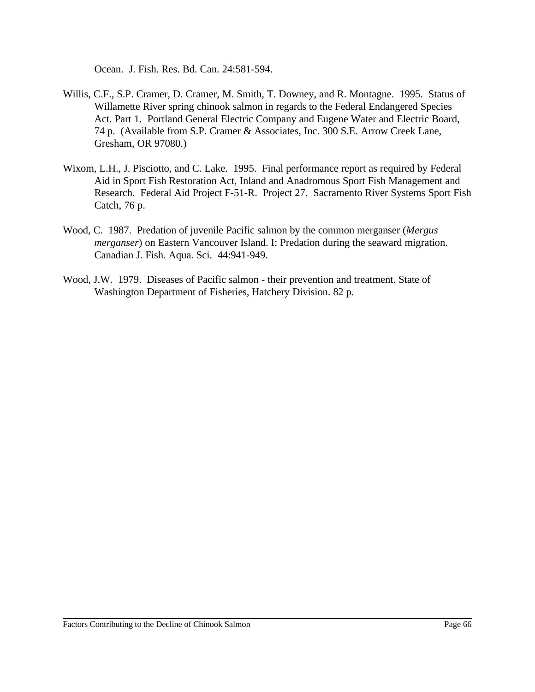Ocean. J. Fish. Res. Bd. Can. 24:581-594.

- Willis, C.F., S.P. Cramer, D. Cramer, M. Smith, T. Downey, and R. Montagne. 1995. Status of Willamette River spring chinook salmon in regards to the Federal Endangered Species Act. Part 1. Portland General Electric Company and Eugene Water and Electric Board, 74 p. (Available from S.P. Cramer & Associates, Inc. 300 S.E. Arrow Creek Lane, Gresham, OR 97080.)
- Wixom, L.H., J. Pisciotto, and C. Lake. 1995. Final performance report as required by Federal Aid in Sport Fish Restoration Act, Inland and Anadromous Sport Fish Management and Research. Federal Aid Project F-51-R. Project 27. Sacramento River Systems Sport Fish Catch, 76 p.
- Wood, C. 1987. Predation of juvenile Pacific salmon by the common merganser (*Mergus merganser*) on Eastern Vancouver Island. I: Predation during the seaward migration. Canadian J. Fish. Aqua. Sci. 44:941-949.
- Wood, J.W. 1979. Diseases of Pacific salmon their prevention and treatment. State of Washington Department of Fisheries, Hatchery Division. 82 p.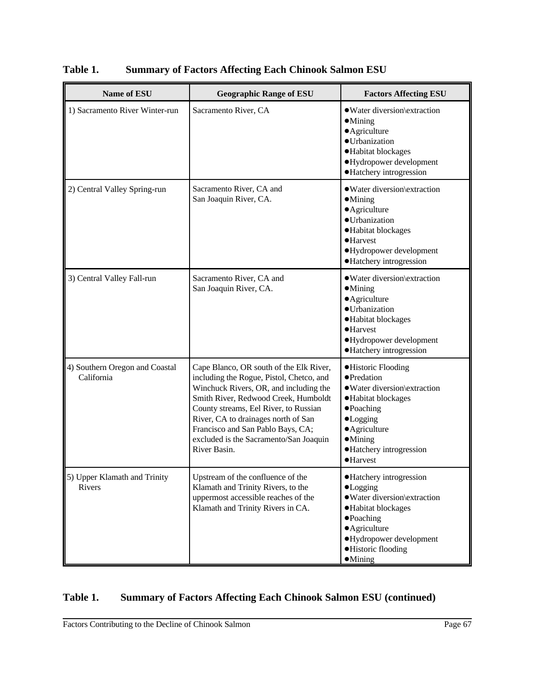| <b>Name of ESU</b>                            | <b>Geographic Range of ESU</b>                                                                                                                                                                                                                                                                                                                       | <b>Factors Affecting ESU</b>                                                                                                                                                                                    |
|-----------------------------------------------|------------------------------------------------------------------------------------------------------------------------------------------------------------------------------------------------------------------------------------------------------------------------------------------------------------------------------------------------------|-----------------------------------------------------------------------------------------------------------------------------------------------------------------------------------------------------------------|
| 1) Sacramento River Winter-run                | Sacramento River, CA                                                                                                                                                                                                                                                                                                                                 | · Water diversion\extraction<br>$\bullet$ Mining<br>• Agriculture<br>· Urbanization<br>·Habitat blockages<br>·Hydropower development<br>• Hatchery introgression                                                |
| 2) Central Valley Spring-run                  | Sacramento River, CA and<br>San Joaquin River, CA.                                                                                                                                                                                                                                                                                                   | · Water diversion\extraction<br>$\bullet$ Mining<br>• Agriculture<br>· Urbanization<br>·Habitat blockages<br>$\bullet$ Harvest<br>·Hydropower development<br>·Hatchery introgression                            |
| 3) Central Valley Fall-run                    | Sacramento River, CA and<br>San Joaquin River, CA.                                                                                                                                                                                                                                                                                                   | • Water diversion\extraction<br>$\bullet$ Mining<br>• Agriculture<br>· Urbanization<br>·Habitat blockages<br>$\bullet$ Harvest<br>·Hydropower development<br>·Hatchery introgression                            |
| 4) Southern Oregon and Coastal<br>California  | Cape Blanco, OR south of the Elk River,<br>including the Rogue, Pistol, Chetco, and<br>Winchuck Rivers, OR, and including the<br>Smith River, Redwood Creek, Humboldt<br>County streams, Eel River, to Russian<br>River, CA to drainages north of San<br>Francisco and San Pablo Bays, CA;<br>excluded is the Sacramento/San Joaquin<br>River Basin. | ·Historic Flooding<br>• Predation<br>· Water diversion\extraction<br>·Habitat blockages<br>$\bullet$ Poaching<br>$\bullet$ Logging<br>• Agriculture<br>$\bullet$ Mining<br>• Hatchery introgression<br>·Harvest |
| 5) Upper Klamath and Trinity<br><b>Rivers</b> | Upstream of the confluence of the<br>Klamath and Trinity Rivers, to the<br>uppermost accessible reaches of the<br>Klamath and Trinity Rivers in CA.                                                                                                                                                                                                  | • Hatchery introgression<br>•Logging<br>· Water diversion\extraction<br>·Habitat blockages<br>• Poaching<br>• Agriculture<br>• Hydropower development<br>·Historic flooding<br>$\bullet$ Mining                 |

**Table 1. Summary of Factors Affecting Each Chinook Salmon ESU**

# **Table 1. Summary of Factors Affecting Each Chinook Salmon ESU (continued)**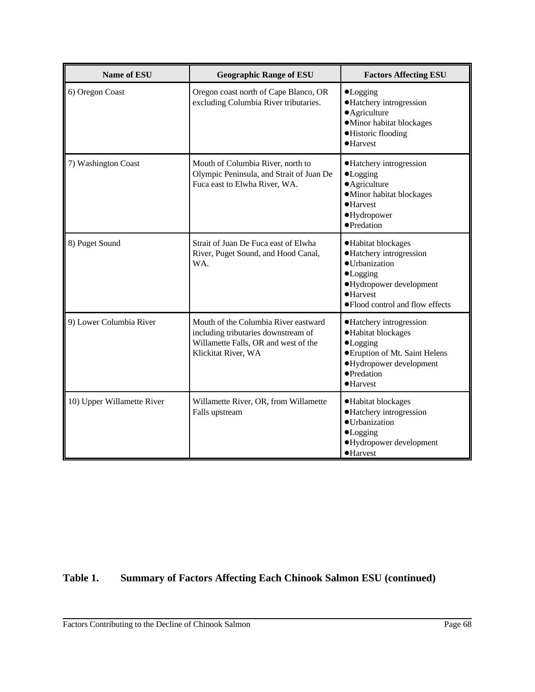| <b>Name of ESU</b>         | <b>Geographic Range of ESU</b>                                                                                                             | <b>Factors Affecting ESU</b>                                                                                                                                                |
|----------------------------|--------------------------------------------------------------------------------------------------------------------------------------------|-----------------------------------------------------------------------------------------------------------------------------------------------------------------------------|
| 6) Oregon Coast            | Oregon coast north of Cape Blanco, OR<br>excluding Columbia River tributaries.                                                             | $\bullet$ Logging<br>·Hatchery introgression<br>• Agriculture<br>·Minor habitat blockages<br>·Historic flooding<br>$\bullet$ Harvest                                        |
| 7) Washington Coast        | Mouth of Columbia River, north to<br>Olympic Peninsula, and Strait of Juan De<br>Fuca east to Elwha River, WA.                             | • Hatchery introgression<br>$\bullet$ Logging<br>• Agriculture<br>·Minor habitat blockages<br>·Harvest<br>·Hydropower<br>·Predation                                         |
| 8) Puget Sound             | Strait of Juan De Fuca east of Elwha<br>River, Puget Sound, and Hood Canal,<br>WA.                                                         | ·Habitat blockages<br>• Hatchery introgression<br>· Urbanization<br>$\bullet$ Logging<br>·Hydropower development<br>$\bullet$ Harvest<br>· Flood control and flow effects   |
| 9) Lower Columbia River    | Mouth of the Columbia River eastward<br>including tributaries downstream of<br>Willamette Falls, OR and west of the<br>Klickitat River, WA | • Hatchery introgression<br>·Habitat blockages<br>$\bullet$ Logging<br><b>• Eruption of Mt. Saint Helens</b><br>·Hydropower development<br>• Predation<br>$\bullet$ Harvest |
| 10) Upper Willamette River | Willamette River, OR, from Willamette<br>Falls upstream                                                                                    | ·Habitat blockages<br>• Hatchery introgression<br>· Urbanization<br>$\bullet$ Logging<br>·Hydropower development<br>$\bullet$ Harvest                                       |

# **Table 1. Summary of Factors Affecting Each Chinook Salmon ESU (continued)**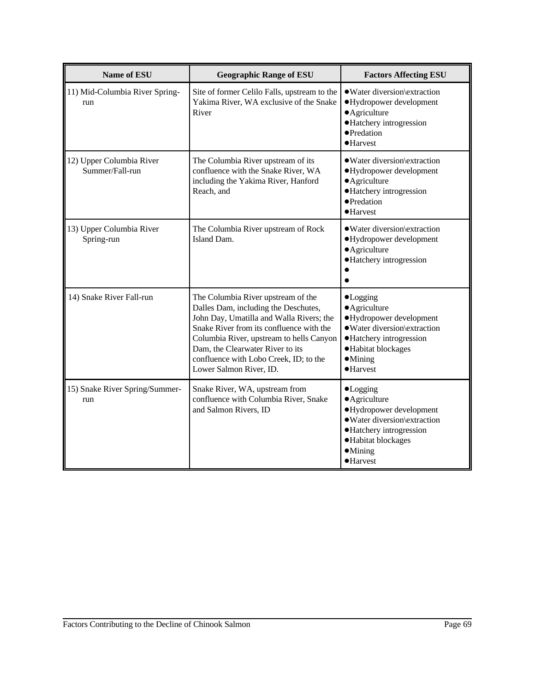| <b>Name of ESU</b>                          | <b>Geographic Range of ESU</b>                                                                                                                                                                                                                                                                                          | <b>Factors Affecting ESU</b>                                                                                                                                                             |
|---------------------------------------------|-------------------------------------------------------------------------------------------------------------------------------------------------------------------------------------------------------------------------------------------------------------------------------------------------------------------------|------------------------------------------------------------------------------------------------------------------------------------------------------------------------------------------|
| 11) Mid-Columbia River Spring-<br>run       | Site of former Celilo Falls, upstream to the<br>Yakima River, WA exclusive of the Snake<br>River                                                                                                                                                                                                                        | • Water diversion\extraction<br>·Hydropower development<br>· Agriculture<br>·Hatchery introgression<br>• Predation<br>$\bullet$ Harvest                                                  |
| 12) Upper Columbia River<br>Summer/Fall-run | The Columbia River upstream of its<br>confluence with the Snake River, WA<br>including the Yakima River, Hanford<br>Reach, and                                                                                                                                                                                          | · Water diversion\extraction<br>·Hydropower development<br>• Agriculture<br>·Hatchery introgression<br>• Predation<br>$\bullet$ Harvest                                                  |
| 13) Upper Columbia River<br>Spring-run      | The Columbia River upstream of Rock<br>Island Dam.                                                                                                                                                                                                                                                                      | · Water diversion\extraction<br>·Hydropower development<br>• Agriculture<br>·Hatchery introgression                                                                                      |
| 14) Snake River Fall-run                    | The Columbia River upstream of the<br>Dalles Dam, including the Deschutes,<br>John Day, Umatilla and Walla Rivers; the<br>Snake River from its confluence with the<br>Columbia River, upstream to hells Canyon<br>Dam, the Clearwater River to its<br>confluence with Lobo Creek, ID; to the<br>Lower Salmon River, ID. | $\bullet$ Logging<br>• Agriculture<br>·Hydropower development<br>· Water diversion\extraction<br>• Hatchery introgression<br>·Habitat blockages<br>$\bullet$ Mining<br>$\bullet$ Harvest |
| 15) Snake River Spring/Summer-<br>run       | Snake River, WA, upstream from<br>confluence with Columbia River, Snake<br>and Salmon Rivers, ID                                                                                                                                                                                                                        | $\bullet$ Logging<br>· Agriculture<br>·Hydropower development<br>· Water diversion\extraction<br>• Hatchery introgression<br>·Habitat blockages<br>$\bullet$ Mining<br>·Harvest          |